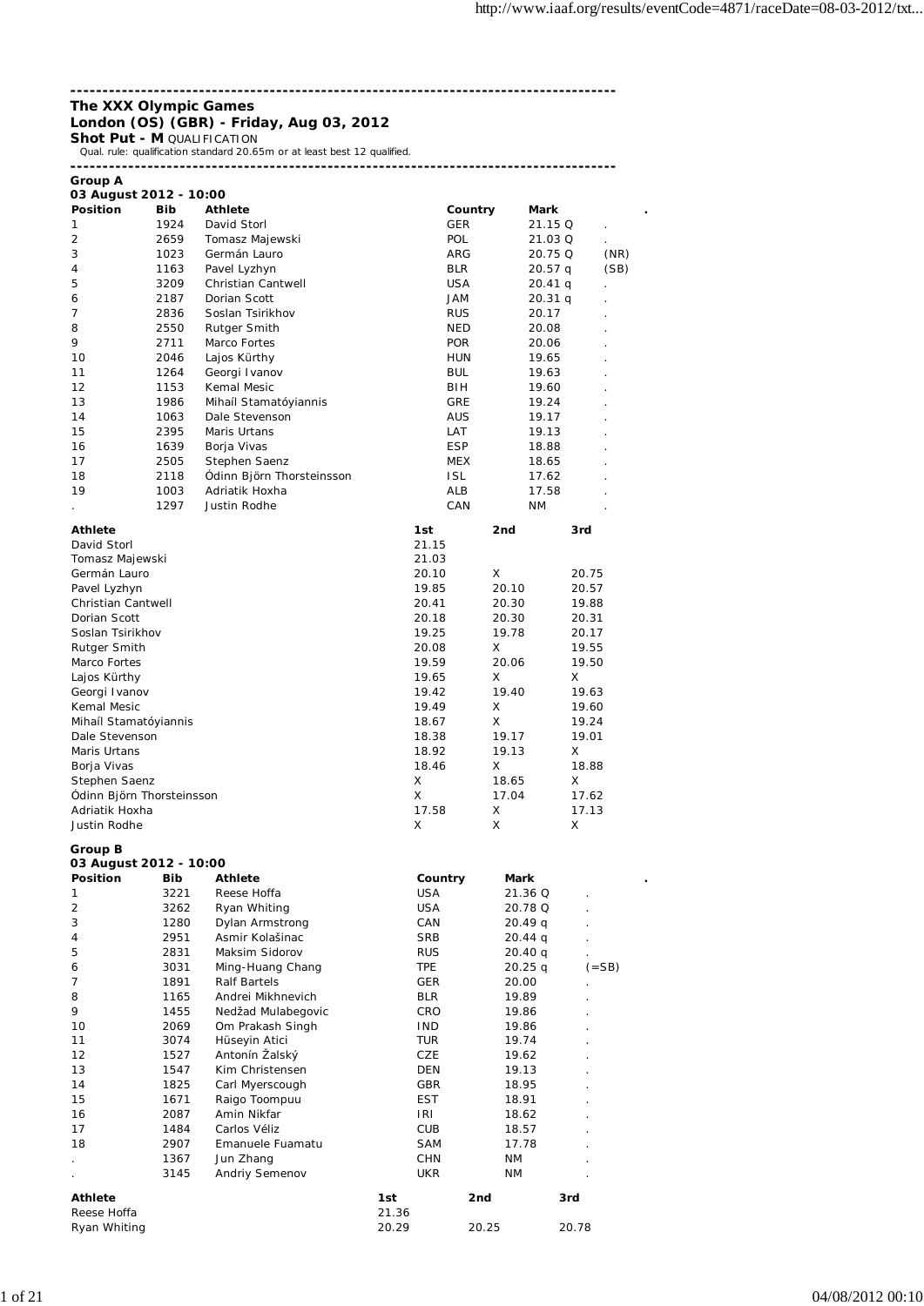### **------------------------------------------------------------------------------------- The XXX Olympic Games London (OS) (GBR) - Friday, Aug 03, 2012**

**Shot Put - M QUALIFICATION** 

Qual. rule: qualification standard 20.65m or at least best 12 qualified.

| Group A                |
|------------------------|
| 03 August 2012 - 10:00 |

| <b>Position</b>           | Bib  | <b>Athlete</b>              |       |            | Country | Mark      |       |           |
|---------------------------|------|-----------------------------|-------|------------|---------|-----------|-------|-----------|
| 1                         | 1924 | David Storl                 |       | <b>GER</b> |         | 21.15 Q   |       |           |
| 2                         | 2659 | Tomasz Majewski             |       | <b>POL</b> |         | 21.03 Q   |       |           |
| 3                         | 1023 | Germán Lauro                |       | ARG        |         | 20.75 Q   |       | (NR)      |
| 4                         | 1163 | Pavel Lyzhyn                |       | <b>BLR</b> |         | $20.57$ q |       | (SB)      |
| 5                         | 3209 | Christian Cantwell          |       | <b>USA</b> |         | 20.41q    |       |           |
| 6                         | 2187 | Dorian Scott                |       | JAM        |         | 20.31q    |       |           |
| 7                         | 2836 | Soslan Tsirikhov            |       | <b>RUS</b> |         | 20.17     |       |           |
| 8                         | 2550 | Rutger Smith                |       | <b>NED</b> |         | 20.08     |       |           |
| 9                         | 2711 | Marco Fortes                |       | <b>POR</b> |         | 20.06     |       |           |
| 10                        | 2046 | Lajos Kürthy                |       | <b>HUN</b> |         | 19.65     |       |           |
| 11                        | 1264 | Georgi Ivanov               |       | BUL        |         | 19.63     |       |           |
| 12                        | 1153 | Kemal Mesic                 |       | BIH        |         | 19.60     |       |           |
| 13                        | 1986 | Mihaíl Stamatóyiannis       |       | GRE        |         | 19.24     |       |           |
| 14                        | 1063 | Dale Stevenson              |       | <b>AUS</b> |         | 19.17     |       |           |
| 15                        | 2395 | Maris Urtans                |       | LAT        |         | 19.13     |       |           |
| 16                        | 1639 | Borja Vivas                 |       | <b>ESP</b> |         | 18.88     |       |           |
| 17                        | 2505 | Stephen Saenz               |       | <b>MEX</b> |         | 18.65     |       |           |
| 18                        | 2118 | Ódinn Björn Thorsteinsson   |       | <b>ISL</b> |         | 17.62     |       |           |
| 19                        | 1003 | Adriatik Hoxha              |       | ALB        |         | 17.58     |       |           |
|                           | 1297 | Justin Rodhe                |       | CAN        |         | ΝM        |       |           |
| <b>Athlete</b>            |      |                             |       | 1st        | 2nd     |           | 3rd   |           |
| David Storl               |      |                             |       | 21.15      |         |           |       |           |
| Tomasz Majewski           |      |                             |       | 21.03      |         |           |       |           |
| Germán Lauro              |      |                             |       | 20.10      | X       |           | 20.75 |           |
| Pavel Lyzhyn              |      |                             |       | 19.85      | 20.10   |           | 20.57 |           |
| <b>Christian Cantwell</b> |      |                             |       | 20.41      | 20.30   |           | 19.88 |           |
| Dorian Scott              |      |                             |       | 20.18      | 20.30   |           | 20.31 |           |
| Soslan Tsirikhov          |      |                             |       | 19.25      | 19.78   |           | 20.17 |           |
| Rutger Smith              |      |                             |       | 20.08      | X       |           | 19.55 |           |
| Marco Fortes              |      |                             |       | 19.59      | 20.06   |           | 19.50 |           |
| Lajos Kürthy              |      |                             |       | 19.65      | X       |           | X     |           |
| Georgi Ivanov             |      |                             |       | 19.42      | 19.40   |           | 19.63 |           |
| Kemal Mesic               |      |                             |       | 19.49      | Χ       |           | 19.60 |           |
| Mihaíl Stamatóyiannis     |      |                             |       | 18.67      | X       |           | 19.24 |           |
| Dale Stevenson            |      |                             |       | 18.38      | 19.17   |           | 19.01 |           |
| Maris Urtans              |      |                             |       | 18.92      | 19.13   |           | X     |           |
| Borja Vivas               |      |                             |       | 18.46      | X       |           | 18.88 |           |
| Stephen Saenz             |      |                             |       | X          | 18.65   |           | х     |           |
| Ódinn Björn Thorsteinsson |      |                             |       | Χ          | 17.04   |           | 17.62 |           |
| Adriatik Hoxha            |      |                             |       | 17.58      | X       |           | 17.13 |           |
| Justin Rodhe              |      |                             |       | X          | X       |           | X     |           |
| Group B                   |      |                             |       |            |         |           |       |           |
| 03 August 2012 - 10:00    |      |                             |       |            |         |           |       |           |
| <b>Position</b>           | Bib  | <b>Athlete</b>              |       | Country    | Mark    |           |       |           |
| 1                         | 3221 | Reese Hoffa                 |       | <b>USA</b> |         | 21.36 Q   |       |           |
| 2                         | 3262 | Ryan Whiting                |       | USA        |         | 20.78 Q   |       |           |
| 3                         | 1280 | Dylan Armstrong             |       | CAN        |         | 20.49q    |       |           |
| 4                         | 2951 | Asmir Kolašinac             |       | SRB        |         | $20.44$ q |       |           |
| 5                         | 2831 | Maksim Sidorov              |       | <b>RUS</b> |         | 20.40q    |       |           |
| 6                         | 3031 | Ming-Huang Chang            |       | TPE        |         | 20.25q    |       | $( = SB)$ |
| 7                         | 1891 | <b>Ralf Bartels</b>         |       | GER        | 20.00   |           |       |           |
| 8                         | 1165 | Andrei Mikhnevich           |       | <b>BLR</b> | 19.89   |           |       |           |
| 9                         | 1455 | Nedžad Mulabegovic          |       | CRO        | 19.86   |           |       |           |
| 10                        | 2069 | Om Prakash Singh            |       | <b>IND</b> | 19.86   |           |       |           |
| 11                        | 3074 | Hüseyin Atici               |       | TUR        | 19.74   |           |       |           |
| 12                        | 1527 | Antonín Žalský              |       | CZE        | 19.62   |           |       |           |
| 13                        | 1547 | Kim Christensen             |       | DEN        | 19.13   |           |       |           |
| 14                        | 1825 | Carl Myerscough             |       | GBR        | 18.95   |           |       |           |
| 15                        | 1671 | Raigo Toompuu               |       | EST        | 18.91   |           |       |           |
| 16                        | 2087 | Amin Nikfar                 |       | IRI        | 18.62   |           |       |           |
| 17                        | 1484 | Carlos Véliz                |       | CUB        | 18.57   |           |       |           |
| 18                        | 2907 | Emanuele Fuamatu            |       | SAM        | 17.78   |           |       |           |
|                           | 1367 | Jun Zhang<br>Andriy Semenov |       | CHN        | ΝM      |           |       |           |
|                           | 3145 |                             |       | UKR        | ΝM      |           |       |           |
| Athlete                   |      |                             | 1st   |            | 2nd     |           | 3rd   |           |
| Reese Hoffa               |      |                             | 21.36 |            |         |           |       |           |
| Ryan Whiting              |      |                             | 20.29 |            | 20.25   |           | 20.78 |           |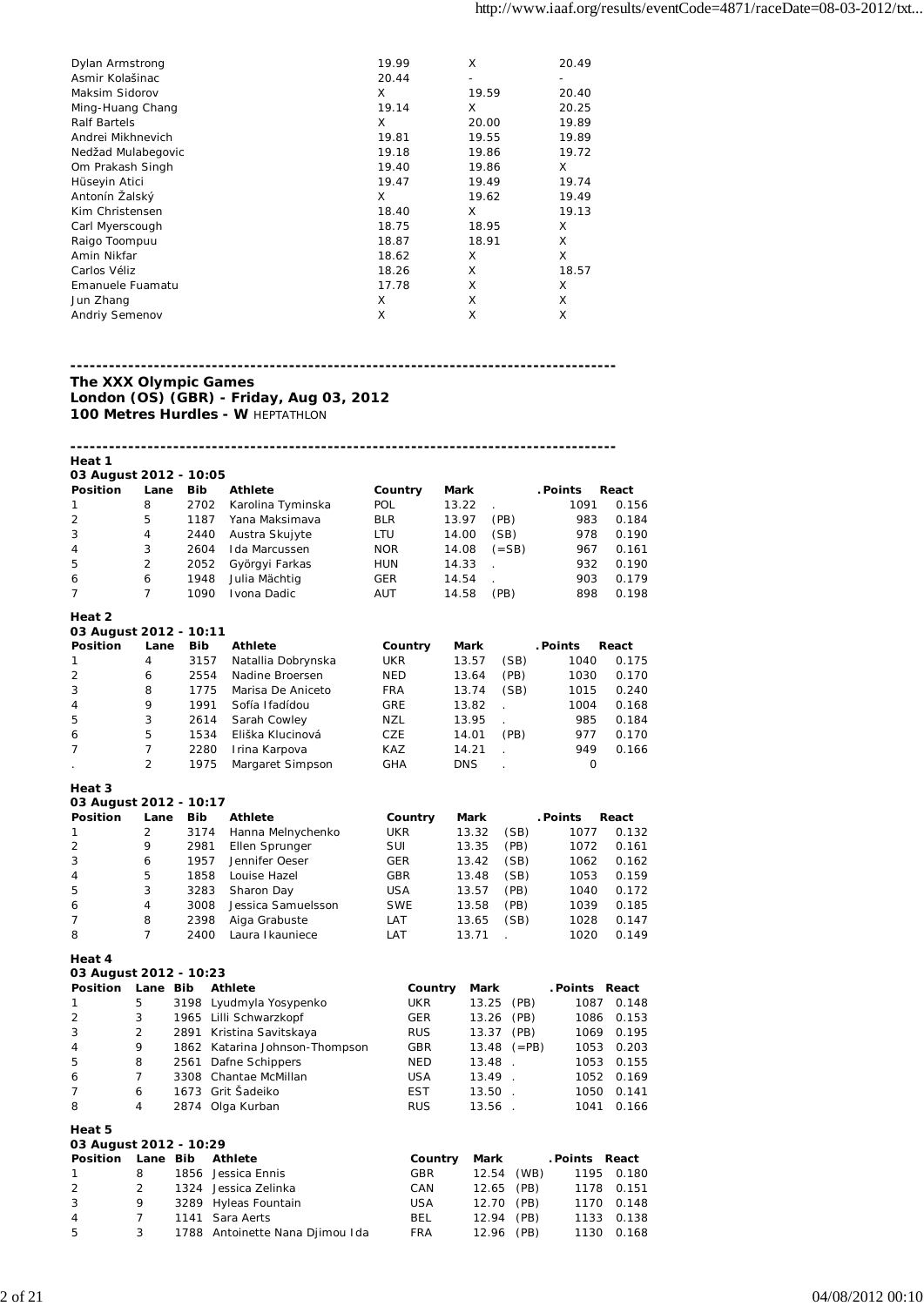| Dylan Armstrong    | 19.99 | X     | 20.49 |
|--------------------|-------|-------|-------|
| Asmir Kolašinac    | 20.44 | -     |       |
| Maksim Sidorov     | X     | 19.59 | 20.40 |
| Ming-Huang Chang   | 19.14 | X     | 20.25 |
| Ralf Bartels       | X     | 20.00 | 19.89 |
| Andrei Mikhnevich  | 19.81 | 19.55 | 19.89 |
| Nedžad Mulabegovic | 19.18 | 19.86 | 19.72 |
| Om Prakash Singh   | 19.40 | 19.86 | X     |
| Hüseyin Atici      | 19.47 | 19.49 | 19.74 |
| Antonín Žalský     | X     | 19.62 | 19.49 |
| Kim Christensen    | 18.40 | X     | 19.13 |
| Carl Myerscough    | 18.75 | 18.95 | X     |
| Raigo Toompuu      | 18.87 | 18.91 | X     |
| Amin Nikfar        | 18.62 | X     | X     |
| Carlos Véliz       | 18.26 | X     | 18.57 |
| Emanuele Fuamatu   | 17.78 | X     | X     |
| Jun Zhang          | X     | X     | X     |
| Andriy Semenov     | X     | X     | X     |
|                    |       |       |       |

### **------------------------------------------------------------------------------------- The XXX Olympic Games London (OS) (GBR) - Friday, Aug 03, 2012**

**100 Metres Hurdles - W** HEPTATHLON

| Heat 1                 |                     |            |                                 |            |             |                |               |       |
|------------------------|---------------------|------------|---------------------------------|------------|-------------|----------------|---------------|-------|
| 03 August 2012 - 10:05 |                     |            |                                 |            |             |                |               |       |
| <b>Position</b>        | Lane                | <b>Bib</b> | <b>Athlete</b>                  | Country    | Mark        |                | . Points      | React |
| 1                      | 8                   | 2702       | Karolina Tyminska               | POL        | 13.22       |                | 1091          | 0.156 |
| 2                      | 5                   | 1187       | Yana Maksimava                  | <b>BLR</b> | 13.97       | (PB)           | 983           | 0.184 |
| 3                      | 4                   | 2440       | Austra Skujyte                  | LTU        | 14.00       | (SB)           | 978           | 0.190 |
| 4                      | 3                   | 2604       | Ida Marcussen                   | <b>NOR</b> | 14.08       | $( = SB)$      | 967           | 0.161 |
| 5                      | $\overline{2}$      | 2052       | Györgyi Farkas                  | <b>HUN</b> | 14.33       |                | 932           | 0.190 |
|                        | 6                   |            |                                 |            |             |                | 903           |       |
| 6                      |                     | 1948       | Julia Mächtig                   | <b>GER</b> | 14.54       |                |               | 0.179 |
| 7                      | $\overline{7}$      | 1090       | Ivona Dadic                     | <b>AUT</b> | 14.58       | (PB)           | 898           | 0.198 |
| Heat 2                 |                     |            |                                 |            |             |                |               |       |
| 03 August 2012 - 10:11 |                     |            |                                 |            |             |                |               |       |
| <b>Position</b>        | Lane                | Bib        | <b>Athlete</b>                  | Country    | Mark        |                | . Points      | React |
| 1                      | 4                   | 3157       | Natallia Dobrynska              | <b>UKR</b> | 13.57       | (SB)           | 1040          | 0.175 |
| 2                      | 6                   | 2554       | Nadine Broersen                 | NED        | 13.64       | (PB)           | 1030          | 0.170 |
| 3                      | 8                   | 1775       | Marisa De Aniceto               | <b>FRA</b> | 13.74       | (SB)           | 1015          | 0.240 |
| 4                      | 9                   | 1991       | Sofía Ifadídou                  | GRE        | 13.82       |                | 1004          | 0.168 |
| 5                      | 3                   | 2614       | Sarah Cowley                    | <b>NZL</b> | 13.95       | ä,             | 985           | 0.184 |
|                        | 5                   | 1534       | Eliška Klucinová                |            |             |                | 977           |       |
| 6                      |                     |            |                                 | CZE        | 14.01       | (PB)           | 949           | 0.170 |
| 7                      | 7<br>$\overline{2}$ | 2280       | Irina Karpova                   | KAZ        | 14.21       |                |               | 0.166 |
|                        |                     | 1975       | Margaret Simpson                | <b>GHA</b> | <b>DNS</b>  |                | $\mathbf 0$   |       |
| Heat 3                 |                     |            |                                 |            |             |                |               |       |
| 03 August 2012 - 10:17 |                     |            |                                 |            |             |                |               |       |
| <b>Position</b>        | Lane                | <b>Bib</b> | <b>Athlete</b>                  | Country    | Mark        |                | . Points      | React |
| 1                      | $\overline{2}$      | 3174       | Hanna Melnychenko               | UKR        | 13.32       | (SB)           | 1077          | 0.132 |
| 2                      | 9                   | 2981       | Ellen Sprunger                  | SUI        | 13.35       | (PB)           | 1072          | 0.161 |
| 3                      | 6                   | 1957       | Jennifer Oeser                  | GER        | 13.42       | (SB)           | 1062          | 0.162 |
| 4                      | 5                   | 1858       | Louise Hazel                    | GBR        | 13.48       | (SB)           | 1053          | 0.159 |
| 5                      | 3                   | 3283       | Sharon Day                      | <b>USA</b> | 13.57       | (PB)           | 1040          | 0.172 |
|                        | 4                   | 3008       |                                 |            |             |                |               |       |
| 6                      |                     |            | Jessica Samuelsson              | <b>SWE</b> | 13.58       | (PB)           | 1039          | 0.185 |
| 7                      | 8                   | 2398       | Aiga Grabuste                   | LAT        | 13.65       | (SB)           | 1028          | 0.147 |
| 8                      | 7                   | 2400       | Laura I kauniece                | LAT        | 13.71       |                | 1020          | 0.149 |
| Heat 4                 |                     |            |                                 |            |             |                |               |       |
| 03 August 2012 - 10:23 |                     |            |                                 |            |             |                |               |       |
| Position               | Lane Bib            |            | <b>Athlete</b>                  | Country    | <b>Mark</b> |                | .Points React |       |
| 1                      | 5                   |            | 3198 Lyudmyla Yosypenko         | <b>UKR</b> | 13.25       | (PB)           | 1087          | 0.148 |
| 2                      | 3                   |            | 1965 Lilli Schwarzkopf          | GER        | 13.26       | (PB)           | 1086          | 0.153 |
| 3                      | $\overline{2}$      | 2891       | Kristina Savitskaya             | <b>RUS</b> | 13.37       | (PB)           | 1069          | 0.195 |
| 4                      | 9                   |            | 1862 Katarina Johnson-Thompson  | <b>GBR</b> | 13.48       | $(=PB)$        | 1053          | 0.203 |
| 5                      | 8                   | 2561       |                                 | <b>NED</b> | 13.48       | $\overline{a}$ | 1053          | 0.155 |
|                        | $\overline{7}$      |            | Dafne Schippers                 |            |             |                |               |       |
| 6                      |                     |            | 3308 Chantae McMillan           | <b>USA</b> | 13.49       |                | 1052          | 0.169 |
| 7                      | 6                   |            | 1673 Grit Šadeiko               | <b>EST</b> | 13.50       | $\mathbf{r}$   | 1050          | 0.141 |
| 8                      | $\overline{4}$      |            | 2874 Olga Kurban                | <b>RUS</b> |             | 13.56 .        | 1041          | 0.166 |
| Heat 5                 |                     |            |                                 |            |             |                |               |       |
| 03 August 2012 - 10:29 |                     |            |                                 |            |             |                |               |       |
| <b>Position</b>        | Lane Bib            |            | <b>Athlete</b>                  | Country    | Mark        |                | Points React  |       |
| 1                      | 8                   |            | 1856 Jessica Ennis              | <b>GBR</b> |             | 12.54<br>(WB)  | 1195          | 0.180 |
| 2                      | 2                   | 1324       | Jessica Zelinka                 | CAN        |             | 12.65<br>(PB)  | 1178          | 0.151 |
| 3                      | 9                   | 3289       | Hyleas Fountain                 | <b>USA</b> |             | 12.70<br>(PB)  | 1170          |       |
|                        | 7                   | 1141       |                                 | <b>BEL</b> |             |                |               | 0.148 |
| 4                      |                     |            | Sara Aerts                      |            |             | 12.94<br>(PB)  | 1133          | 0.138 |
| 5                      | 3                   |            | 1788 Antoinette Nana Djimou Ida | <b>FRA</b> |             | 12.96<br>(PB)  | 1130          | 0.168 |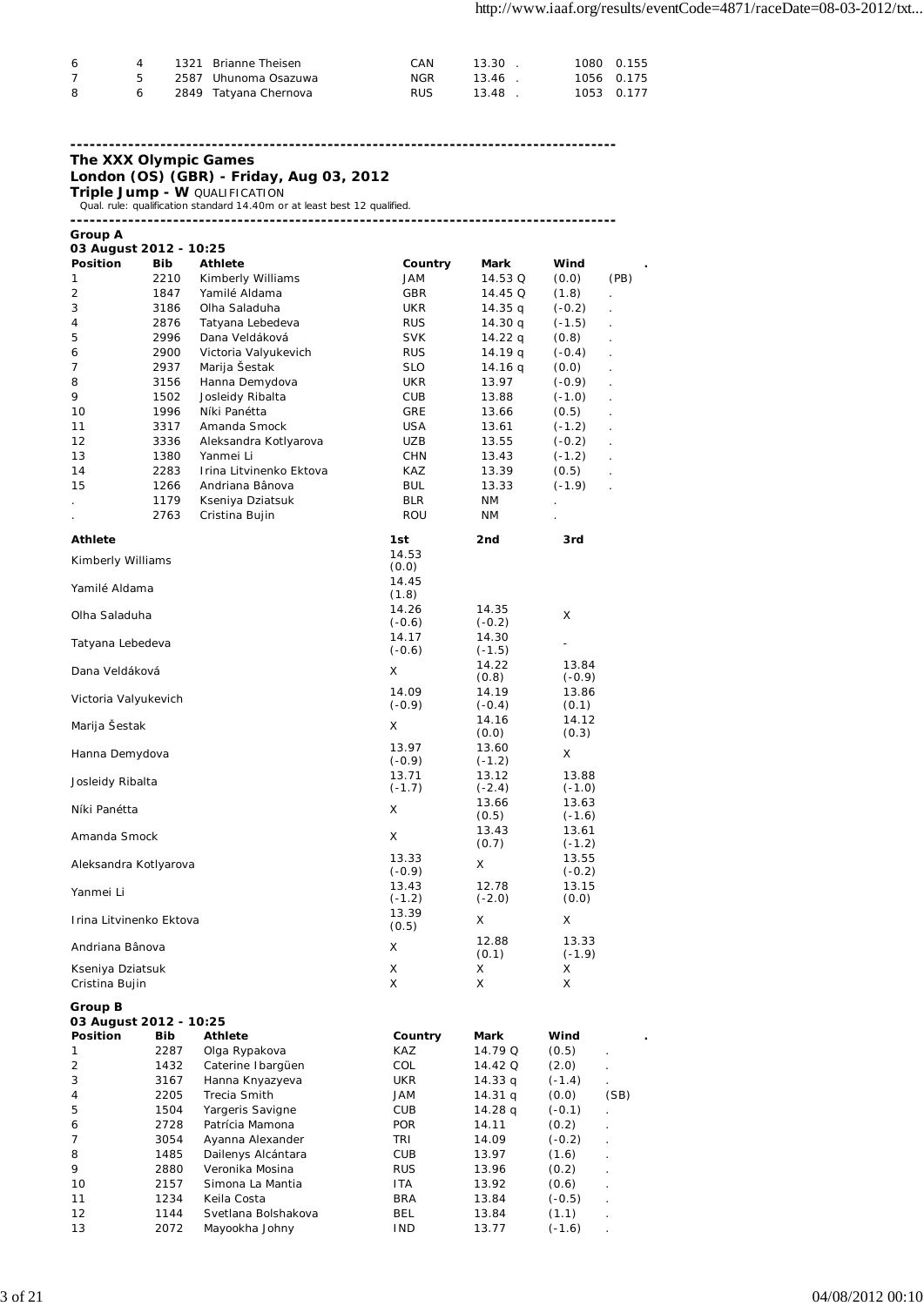| - 6 | 4 | 1321 Brianne Theisen    | CAN        | 13.30 | 1080 0.155 |
|-----|---|-------------------------|------------|-------|------------|
|     | 5 | 2587 Uhunoma Osazuwa    | NGR        | 13.46 | 1056 0.175 |
| - 8 |   | 6 2849 Tatyana Chernova | <b>RUS</b> | 13.48 | 1053 0.177 |

### **------------------------------------------------------------------------------------- The XXX Olympic Games**

**London (OS) (GBR) - Friday, Aug 03, 2012**

**Triple Jump - W** QUALIFICATION<br>Qual. rule: qualification standard 14.40m or at least best 12 qualified.

| <b>Group A</b>          |              |                                     |                          |                    |                   |      |
|-------------------------|--------------|-------------------------------------|--------------------------|--------------------|-------------------|------|
| 03 August 2012 - 10:25  |              |                                     |                          |                    |                   |      |
| <b>Position</b>         | Bib          | Athlete                             | Country                  | Mark               | Wind              |      |
| 1                       | 2210         | Kimberly Williams                   | JAM                      | 14.53 Q            | (0.0)             | (PB) |
| 2                       | 1847         | Yamilé Aldama                       | GBR                      | 14.45 Q            | (1.8)             |      |
| 3                       | 3186         | Olha Saladuha                       | <b>UKR</b>               | 14.35 q            | $(-0.2)$          |      |
| 4<br>5                  | 2876<br>2996 | Tatyana Lebedeva<br>Dana Veldáková  | <b>RUS</b><br><b>SVK</b> | 14.30 q            | $(-1.5)$          |      |
|                         | 2900         | Victoria Valyukevich                | <b>RUS</b>               | 14.22 q<br>14.19 q | (0.8)<br>$(-0.4)$ |      |
| 6<br>7                  | 2937         | Marija Šestak                       | <b>SLO</b>               | 14.16 q            | (0.0)             |      |
| 8                       | 3156         | Hanna Demydova                      | <b>UKR</b>               | 13.97              | $(-0.9)$          |      |
| 9                       | 1502         | Josleidy Ribalta                    | <b>CUB</b>               | 13.88              | $(-1.0)$          |      |
| 10                      | 1996         | Níki Panétta                        | GRE                      | 13.66              | (0.5)             |      |
| 11                      | 3317         | Amanda Smock                        | USA                      | 13.61              | $(-1.2)$          |      |
| 12                      | 3336         | Aleksandra Kotlyarova               | UZB                      | 13.55              | $(-0.2)$          |      |
| 13                      | 1380         | Yanmei Li                           | <b>CHN</b>               | 13.43              | $(-1.2)$          |      |
| 14                      | 2283         | Irina Litvinenko Ektova             | KAZ                      | 13.39              | (0.5)             |      |
| 15                      | 1266         | Andriana Bânova                     | <b>BUL</b>               | 13.33              | $(-1.9)$          |      |
|                         | 1179         | Kseniya Dziatsuk                    | <b>BLR</b>               | ΝM                 |                   |      |
|                         | 2763         | Cristina Bujin                      | ROU                      | ΝM                 |                   |      |
|                         |              |                                     |                          |                    |                   |      |
| <b>Athlete</b>          |              |                                     | 1st                      | 2nd                | 3rd               |      |
| Kimberly Williams       |              |                                     | 14.53<br>(0.0)           |                    |                   |      |
|                         |              |                                     | 14.45                    |                    |                   |      |
| Yamilé Aldama           |              |                                     | (1.8)                    |                    |                   |      |
|                         |              |                                     | 14.26                    | 14.35              |                   |      |
| Olha Saladuha           |              |                                     | $(-0.6)$                 | $(-0.2)$           | X                 |      |
| Tatyana Lebedeva        |              |                                     | 14.17                    | 14.30              |                   |      |
|                         |              |                                     | $(-0.6)$                 | $(-1.5)$           |                   |      |
| Dana Veldáková          |              |                                     | X                        | 14.22              | 13.84             |      |
|                         |              |                                     |                          | (0.8)              | $(-0.9)$          |      |
| Victoria Valyukevich    |              |                                     | 14.09<br>$(-0.9)$        | 14.19<br>$(-0.4)$  | 13.86<br>(0.1)    |      |
|                         |              |                                     |                          | 14.16              | 14.12             |      |
| Marija Šestak           |              |                                     | X                        | (0.0)              | (0.3)             |      |
|                         |              |                                     | 13.97                    | 13.60              |                   |      |
| Hanna Demydova          |              |                                     | $(-0.9)$                 | $(-1.2)$           | X                 |      |
| Josleidy Ribalta        |              |                                     | 13.71                    | 13.12              | 13.88             |      |
|                         |              |                                     | $(-1.7)$                 | $(-2.4)$           | $(-1.0)$          |      |
| Níki Panétta            |              |                                     | X                        | 13.66              | 13.63             |      |
|                         |              |                                     |                          | (0.5)<br>13.43     | $(-1.6)$<br>13.61 |      |
| Amanda Smock            |              |                                     | X                        | (0.7)              | $(-1.2)$          |      |
|                         |              |                                     | 13.33                    |                    | 13.55             |      |
| Aleksandra Kotlyarova   |              |                                     | $(-0.9)$                 | X                  | $(-0.2)$          |      |
| Yanmei Li               |              |                                     | 13.43                    | 12.78              | 13.15             |      |
|                         |              |                                     | $(-1.2)$                 | $(-2.0)$           | (0.0)             |      |
| Trina Litvinenko Ektova |              |                                     | 13.39                    | X                  | X.                |      |
|                         |              |                                     | (0.5)                    |                    |                   |      |
| Andriana Bânova         |              |                                     | х                        | 12.88<br>(0.1)     | 13.33             |      |
| Kseniya Dziatsuk        |              |                                     | X                        | X                  | $(-1.9)$<br>X     |      |
| Cristina Bujin          |              |                                     | X                        | X                  | X                 |      |
|                         |              |                                     |                          |                    |                   |      |
| Group B                 |              |                                     |                          |                    |                   |      |
| 03 August 2012 - 10:25  |              |                                     |                          |                    |                   |      |
| Position                | Bib          | Athlete                             | Country                  | Mark               | Wind              |      |
| 1                       | 2287         | Olga Rypakova                       | KAZ                      | 14.79 Q            | (0.5)             |      |
| 2                       | 1432         | Caterine Ibargüen                   | COL                      | 14.42 Q            | (2.0)             |      |
| 3                       | 3167         | Hanna Knyazyeva                     | <b>UKR</b>               | 14.33 q            | $(-1.4)$          |      |
| 4                       | 2205         | Trecia Smith                        | JAM                      | 14.31 g            | (0.0)             | (SB) |
| 5                       | 1504         | Yargeris Savigne                    | CUB                      | 14.28 q            | $(-0.1)$          |      |
| 6<br>7                  | 2728<br>3054 | Patrícia Mamona<br>Ayanna Alexander | <b>POR</b><br>TRI        | 14.11              | (0.2)             |      |
| 8                       | 1485         | Dailenys Alcántara                  | CUB                      | 14.09<br>13.97     | $(-0.2)$<br>(1.6) |      |
| 9                       | 2880         | Veronika Mosina                     | RUS                      | 13.96              | (0.2)             |      |
| 10                      | 2157         | Simona La Mantia                    | ITA                      | 13.92              | (0.6)             |      |
| 11                      | 1234         | Keila Costa                         | BRA                      | 13.84              | $(-0.5)$          |      |
| 12                      | 1144         | Svetlana Bolshakova                 | BEL                      | 13.84              | (1.1)             |      |
| 13                      | 2072         | Mayookha Johny                      | <b>IND</b>               | 13.77              | $(-1.6)$          |      |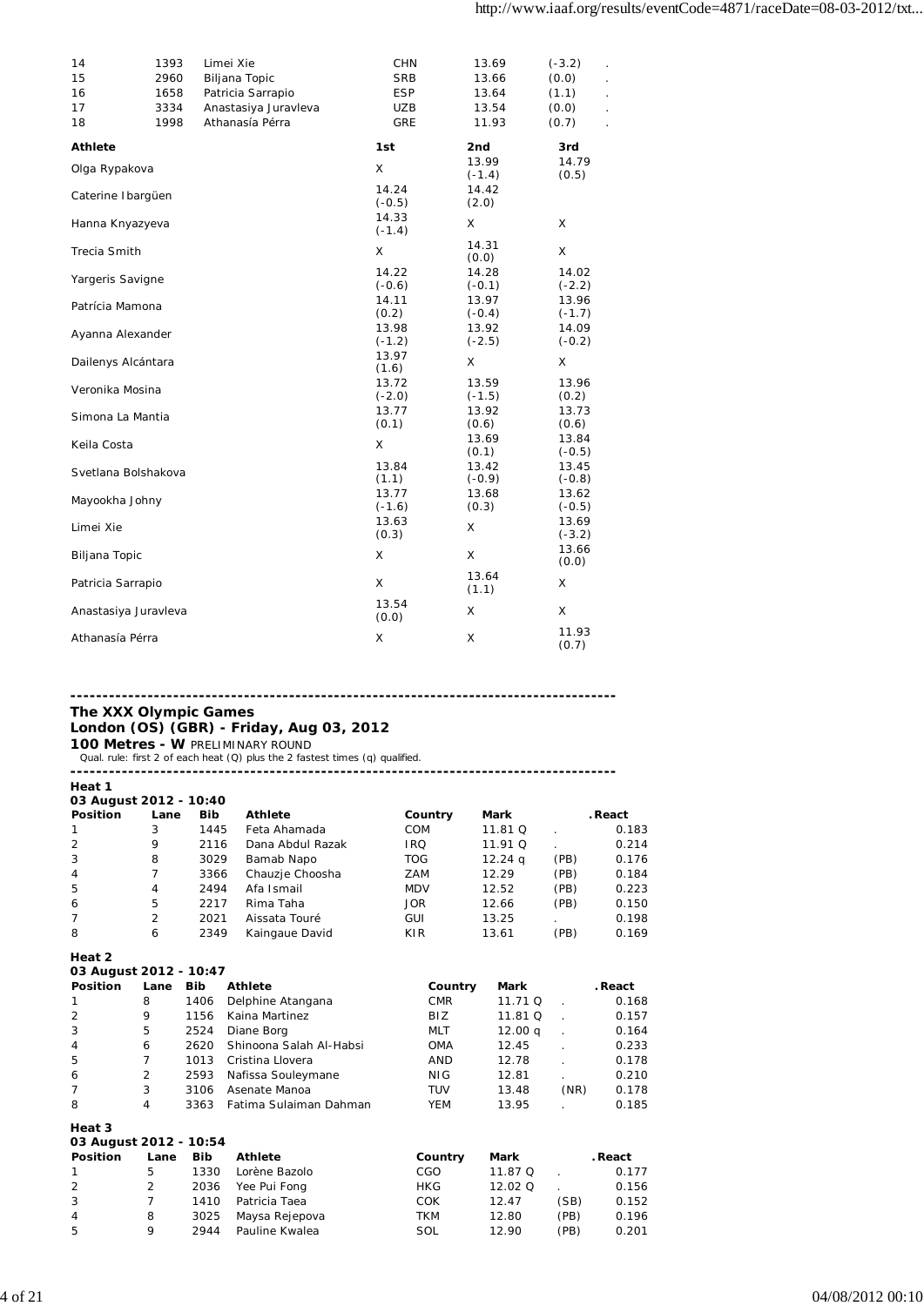| 14<br>15<br>16<br>17<br>18 | 1393<br>2960<br>1658<br>3334<br>1998 | Limei Xie<br>Biljana Topic<br>Patricia Sarrapio<br>Anastasiya Juravleva<br>Athanasía Pérra | <b>CHN</b><br><b>SRB</b><br><b>ESP</b><br><b>UZB</b><br>GRE | 13.69<br>13.66<br>13.64<br>13.54<br>11.93 | $(-3.2)$<br>(0.0)<br>(1.1)<br>(0.0)<br>(0.7) |
|----------------------------|--------------------------------------|--------------------------------------------------------------------------------------------|-------------------------------------------------------------|-------------------------------------------|----------------------------------------------|
| <b>Athlete</b>             |                                      |                                                                                            | 1st                                                         | 2nd                                       | 3rd                                          |
| Olga Rypakova              |                                      |                                                                                            | X                                                           | 13.99<br>$(-1.4)$                         | 14.79<br>(0.5)                               |
| Caterine Ibargüen          |                                      |                                                                                            | 14.24<br>$(-0.5)$                                           | 14.42<br>(2.0)                            |                                              |
| Hanna Knyazyeva            |                                      |                                                                                            | 14.33<br>$(-1.4)$                                           | X                                         | X                                            |
| Trecia Smith               |                                      |                                                                                            | Χ                                                           | 14.31<br>(0.0)                            | X                                            |
| Yargeris Savigne           |                                      |                                                                                            | 14.22<br>$(-0.6)$<br>14.11                                  | 14.28<br>$(-0.1)$<br>13.97                | 14.02<br>$(-2.2)$<br>13.96                   |
| Patrícia Mamona            |                                      |                                                                                            | (0.2)                                                       | $(-0.4)$                                  | $(-1.7)$                                     |
| Ayanna Alexander           |                                      |                                                                                            | 13.98<br>$(-1.2)$                                           | 13.92<br>$(-2.5)$                         | 14.09<br>$(-0.2)$                            |
| Dailenys Alcántara         |                                      |                                                                                            | 13.97<br>(1.6)                                              | X                                         | X                                            |
| Veronika Mosina            |                                      |                                                                                            | 13.72<br>$(-2.0)$                                           | 13.59<br>$(-1.5)$                         | 13.96<br>(0.2)                               |
| Simona La Mantia           |                                      |                                                                                            | 13.77<br>(0.1)                                              | 13.92<br>(0.6)                            | 13.73<br>(0.6)                               |
| Keila Costa                |                                      |                                                                                            | X                                                           | 13.69<br>(0.1)                            | 13.84<br>$(-0.5)$                            |
| Svetlana Bolshakova        |                                      |                                                                                            | 13.84<br>(1.1)                                              | 13.42<br>$(-0.9)$                         | 13.45<br>$(-0.8)$                            |
| Mayookha Johny             |                                      |                                                                                            | 13.77<br>$(-1.6)$                                           | 13.68<br>(0.3)                            | 13.62<br>$(-0.5)$                            |
| Limei Xie                  |                                      |                                                                                            | 13.63<br>(0.3)                                              | X                                         | 13.69<br>$(-3.2)$                            |
| Biljana Topic              |                                      |                                                                                            | X                                                           | X                                         | 13.66<br>(0.0)                               |
| Patricia Sarrapio          |                                      |                                                                                            | X                                                           | 13.64<br>(1.1)                            | X                                            |
| Anastasiya Juravleva       |                                      |                                                                                            | 13.54<br>(0.0)                                              | X                                         | X                                            |
| Athanasía Pérra            |                                      |                                                                                            | X                                                           | X                                         | 11.93<br>(0.7)                               |

### **------------------------------------------------------------------------------------- The XXX Olympic Games London (OS) (GBR) - Friday, Aug 03, 2012**

**100 Metres - W** PRELIMINARY ROUND<br>Qual. rule: first 2 of each heat (Q) plus the 2 fastest times (q) qualified.

**-------------------------------------------------------------------------------------**

| Heat 1                 |                |            |                  |            |           |      |         |  |
|------------------------|----------------|------------|------------------|------------|-----------|------|---------|--|
| 03 August 2012 - 10:40 |                |            |                  |            |           |      |         |  |
| <b>Position</b>        | Lane           | <b>Bib</b> | <b>Athlete</b>   | Country    | Mark      |      | . React |  |
| 1                      | 3              | 1445       | Feta Ahamada     | <b>COM</b> | 11.81 Q   |      | 0.183   |  |
| $\overline{2}$         | 9              | 2116       | Dana Abdul Razak | <b>IRQ</b> | 11.91 Q   |      | 0.214   |  |
| 3                      | 8              | 3029       | Bamab Napo       | <b>TOG</b> | $12.24$ q | (PB) | 0.176   |  |
| $\overline{4}$         |                | 3366       | Chauzje Choosha  | ZAM        | 12.29     | (PB) | 0.184   |  |
| -5                     | 4              | 2494       | Afa Ismail       | <b>MDV</b> | 12.52     | (PB) | 0.223   |  |
| 6                      | 5              | 2217       | Rima Taha        | <b>JOR</b> | 12.66     | (PB) | 0.150   |  |
| 7                      | $\overline{2}$ | 2021       | Aissata Touré    | GUI        | 13.25     |      | 0.198   |  |
| 8                      | 6              | 2349       | Kaingaue David   | KIR        | 13.61     | (PB) | 0.169   |  |

**Heat 2**

| mear z                 |                |            |                         |            |                    |      |         |  |  |  |
|------------------------|----------------|------------|-------------------------|------------|--------------------|------|---------|--|--|--|
| 03 August 2012 - 10:47 |                |            |                         |            |                    |      |         |  |  |  |
| <b>Position</b>        | Lane           | <b>Bib</b> | <b>Athlete</b>          | Country    | Mark               |      | . React |  |  |  |
|                        | 8              | 1406       | Delphine Atangana       | <b>CMR</b> | 11.71 Q            |      | 0.168   |  |  |  |
| 2                      | 9              | 1156       | Kaina Martinez          | BIZ.       | 11.81 Q            |      | 0.157   |  |  |  |
| 3                      | 5              | 2524       | Diane Borg              | <b>MLT</b> | 12.00 <sub>q</sub> |      | 0.164   |  |  |  |
| 4                      | 6              | 2620       | Shinoona Salah Al-Habsi | <b>OMA</b> | 12.45              |      | 0.233   |  |  |  |
| 5                      | 7              | 1013       | Cristina Llovera        | <b>AND</b> | 12.78              |      | 0.178   |  |  |  |
| 6                      | 2              | 2593       | Nafissa Souleymane      | NIG.       | 12.81              |      | 0.210   |  |  |  |
|                        | 3              | 3106       | Asenate Manoa           | TUV        | 13.48              | (NR) | 0.178   |  |  |  |
| 8                      | 4              | 3363       | Fatima Sulaiman Dahman  | YEM        | 13.95              |      | 0.185   |  |  |  |
| Heat 3                 |                |            |                         |            |                    |      |         |  |  |  |
| 03 August 2012 - 10:54 |                |            |                         |            |                    |      |         |  |  |  |
| <b>Position</b>        | Lane           | <b>Bib</b> | <b>Athlete</b>          | Country    | Mark               |      | . React |  |  |  |
|                        | 5              | 1330       | Lorène Bazolo           | CGO        | 11.87 Q            |      | 0.177   |  |  |  |
| $\overline{2}$         | $\overline{2}$ | 2036       | Yee Pui Fong            | <b>HKG</b> | 12.02 Q            |      | 0.156   |  |  |  |
| 3                      | 7              | 1410       | Patricia Taea           | <b>COK</b> | 12.47              | (SB) | 0.152   |  |  |  |
| 4                      | 8              | 3025       | Maysa Rejepova          | TKM        | 12.80              | (PB) | 0.196   |  |  |  |
| 5                      | 9              | 2944       | Pauline Kwalea          | SOL        | 12.90              | (PB) | 0.201   |  |  |  |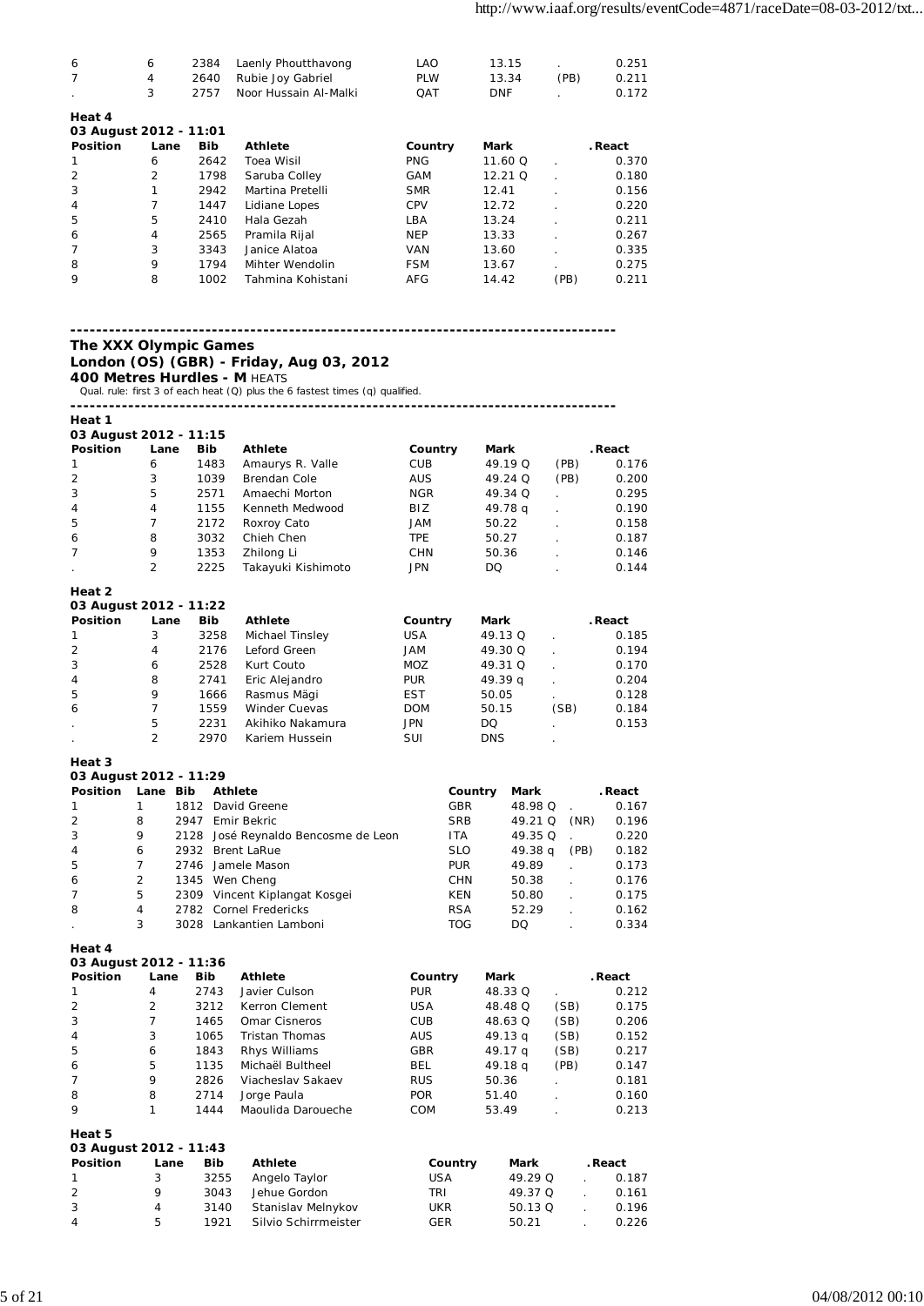| 6                      | 6            | 2384       | Laenly Phoutthavong   | LAO        | 13.15      |      | 0.251   |
|------------------------|--------------|------------|-----------------------|------------|------------|------|---------|
| $\overline{7}$         | 4            | 2640       | Rubie Joy Gabriel     | <b>PLW</b> | 13.34      | (PB) | 0.211   |
| $\mathbf{r}$           | 3            | 2757       | Noor Hussain Al-Malki | <b>OAT</b> | <b>DNF</b> |      | 0.172   |
| Heat 4                 |              |            |                       |            |            |      |         |
| 03 August 2012 - 11:01 |              |            |                       |            |            |      |         |
| <b>Position</b>        | Lane         | <b>Bib</b> | <b>Athlete</b>        | Country    | Mark       |      | . React |
|                        | 6            | 2642       | Toea Wisil            | <b>PNG</b> | 11.60 Q    |      | 0.370   |
| $\overline{2}$         | 2            | 1798       | Saruba Colley         | GAM        | $12.21$ O  |      | 0.180   |
| $\sim$                 | $\mathbf{A}$ |            | $2042 - M + 1$        | CMB        | 10.11      |      | 0.15    |

| 3              |   | 2942 | Martina Pretelli  | <b>SMR</b> | 12.41 |      | 0.156 |
|----------------|---|------|-------------------|------------|-------|------|-------|
| $\overline{4}$ |   | 1447 | Lidiane Lopes     | CPV        | 12.72 |      | 0.220 |
| 5              | 5 | 2410 | Hala Gezah        | LBA        | 13.24 |      | 0.211 |
| 6              | 4 | 2565 | Pramila Rijal     | <b>NEP</b> | 13.33 |      | 0.267 |
|                | 3 | 3343 | Janice Alatoa     | VAN        | 13.60 |      | 0.335 |
| 8              | 9 | 1794 | Mihter Wendolin   | <b>FSM</b> | 13.67 |      | 0.275 |
| 9              | 8 | 1002 | Tahmina Kohistani | AFG        | 14.42 | (PB) | 0.211 |
|                |   |      |                   |            |       |      |       |

### **The XXX Olympic Games**

### **London (OS) (GBR) - Friday, Aug 03, 2012 400 Metres Hurdles - M HEATS**

Qual. rule: first 3 of each heat (Q) plus the 6 fastest times (q) qualified.

**-------------------------------------------------------------------------------------**

| Heat 1                           |                |            |                      |            |            |      |         |
|----------------------------------|----------------|------------|----------------------|------------|------------|------|---------|
| 03 August 2012 - 11:15           |                |            |                      |            |            |      |         |
| <b>Position</b>                  | Lane           | <b>Bib</b> | <b>Athlete</b>       | Country    | Mark       |      | . React |
| 1                                | 6              | 1483       | Amaurys R. Valle     | <b>CUB</b> | 49.19 Q    | (PB) | 0.176   |
| $\overline{2}$                   | 3              | 1039       | <b>Brendan Cole</b>  | <b>AUS</b> | 49.24 Q    | (PB) | 0.200   |
| 3                                | 5              | 2571       | Amaechi Morton       | <b>NGR</b> | 49.34 Q    |      | 0.295   |
| 4                                | 4              | 1155       | Kenneth Medwood      | BIZ        | 49.78 g    |      | 0.190   |
| 5                                | 7              | 2172       | Roxroy Cato          | <b>JAM</b> | 50.22      |      | 0.158   |
| 6                                | 8              | 3032       | Chieh Chen           | <b>TPE</b> | 50.27      |      | 0.187   |
| 7                                | 9              | 1353       | Zhilong Li           | <b>CHN</b> | 50.36      |      | 0.146   |
|                                  | 2              | 2225       | Takayuki Kishimoto   | <b>JPN</b> | DQ.        |      | 0.144   |
| Heat 2                           |                |            |                      |            |            |      |         |
| 03 August 2012 - 11:22           |                |            |                      |            |            |      |         |
| <b>Position</b>                  | Lane           | <b>Bib</b> | Athlete              | Country    | Mark       |      | . React |
| 1                                | 3              | 3258       | Michael Tinsley      | <b>USA</b> | 49.13 Q    |      | 0.185   |
| 2                                | 4              | 2176       | Leford Green         | <b>JAM</b> | 49.30 Q    |      | 0.194   |
| 3                                | 6              | 2528       | Kurt Couto           | <b>MOZ</b> | 49.31 Q    |      | 0.170   |
| 4                                | 8              | 2741       | Eric Alejandro       | <b>PUR</b> | 49.39q     |      | 0.204   |
| 5                                | 9              | 1666       | Rasmus Mägi          | <b>EST</b> | 50.05      |      | 0.128   |
| 6                                | 7              | 1559       | <b>Winder Cuevas</b> | <b>DOM</b> | 50.15      | (SB) | 0.184   |
| ¥,                               | 5              | 2231       | Akihiko Nakamura     | <b>JPN</b> | DQ.        |      | 0.153   |
|                                  | $\overline{2}$ | 2970       | Kariem Hussein       | SUI        | <b>DNS</b> |      |         |
| Heat 3<br>03 August 2012 - 11:29 |                |            |                      |            |            |      |         |

| Position       | Lane Bib |      | <b>Athlete</b>                      | Country    | Mark               |      | . React |
|----------------|----------|------|-------------------------------------|------------|--------------------|------|---------|
|                |          | 1812 | David Greene                        | GBR        | 48.98 Q            |      | 0.167   |
| 2              | 8        | 2947 | Emir Bekric                         | <b>SRB</b> | 49.21 Q            | (NR) | 0.196   |
| 3              | 9        |      | 2128 José Reynaldo Bencosme de Leon | <b>ITA</b> | 49.35 Q            |      | 0.220   |
| $\overline{4}$ | 6        | 2932 | <b>Brent LaRue</b>                  | <b>SLO</b> | 49.38 <sub>a</sub> | (PB) | 0.182   |
| 5              |          |      | 2746 Jamele Mason                   | <b>PUR</b> | 49.89              |      | 0.173   |
| 6              | 2        |      | 1345 Wen Cheng                      | <b>CHN</b> | 50.38              |      | 0.176   |
| $\overline{7}$ | 5        |      | 2309 Vincent Kiplangat Kosgei       | KEN        | 50.80              |      | 0.175   |
| 8              | 4        |      | 2782 Cornel Fredericks              | <b>RSA</b> | 52.29              |      | 0.162   |
|                | 3        | 3028 | Lankantien Lamboni                  | <b>TOG</b> | DO                 |      | 0.334   |

**Heat 4**

**03 August 2012 - 11:36**

| <b>Position</b>                  | Lane           | <b>Bib</b> | <b>Athlete</b>     | Country    | <b>Mark</b> |      | . React |
|----------------------------------|----------------|------------|--------------------|------------|-------------|------|---------|
|                                  | 4              | 2743       | Javier Culson      | <b>PUR</b> | 48.33 Q     |      | 0.212   |
| $\overline{2}$                   | $\overline{2}$ | 3212       | Kerron Clement     | <b>USA</b> | 48.48 Q     | (SB) | 0.175   |
| 3                                |                | 1465       | Omar Cisneros      | <b>CUB</b> | 48.63 Q     | (SB) | 0.206   |
| 4                                | 3              | 1065       | Tristan Thomas     | <b>AUS</b> | 49.13q      | (SB) | 0.152   |
| 5                                | 6              | 1843       | Rhys Williams      | <b>GBR</b> | 49.17 g     | (SB) | 0.217   |
| 6                                | 5              | 1135       | Michaël Bultheel   | <b>BEL</b> | 49.18 g     | (PB) | 0.147   |
| 7                                | 9              | 2826       | Viacheslav Sakaev  | <b>RUS</b> | 50.36       |      | 0.181   |
| 8                                | 8              | 2714       | Jorge Paula        | <b>POR</b> | 51.40       |      | 0.160   |
| 9                                |                | 1444       | Maoulida Daroueche | <b>COM</b> | 53.49       |      | 0.213   |
| Heat 5<br>03 August 2012 - 11:43 |                |            |                    |            |             |      |         |
| Position                         | ane            | <b>Rih</b> | <b>Athlete</b>     | Country    | Mark        |      | React   |

| <b>Position</b> | Lane | Bib  | Athlete              | Country | Mark    | . React |
|-----------------|------|------|----------------------|---------|---------|---------|
| -1              | 3    | 3255 | Angelo Taylor        | USA     | 49.29 O | 0.187   |
| 2               |      | 3043 | Jehue Gordon         | TRI     | 49.37 O | 0.161   |
| 3               |      | 3140 | Stanislav Melnykov   | UKR     | 50.13 Q | 0.196   |
| 4               | 5    | 1921 | Silvio Schirrmeister | GER     | 50.21   | 0.226   |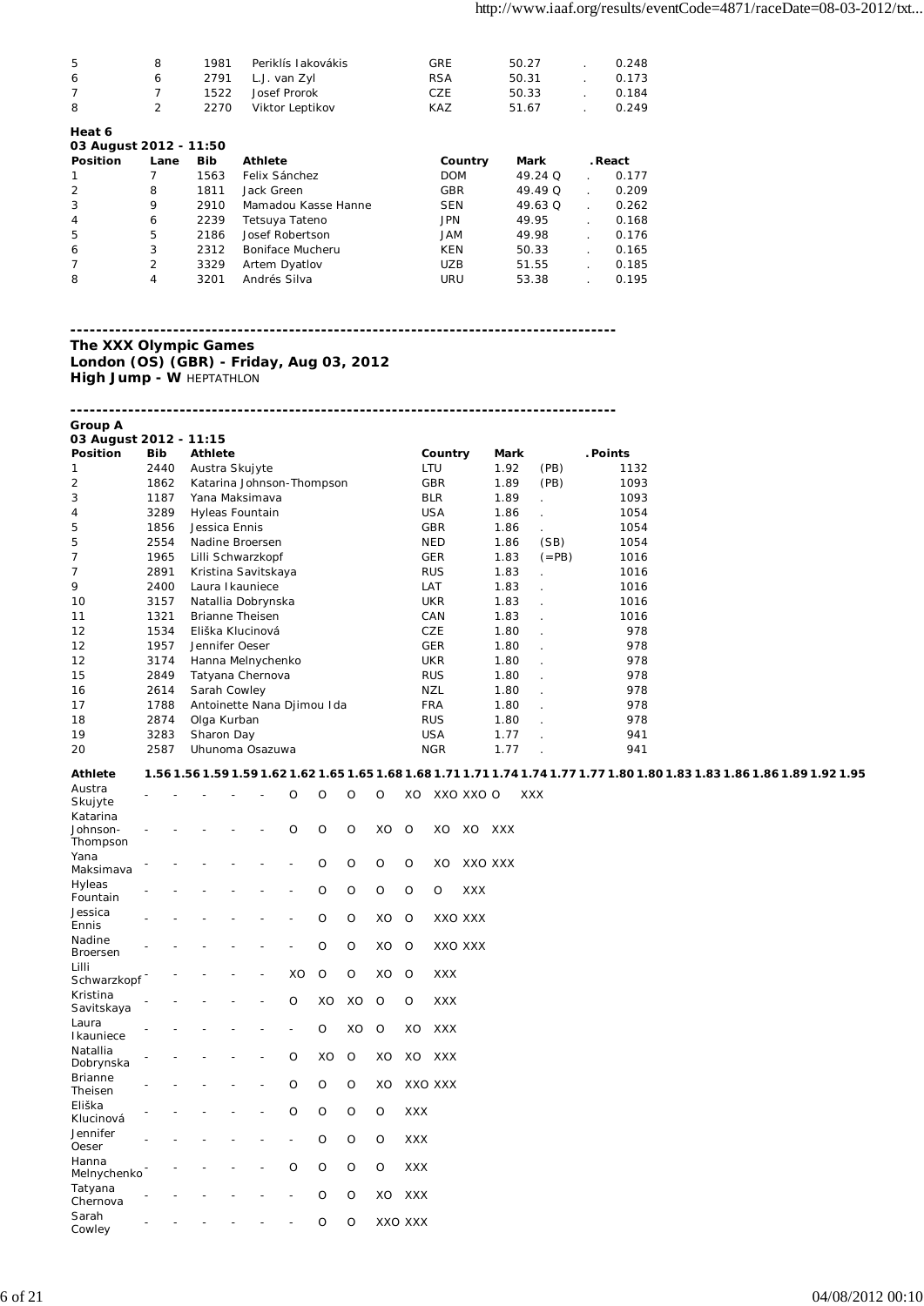| -5             | 8 | 1981 | Periklís lakovákis | <b>GRE</b> | 50.27 | 0.248 |
|----------------|---|------|--------------------|------------|-------|-------|
| 6              | 6 | 2791 | L.J. van Zyl       | <b>RSA</b> | 50.31 | 0.173 |
| $\overline{7}$ |   | 1522 | Josef Prorok       | <b>CZE</b> | 50.33 | 0.184 |
| 8              | 2 | 2270 | Viktor Leptikov    | <b>KAZ</b> | 51.67 | 0.249 |
| Heat 6         |   |      |                    |            |       |       |

| 03 August 2012 - 11:50 |                |            |                     |            |         |         |
|------------------------|----------------|------------|---------------------|------------|---------|---------|
| Position               | Lane           | <b>Bib</b> | <b>Athlete</b>      | Country    | Mark    | . React |
|                        |                | 1563       | Felix Sánchez       | <b>DOM</b> | 49.24 Q | 0.177   |
|                        | 8              | 1811       | Jack Green          | <b>GBR</b> | 49.49 Q | 0.209   |
| 3                      | 9              | 2910       | Mamadou Kasse Hanne | <b>SEN</b> | 49.63 Q | 0.262   |
| $\overline{4}$         | 6              | 2239       | Tetsuya Tateno      | <b>JPN</b> | 49.95   | 0.168   |
| 5                      | 5              | 2186       | Josef Robertson     | JAM        | 49.98   | 0.176   |
| 6                      | 3              | 2312       | Boniface Mucheru    | KEN        | 50.33   | 0.165   |
|                        | $\overline{2}$ | 3329       | Artem Dyatlov       | <b>UZB</b> | 51.55   | 0.185   |
| 8                      | 4              | 3201       | Andrés Silva        | URU        | 53.38   | 0.195   |

**Group A**

**London (OS) (GBR) - Friday, Aug 03, 2012 High Jump - W HEPTATHLON** 

**-------------------------------------------------------------------------------------**

| 03 August 2012 - 11:15 |            |                            |            |      |         |          |
|------------------------|------------|----------------------------|------------|------|---------|----------|
| <b>Position</b>        | <b>Bib</b> | <b>Athlete</b>             | Country    | Mark |         | . Points |
| 1                      | 2440       | Austra Skujyte             | LTU        | 1.92 | (PB)    | 1132     |
| 2                      | 1862       | Katarina Johnson-Thompson  | GBR        | 1.89 | (PB)    | 1093     |
| 3                      | 1187       | Yana Maksimava             | <b>BLR</b> | 1.89 |         | 1093     |
| 4                      | 3289       | Hyleas Fountain            | <b>USA</b> | 1.86 |         | 1054     |
| 5                      | 1856       | Jessica Ennis              | <b>GBR</b> | 1.86 |         | 1054     |
| 5                      | 2554       | Nadine Broersen            | <b>NED</b> | 1.86 | (SB)    | 1054     |
| $\overline{7}$         | 1965       | Lilli Schwarzkopf          | <b>GER</b> | 1.83 | $(=PB)$ | 1016     |
| $\overline{7}$         | 2891       | Kristina Savitskaya        | <b>RUS</b> | 1.83 |         | 1016     |
| 9                      | 2400       | Laura I kauniece           | LAT        | 1.83 |         | 1016     |
| 10                     | 3157       | Natallia Dobrynska         | <b>UKR</b> | 1.83 |         | 1016     |
| 11                     | 1321       | <b>Brianne Theisen</b>     | CAN        | 1.83 |         | 1016     |
| 12                     | 1534       | Eliška Klucinová           | <b>CZE</b> | 1.80 |         | 978      |
| 12                     | 1957       | Jennifer Oeser             | <b>GER</b> | 1.80 |         | 978      |
| 12                     | 3174       | Hanna Melnychenko          | <b>UKR</b> | 1.80 |         | 978      |
| 15                     | 2849       | Tatyana Chernova           | <b>RUS</b> | 1.80 |         | 978      |
| 16                     | 2614       | Sarah Cowley               | NZL        | 1.80 |         | 978      |
| 17                     | 1788       | Antoinette Nana Djimou Ida | <b>FRA</b> | 1.80 |         | 978      |
| 18                     | 2874       | Olga Kurban                | <b>RUS</b> | 1.80 |         | 978      |
| 19                     | 3283       | Sharon Day                 | <b>USA</b> | 1.77 |         | 941      |
| 20                     | 2587       | Uhunoma Osazuwa            | <b>NGR</b> | 1.77 |         | 941      |

### **Athlete 1.56 1.56 1.59 1.59 1.62 1.62 1.65 1.65 1.68 1.68 1.71 1.71 1.74 1.74 1.77 1.77 1.80 1.80 1.83 1.83 1.86 1.86 1.89 1.92 1.95**

| Austra<br>Skujyte                |  |  | O              | O       | O       | O        | XO         |            | XXO XXO O  |            | XXX |
|----------------------------------|--|--|----------------|---------|---------|----------|------------|------------|------------|------------|-----|
| Katarina<br>Johnson-<br>Thompson |  |  | $\circ$        | $\circ$ | O       | XO       | O          | XO         | XO         | <b>XXX</b> |     |
| Yana<br>Maksimava                |  |  |                | $\circ$ | $\circ$ | $\circ$  | O          | XO         |            | XXO XXX    |     |
| Hyleas<br>Fountain               |  |  |                | $\circ$ | $\circ$ | $\circ$  | $\circ$    | O          | <b>XXX</b> |            |     |
| Jessica<br>Ennis                 |  |  |                | $\circ$ | $\circ$ | XO       | $\circ$    |            | XXO XXX    |            |     |
| Nadine<br>Broersen               |  |  | $\overline{a}$ | $\circ$ | $\circ$ | XO       | $\circ$    |            | XXO XXX    |            |     |
| Lilli<br>Schwarzkopf             |  |  | XO             | O       | O       | XO       | O          | <b>XXX</b> |            |            |     |
| Kristina<br>Savitskaya           |  |  | O              | XO      | XO      | $\circ$  | $\circ$    | <b>XXX</b> |            |            |     |
| Laura<br>Ikauniece               |  |  | -              | $\circ$ | XO      | $\circ$  | XO         | <b>XXX</b> |            |            |     |
| Natallia<br>Dobrynska            |  |  | $\circ$        | XO      | $\circ$ | XO       | XO         | <b>XXX</b> |            |            |     |
| <b>Brianne</b><br>Theisen        |  |  | $\circ$        | O       | O       | XO       |            | XXO XXX    |            |            |     |
| Eliška<br>Klucinová              |  |  | $\circ$        | $\circ$ | $\circ$ | $\Omega$ | <b>XXX</b> |            |            |            |     |
| Jennifer<br>Oeser                |  |  |                | $\circ$ | $\circ$ | $\circ$  | <b>XXX</b> |            |            |            |     |
| Hanna<br>Melnychenko             |  |  | $\circ$        | O       | O       | $\circ$  | <b>XXX</b> |            |            |            |     |
| Tatyana<br>Chernova              |  |  | $\overline{a}$ | O       | O       | XO       | <b>XXX</b> |            |            |            |     |
| Sarah<br>Cowley                  |  |  |                | $\circ$ | $\circ$ |          | XXO XXX    |            |            |            |     |

**The XXX Olympic Games**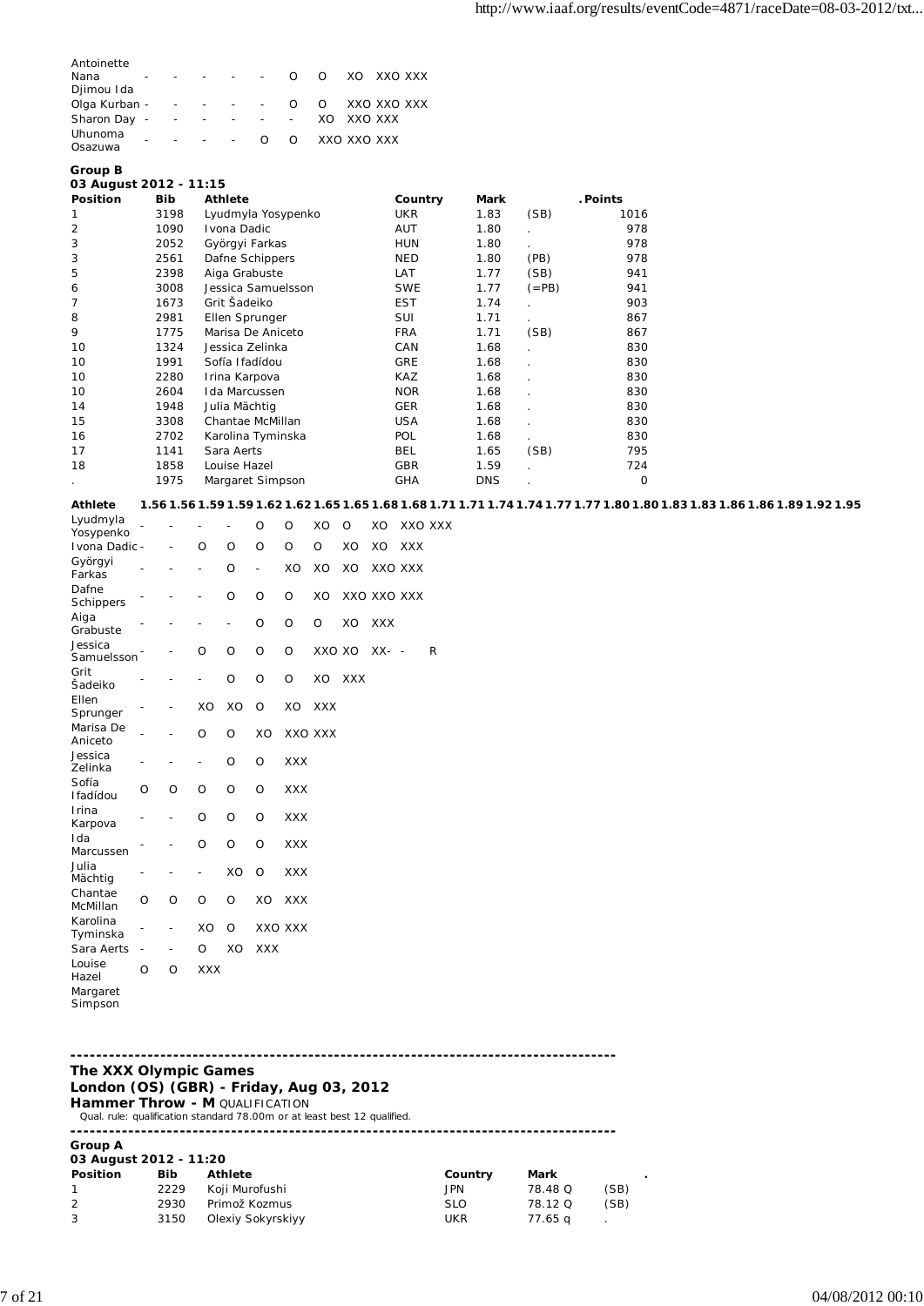| Antoinette<br>Nana<br>Djimou Ida |   |                   |                   |                          | $\Omega$                 | $\Omega$    |         | XO XXO XXX  |  |
|----------------------------------|---|-------------------|-------------------|--------------------------|--------------------------|-------------|---------|-------------|--|
| Olga Kurban -                    |   |                   |                   | $\sim 100$               | $\Omega$                 | $\Omega$    |         | XXO XXO XXX |  |
| Sharon Day -                     |   | $\qquad \qquad -$ | $\qquad \qquad -$ | <b>Contract Contract</b> | $\overline{\phantom{a}}$ | XO.         | XXO XXX |             |  |
| Uhunoma<br>Osazuwa               | - |                   | $\sim$ 10 $\pm$   | $\Omega$                 | $\Omega$                 | XXO XXO XXX |         |             |  |

### **Group B**

### **03 August 2012 - 11:15 Position Bib Athlete Country Mark . Points**

| 3198 | Lyudmyla Yosypenko | <b>UKR</b> | 1.83       | (SB)    | 1016 |
|------|--------------------|------------|------------|---------|------|
| 1090 | Ivona Dadic        | AUT        | 1.80       |         | 978  |
| 2052 | Györgyi Farkas     | <b>HUN</b> | 1.80       |         | 978  |
| 2561 | Dafne Schippers    | <b>NED</b> | 1.80       | (PB)    | 978  |
| 2398 | Aiga Grabuste      | LAT        | 1.77       | (SB)    | 941  |
| 3008 | Jessica Samuelsson | <b>SWE</b> | 1.77       | $(=PB)$ | 941  |
| 1673 | Grit Šadeiko       | <b>EST</b> | 1.74       |         | 903  |
| 2981 | Ellen Sprunger     | SUI        | 1.71       |         | 867  |
| 1775 | Marisa De Aniceto  | <b>FRA</b> | 1.71       | (SB)    | 867  |
| 1324 | Jessica Zelinka    | CAN        | 1.68       |         | 830  |
| 1991 | Sofía Ifadídou     | <b>GRE</b> | 1.68       |         | 830  |
| 2280 | Irina Karpova      | KAZ        | 1.68       |         | 830  |
| 2604 | Ida Marcussen      | <b>NOR</b> | 1.68       |         | 830  |
| 1948 | Julia Mächtig      | <b>GER</b> | 1.68       |         | 830  |
| 3308 | Chantae McMillan   | <b>USA</b> | 1.68       |         | 830  |
| 2702 | Karolina Tyminska  | <b>POL</b> | 1.68       |         | 830  |
| 1141 | Sara Aerts         | BEL.       | 1.65       | (SB)    | 795  |
| 1858 | Louise Hazel       | <b>GBR</b> | 1.59       |         | 724  |
| 1975 | Margaret Simpson   | <b>GHA</b> | <b>DNS</b> |         | 0    |
|      |                    |            |            |         |      |

#### **Athlete 1.56 1.56 1.59 1.59 1.62 1.62 1.65 1.65 1.68 1.68 1.71 1.71 1.74 1.74 1.77 1.77 1.80 1.80 1.83 1.83 1.86 1.86 1.89 1.92 1.95** Lyudmyla

| Lyuuniyid<br>Yosypenko |                |                |                          | -       | O              | O          | XO         | O          | XO          | XXO XXX                  |   |
|------------------------|----------------|----------------|--------------------------|---------|----------------|------------|------------|------------|-------------|--------------------------|---|
| Ivona Dadic -          |                |                | $\Omega$                 | O       | O              | O          | O          | XO         | XO          | <b>XXX</b>               |   |
| Györgyi<br>Farkas      |                |                | $\overline{\phantom{0}}$ | O       | $\overline{a}$ | XO         | XO         | XO         | XXO XXX     |                          |   |
| Dafne<br>Schippers     |                |                |                          | O       | O              | O          | XO         |            | XXO XXO XXX |                          |   |
| Aiga<br>Grabuste       |                |                |                          | -       | O              | O          | O          | XO         | <b>XXX</b>  |                          |   |
| Jessica<br>Samuelsson  |                |                | $\circ$                  | $\circ$ | O              | O          | XXO XO     |            | $XX-$       | $\overline{\phantom{a}}$ | R |
| Grit<br>Šadeiko        |                |                |                          | $\circ$ | O              | O          | XO         | <b>XXX</b> |             |                          |   |
| Ellen<br>Sprunger      |                |                | XO                       | XO      | O              | XO         | <b>XXX</b> |            |             |                          |   |
| Marisa De<br>Aniceto   |                |                | $\circ$                  | $\circ$ | XO             |            | XXO XXX    |            |             |                          |   |
| Jessica<br>Zelinka     | $\overline{a}$ | $\overline{a}$ | $\qquad \qquad -$        | O       | O              | <b>XXX</b> |            |            |             |                          |   |
| Sofía<br>Ifadídou      | O              | O              | $\circ$                  | O       | O              | XXX        |            |            |             |                          |   |
| Irina<br>Karpova       |                |                | $\circ$                  | O       | O              | <b>XXX</b> |            |            |             |                          |   |
| Ida<br>Marcussen       |                |                | $\circ$                  | $\circ$ | O              | <b>XXX</b> |            |            |             |                          |   |
| Julia<br>Mächtig       |                |                |                          | XO      | O              | <b>XXX</b> |            |            |             |                          |   |
| Chantae<br>McMillan    | $\circ$        | O              | O                        | $\circ$ | XO             | <b>XXX</b> |            |            |             |                          |   |
| Karolina<br>Tyminska   |                |                | XO                       | $\circ$ | XXO XXX        |            |            |            |             |                          |   |
| Sara Aerts             |                |                | $\Omega$                 | XO      | <b>XXX</b>     |            |            |            |             |                          |   |
| Louise<br>Hazel        | O              | O              | <b>XXX</b>               |         |                |            |            |            |             |                          |   |
| Margaret               |                |                |                          |         |                |            |            |            |             |                          |   |

# Simpson

### **------------------------------------------------------------------------------------- The XXX Olympic Games London (OS) (GBR) - Friday, Aug 03, 2012 Hammer Throw - M QUALIFICATION**

Qual. rule: qualification standard 78.00m or at least best 12 qualified. **------------------------------------------------------------------------------------- Group A 03 August 2012 - 11:20**

| <b>Position</b> | <b>Bib</b> | Athlete           | Country    | Mark    |      |
|-----------------|------------|-------------------|------------|---------|------|
|                 | 2229       | Koji Murofushi    | JPN.       | 78.48 Q | (SB) |
| 2               | 2930       | Primož Kozmus     | <b>SLO</b> | 78.12 Q | (SB) |
| -3              | 3150       | Olexiy Sokyrskiyy | UKR        | 77.65 a |      |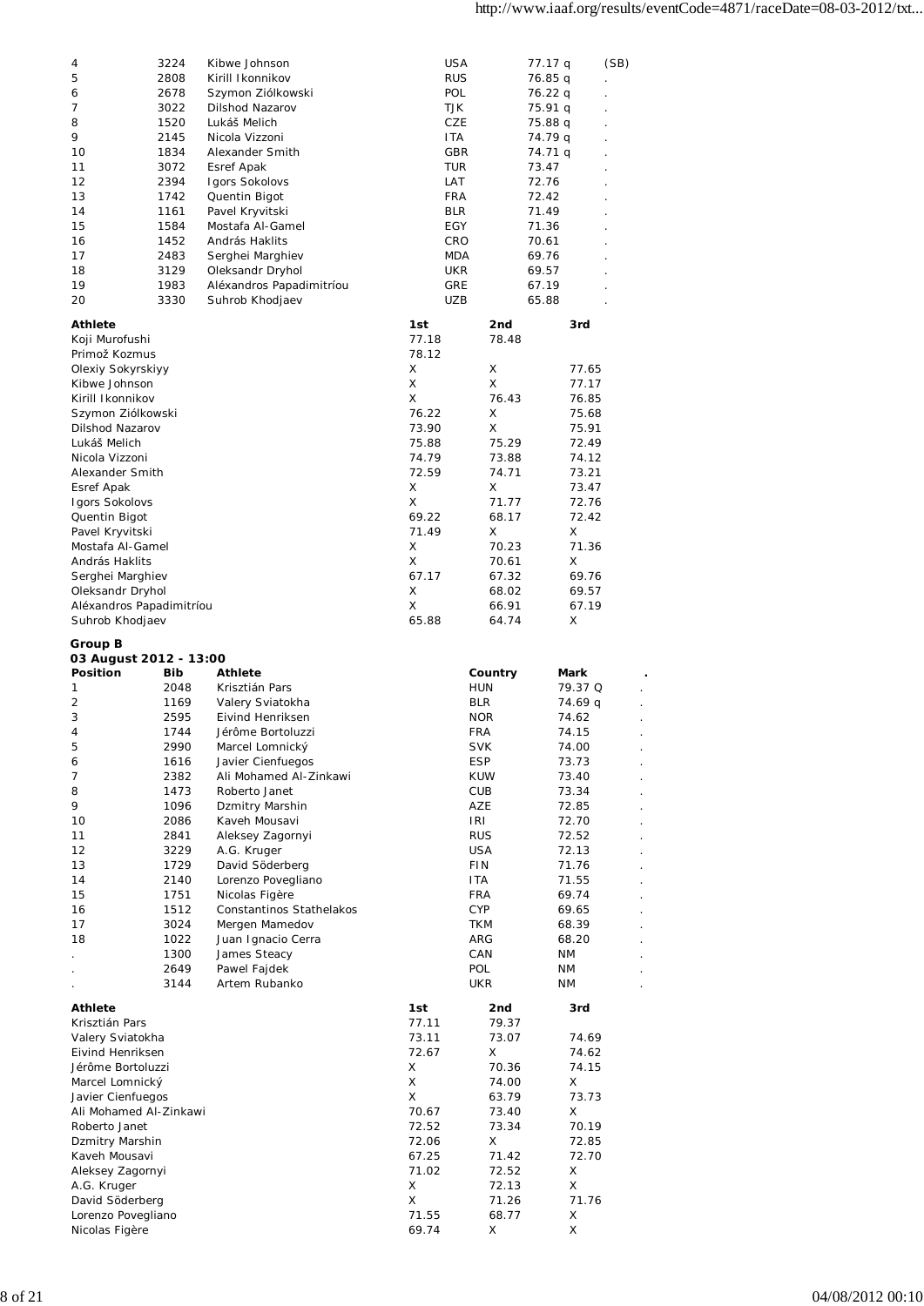| 4                        | 3224 | Kibwe Johnson            | <b>USA</b> |            |         |      |
|--------------------------|------|--------------------------|------------|------------|---------|------|
|                          |      | Kirill Ikonnikov         |            |            | 77.17 q | (SB) |
| 5                        | 2808 |                          | <b>RUS</b> |            | 76.85 q |      |
| 6                        | 2678 | Szymon Ziólkowski        | POL        |            | 76.22 q |      |
| 7                        | 3022 | Dilshod Nazarov          | TJK        |            | 75.91 q |      |
| 8                        | 1520 | Lukáš Melich             | CZE        |            | 75.88 q |      |
| 9                        | 2145 | Nicola Vizzoni           | <b>ITA</b> |            | 74.79 q |      |
| 10                       | 1834 | Alexander Smith          | <b>GBR</b> |            | 74.71 q |      |
| 11                       | 3072 | Esref Apak               | TUR        |            | 73.47   |      |
| 12                       | 2394 | Igors Sokolovs           | LAT        |            | 72.76   |      |
| 13                       | 1742 | Quentin Bigot            | <b>FRA</b> |            | 72.42   |      |
| 14                       | 1161 | Pavel Kryvitski          | <b>BLR</b> |            | 71.49   |      |
|                          |      |                          |            |            |         |      |
| 15                       | 1584 | Mostafa Al-Gamel         | EGY        |            | 71.36   |      |
| 16                       | 1452 | András Haklits           | CRO        |            | 70.61   |      |
| 17                       | 2483 | Serghei Marghiev         | <b>MDA</b> |            | 69.76   |      |
| 18                       | 3129 | Oleksandr Dryhol         | UKR        |            | 69.57   |      |
| 19                       | 1983 | Aléxandros Papadimitríou | <b>GRE</b> |            | 67.19   |      |
| 20                       | 3330 | Suhrob Khodjaev          | UZB        |            | 65.88   |      |
|                          |      |                          |            |            |         |      |
| <b>Athlete</b>           |      |                          | 1st        | 2nd        | 3rd     |      |
| Koji Murofushi           |      |                          | 77.18      | 78.48      |         |      |
| Primož Kozmus            |      |                          | 78.12      |            |         |      |
| Olexiy Sokyrskiyy        |      |                          | X          | Χ          | 77.65   |      |
| Kibwe Johnson            |      |                          | X          | X          | 77.17   |      |
|                          |      |                          | X          |            |         |      |
| Kirill Ikonnikov         |      |                          |            | 76.43      | 76.85   |      |
| Szymon Ziólkowski        |      |                          | 76.22      | Χ          | 75.68   |      |
| <b>Dilshod Nazarov</b>   |      |                          | 73.90      | X          | 75.91   |      |
| Lukáš Melich             |      |                          | 75.88      | 75.29      | 72.49   |      |
| Nicola Vizzoni           |      |                          | 74.79      | 73.88      | 74.12   |      |
| Alexander Smith          |      |                          | 72.59      | 74.71      | 73.21   |      |
| Esref Apak               |      |                          | X          | Χ          | 73.47   |      |
| Igors Sokolovs           |      |                          | X          | 71.77      | 72.76   |      |
|                          |      |                          | 69.22      | 68.17      | 72.42   |      |
| Quentin Bigot            |      |                          |            |            |         |      |
| Pavel Kryvitski          |      |                          | 71.49      | Χ          | X       |      |
| Mostafa Al-Gamel         |      |                          | X          | 70.23      | 71.36   |      |
| András Haklits           |      |                          | X          | 70.61      | X       |      |
| Serghei Marghiev         |      |                          | 67.17      | 67.32      | 69.76   |      |
| Oleksandr Dryhol         |      |                          | X          | 68.02      | 69.57   |      |
| Aléxandros Papadimitríou |      |                          | X          | 66.91      | 67.19   |      |
| Suhrob Khodjaev          |      |                          | 65.88      | 64.74      | х       |      |
|                          |      |                          |            |            |         |      |
| Group B                  |      |                          |            |            |         |      |
|                          |      |                          |            |            |         |      |
| 03 August 2012 - 13:00   |      |                          |            |            |         |      |
| <b>Position</b>          | Bib  | Athlete                  |            |            | Mark    |      |
|                          | 2048 |                          |            | Country    |         |      |
| 1                        |      | Krisztián Pars           |            | <b>HUN</b> | 79.37 Q |      |
| 2                        | 1169 | Valery Sviatokha         |            | BLR        | 74.69 q |      |
| 3                        | 2595 | Eivind Henriksen         |            | <b>NOR</b> | 74.62   |      |
| 4                        | 1744 | Jérôme Bortoluzzi        |            | <b>FRA</b> | 74.15   |      |
| 5                        | 2990 | Marcel Lomnický          |            | <b>SVK</b> | 74.00   |      |
| 6                        | 1616 | Javier Cienfuegos        |            | <b>ESP</b> | 73.73   |      |
| 7                        | 2382 | Ali Mohamed Al-Zinkawi   |            | <b>KUW</b> | 73.40   |      |
| 8                        | 1473 | Roberto Janet            |            | CUB        | 73.34   |      |
| 9                        | 1096 | Dzmitry Marshin          |            | AZE        | 72.85   |      |
| 10                       | 2086 | Kaveh Mousavi            |            | IRI        | 72.70   |      |
|                          |      |                          |            |            |         |      |
| 11                       | 2841 | Aleksey Zagornyi         |            | <b>RUS</b> | 72.52   |      |
| 12                       | 3229 | A.G. Kruger              |            | <b>USA</b> | 72.13   |      |
| 13                       | 1729 | David Söderberg          |            | <b>FIN</b> | 71.76   |      |
| 14                       | 2140 | Lorenzo Povegliano       |            | ITA.       | 71.55   |      |
| 15                       | 1751 | Nicolas Figère           |            | FRA        | 69.74   |      |
| 16                       | 1512 | Constantinos Stathelakos |            | <b>CYP</b> | 69.65   |      |
| 17                       | 3024 | Mergen Mamedov           |            | <b>TKM</b> | 68.39   |      |
| 18                       | 1022 | Juan Ignacio Cerra       |            | ARG        | 68.20   |      |
|                          | 1300 | James Steacy             |            | CAN        | ΝM      |      |
|                          | 2649 | Pawel Fajdek             |            | POL        | ΝM      |      |
|                          |      | Artem Rubanko            |            |            |         |      |
|                          | 3144 |                          |            | <b>UKR</b> | ΝM      |      |
| <b>Athlete</b>           |      |                          | 1st        | 2nd        | 3rd     |      |
| Krisztián Pars           |      |                          | 77.11      | 79.37      |         |      |
| Valery Sviatokha         |      |                          | 73.11      | 73.07      | 74.69   |      |
|                          |      |                          |            | Χ          |         |      |
| Eivind Henriksen         |      |                          | 72.67      |            | 74.62   |      |
| Jérôme Bortoluzzi        |      |                          | Χ          | 70.36      | 74.15   |      |
| Marcel Lomnický          |      |                          | X          | 74.00      | X       |      |
| Javier Cienfuegos        |      |                          | X          | 63.79      | 73.73   |      |
| Ali Mohamed Al-Zinkawi   |      |                          | 70.67      | 73.40      | Χ       |      |
| Roberto Janet            |      |                          | 72.52      | 73.34      | 70.19   |      |
| Dzmitry Marshin          |      |                          | 72.06      | X          | 72.85   |      |
| Kaveh Mousavi            |      |                          | 67.25      | 71.42      | 72.70   |      |
| Aleksey Zagornyi         |      |                          | 71.02      | 72.52      | X       |      |
| A.G. Kruger              |      |                          | X          | 72.13      | X       |      |
| David Söderberg          |      |                          | X          | 71.26      | 71.76   |      |
| Lorenzo Povegliano       |      |                          | 71.55      | 68.77      | X       |      |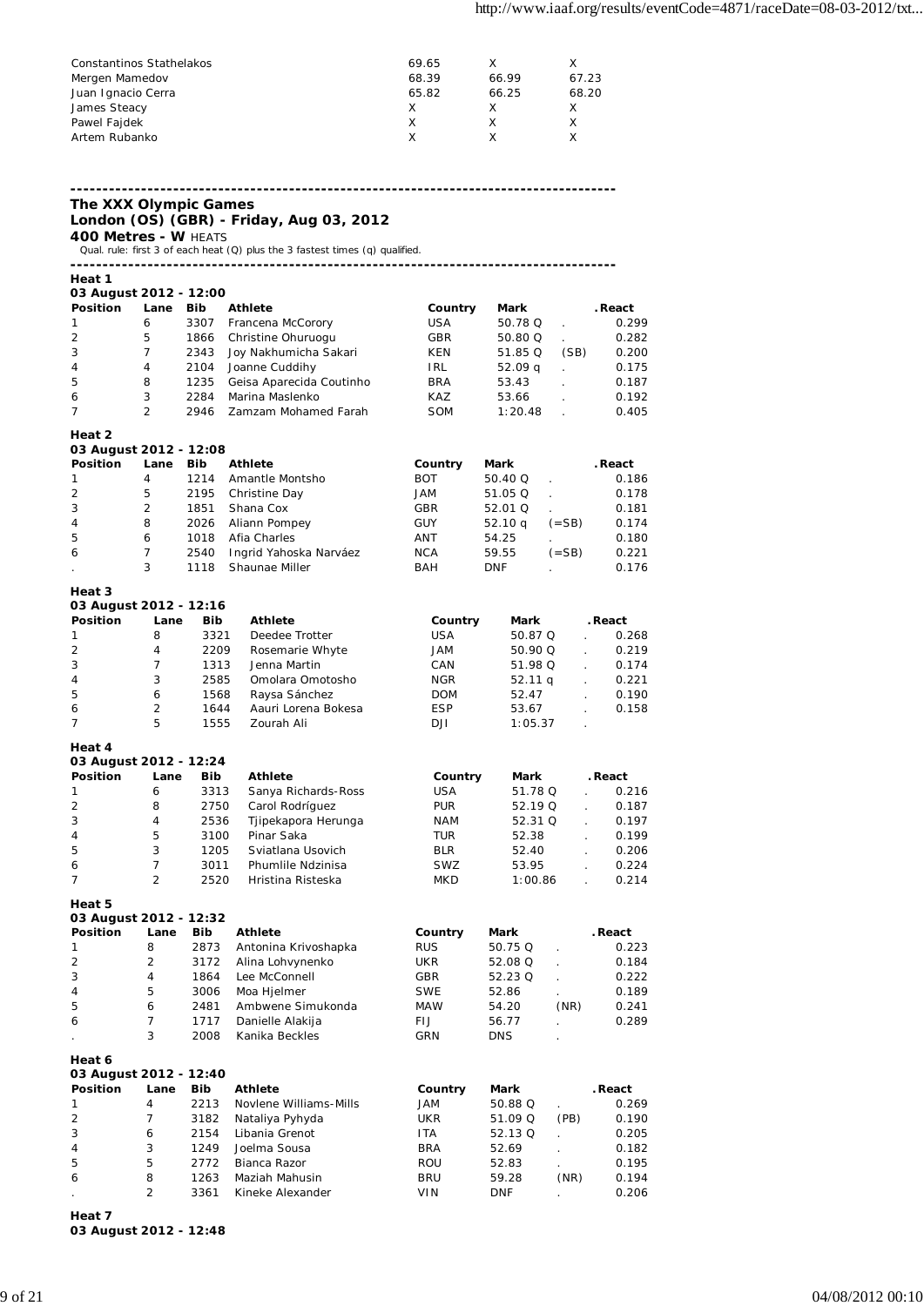| Constantinos Stathelakos | 69.65 |       |       |
|--------------------------|-------|-------|-------|
| Mergen Mamedov           | 68.39 | 66.99 | 67.23 |
| Juan Ignacio Cerra       | 65.82 | 66.25 | 68.20 |
| James Steacy             | X     |       |       |
| Pawel Fajdek             | X     |       |       |
| Artem Rubanko            | x     |       |       |
|                          |       |       |       |

**The XXX Olympic Games**

**London (OS) (GBR) - Friday, Aug 03, 2012**

**400 Metres - W** HEATS Qual. rule: first 3 of each heat (Q) plus the 3 fastest times (q) qualified.

**-------------------------------------------------------------------------------------**

**Heat 1**

| 03 August 2012 - 12:00 |                |              |                                    |            |                     |                |                |
|------------------------|----------------|--------------|------------------------------------|------------|---------------------|----------------|----------------|
| <b>Position</b>        | Lane           | Bib          | Athlete                            | Country    | Mark                |                | . React        |
| 1                      | 6              | 3307         | Francena McCorory                  | <b>USA</b> | 50.78 Q             |                | 0.299          |
| 2                      | 5              | 1866         | Christine Ohuruogu                 | GBR        | 50.80 Q             | ä,             | 0.282          |
| 3                      | $\overline{7}$ | 2343         | Joy Nakhumicha Sakari              | KEN        | 51.85 Q             | (SB)           | 0.200          |
| 4                      | 4              | 2104         | Joanne Cuddihy                     | <b>IRL</b> | 52.09 q             |                | 0.175          |
| 5                      | 8              | 1235         | Geisa Aparecida Coutinho           | <b>BRA</b> | 53.43               |                | 0.187          |
| 6                      | 3              | 2284         | Marina Maslenko                    | KAZ        | 53.66               |                | 0.192          |
| 7                      | $\overline{2}$ | 2946         | Zamzam Mohamed Farah               | SOM        | 1:20.48             |                | 0.405          |
|                        |                |              |                                    |            |                     |                |                |
| Heat 2                 |                |              |                                    |            |                     |                |                |
| 03 August 2012 - 12:08 |                |              |                                    |            |                     |                |                |
| Position               | Lane           | <b>Bib</b>   | <b>Athlete</b>                     | Country    | Mark                |                | . React        |
| 1                      | 4              | 1214         | Amantle Montsho                    | <b>BOT</b> | 50.40 Q             | l.             | 0.186          |
| 2                      | 5              | 2195         | Christine Day                      | JAM        | 51.05 Q             | $\overline{a}$ | 0.178          |
| 3                      | 2              | 1851         | Shana Cox                          | GBR        | 52.01 Q             |                | 0.181          |
| 4                      | 8              | 2026         | Aliann Pompey                      | <b>GUY</b> | 52.10 q             | $( = SB)$      | 0.174          |
| 5                      | 6              | 1018         | Afia Charles                       | ANT        | 54.25               |                | 0.180          |
| 6                      | 7              | 2540         | Ingrid Yahoska Narváez             | <b>NCA</b> | 59.55               | $( = SB)$      | 0.221          |
|                        | 3              | 1118         | Shaunae Miller                     | BAH        | <b>DNF</b>          |                | 0.176          |
|                        |                |              |                                    |            |                     |                |                |
| Heat 3                 |                |              |                                    |            |                     |                |                |
| 03 August 2012 - 12:16 |                |              |                                    |            |                     |                |                |
| Position               | Lane           | <b>Bib</b>   | <b>Athlete</b>                     | Country    | Mark                |                | . React        |
| 1                      | 8              | 3321         | Deedee Trotter                     | <b>USA</b> | 50.87 Q             | L.             | 0.268          |
| 2                      | 4              | 2209         | Rosemarie Whyte                    | MAL        | 50.90 Q             |                | 0.219          |
| 3                      | $\overline{7}$ | 1313         | Jenna Martin                       | CAN        | 51.98 Q             | L.             | 0.174          |
| 4                      | 3              | 2585         | Omolara Omotosho                   | <b>NGR</b> | 52.11 g             |                | 0.221          |
| 5                      | 6              | 1568         | Raysa Sánchez                      | <b>DOM</b> | 52.47               |                | 0.190          |
| 6                      | $\overline{2}$ | 1644         | Aauri Lorena Bokesa                | <b>ESP</b> | 53.67               |                | 0.158          |
| 7                      | 5              | 1555         | Zourah Ali                         | DJI        | 1:05.37             |                |                |
|                        |                |              |                                    |            |                     |                |                |
| Heat 4                 |                |              |                                    |            |                     |                |                |
| 03 August 2012 - 12:24 |                |              |                                    |            |                     |                |                |
|                        |                |              |                                    |            |                     |                |                |
| Position               | Lane           | Bib          | <b>Athlete</b>                     | Country    | Mark                |                | . React        |
| 1                      | 6              | 3313         | Sanya Richards-Ross                | <b>USA</b> | 51.78 Q             |                | 0.216          |
| 2                      | 8              | 2750         | Carol Rodríguez                    | <b>PUR</b> | 52.19 Q             | $\mathbf{r}$   | 0.187          |
| 3                      | 4              | 2536         | Tjipekapora Herunga                | <b>NAM</b> | 52.31 Q             | ÷.             | 0.197          |
| 4                      | 5              | 3100         | Pinar Saka                         | TUR        | 52.38               | $\mathbf{r}$   | 0.199          |
| 5                      | 3              | 1205         | Sviatlana Usovich                  | <b>BLR</b> | 52.40               | t.             | 0.206          |
| 6                      | 7              | 3011         | Phumlile Ndzinisa                  | SWZ        | 53.95               |                | 0.224          |
| 7                      | $\overline{2}$ | 2520         | Hristina Risteska                  | MKD        | 1:00.86             | l.             | 0.214          |
|                        |                |              |                                    |            |                     |                |                |
| Heat 5                 |                |              |                                    |            |                     |                |                |
| 03 August 2012 - 12:32 |                |              |                                    |            |                     |                |                |
| <b>Position</b>        | Lane           | Bib          | Athlete                            | Country    | Mark                |                | . React        |
| 1                      | 8              | 2873         | Antonina Krivoshapka               | RUS        | 50.75 Q             |                | 0.223          |
| 2                      | $\overline{2}$ | 3172         | Alina Lohvynenko                   | UKR        | 52.08 Q             |                | 0.184          |
| 3                      | 4              | 1864         | Lee McConnell                      | GBR        | 52.23 Q             |                | 0.222          |
| 4                      | 5              | 3006         | Moa Hjelmer                        | <b>SWE</b> | 52.86               |                | 0.189          |
| 5                      | 6              | 2481         | Ambwene Simukonda                  | MAW        | 54.20               | (NR)           | 0.241          |
| 6                      | 7              | 1717         | Danielle Alakija                   | FIJ        | 56.77               |                | 0.289          |
|                        | 3              | 2008         | Kanika Beckles                     | GRN        | DNS                 | ä,             |                |
| Heat 6                 |                |              |                                    |            |                     |                |                |
| 03 August 2012 - 12:40 |                |              |                                    |            |                     |                |                |
| Position               | Lane           | Bib          | <b>Athlete</b>                     | Country    | Mark                |                | . React        |
| 1                      | 4              | 2213         | Novlene Williams-Mills             | MAL        | 50.88 Q             |                | 0.269          |
| 2                      | 7              | 3182         | Nataliya Pyhyda                    | UKR        | 51.09 Q             | (PB)           | 0.190          |
| 3                      | 6              | 2154         | Libania Grenot                     | ITA        | 52.13 Q             |                | 0.205          |
| 4                      | 3              | 1249         | Joelma Sousa                       | BRA        | 52.69               |                |                |
|                        |                |              | Bianca Razor                       |            |                     |                | 0.182          |
| 5                      | 5              | 2772         |                                    | ROU        | 52.83               |                | 0.195          |
| 6                      | 8<br>2         | 1263<br>3361 | Maziah Mahusin<br>Kineke Alexander | BRU<br>VIN | 59.28<br><b>DNF</b> | (NR)           | 0.194<br>0.206 |

**Heat 7**

**03 August 2012 - 12:48**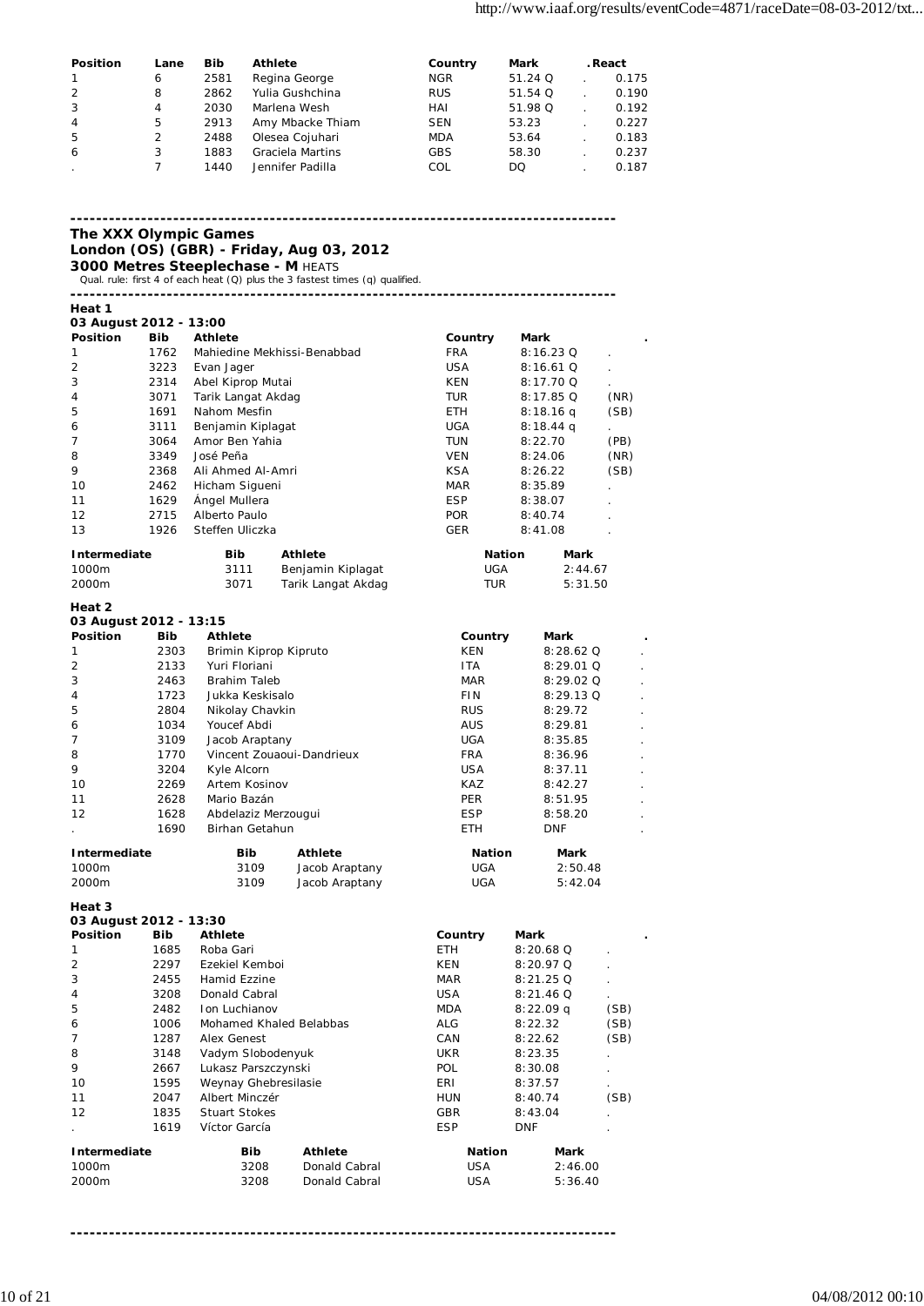| Position       | Lane | <b>Bib</b> | <b>Athlete</b>   | Country    | Mark      | . React |
|----------------|------|------------|------------------|------------|-----------|---------|
|                | 6    | 2581       | Regina George    | <b>NGR</b> | $51.24$ Q | 0.175   |
| 2              | 8    | 2862       | Yulia Gushchina  | <b>RUS</b> | 51.54 Q   | 0.190   |
| $\overline{3}$ | 4    | 2030       | Marlena Wesh     | HAI        | 51.98 Q   | 0.192   |
| $\overline{4}$ | 5    | 2913       | Amy Mbacke Thiam | <b>SEN</b> | 53.23     | 0.227   |
| 5              | 2    | 2488       | Olesea Cojuhari  | <b>MDA</b> | 53.64     | 0.183   |
| 6              | 3    | 1883       | Graciela Martins | <b>GBS</b> | 58.30     | 0.237   |
|                |      | 1440       | Jennifer Padilla | COL        | DQ        | 0.187   |

**------------------------------------------------------------------------------------- The XXX Olympic Games London (OS) (GBR) - Friday, Aug 03, 2012 3000 Metres Steeplechase - M** HEATS Qual. rule: first 4 of each heat (Q) plus the 3 fastest times (q) qualified. **------------------------------------------------------------------------------------- Heat 1 03 August 2012 - 13:00 Position Bib Athlete Country Mark .** 1 1762 Mahiedine Mekhissi-Benabbad FRA 8:16.23 Q . Evan Jager 3 2314 Abel Kiprop Mutai **KEN** 8:17.70 Q 4 3071 Tarik Langat Akdag TUR 8:17.85 Q (NR) 5 1691 Nahom Mesfin ETH 8:18.16 q (SB) 6 3111 Benjamin Kiplagat UGA 8:18.44 q . 7 3064 Amor Ben Yahia TUN 8:22.70 (PB) 8 3349 José Peña VEN 8:24.06 (NR) 9 2368 Ali Ahmed Al-Amri KSA 8:26.22 (SB) 10 2462 Hicham Sigueni **MAR** 8:35.89 11 1629 Ángel Mullera **ESP** 8:38.07 12 2715 Alberto Paulo POR 8:40.74 . 13 1926 Steffen Uliczka **GER** 8:41.08 **Intermediate** Bib Athlete **Nation** Mark 1000m 3111 Benjamin Kiplagat UGA 2:44.67 <sup>2</sup><br>Tarik Langat Akdag **Heat 2 03 August 2012 - 13:15 Position Bib Athlete Country Mark .** 1 2303 Brimin Kiprop Kipruto 6 1 KEN 8:28.62 Q 2 2133 Yuri Floriani ITA 8:29.01 Q . 3 2463 Brahim Taleb MAR 8:29.02 Q . 4 1723 Jukka Keskisalo FIN 8:29.13 Q . 5 2804 Nikolay Chavkin RUS 8:29.72 . 6 1034 Youcef Abdi AUS 8:29.81 . 7 3109 Jacob Araptany UGA 8:35.85 . 8 1770 Vincent Zouaoui-Dandrieux FRA 8:36.96 9 3204 Kyle Alcorn **1988 1204 State Alcorn** USA 8:37.11 10 2269 Artem Kosinov **KAZ** 8:42.27 11 2628 Mario Bazán PER 8:51.95 . 12 1628 Abdelaziz Merzougui **ESP** 8:58.20 1690 Birhan Getahun **ETH** DNF **Intermediate Bib Athlete Nation Mark** 1000m 3109 Jacob Araptany UGA 2:50.48 2000m 3109 Jacob Araptany UGA 5:42.04 **Heat 3 03 August 2012 - 13:30 Position Bib Athlete Country Mark .** 1 1685 Roba Gari ETH 8:20.68 Q . 2 2297 Ezekiel Kemboi KEN 8:20.97 Q 3 2455 Hamid Ezzine 1 2455 MAR 8:21.25 Q ... 25 MAR 8:21.25 Q ... 25 MAR ... 25 Q ... 25 MAR ... 25 MAR ... 25 M 4 3208 Donald Cabral 2008 2008 21.46 Q 5 2482 Ion Luchianov MDA 8:22.09 q (SB) 6 1006 Mohamed Khaled Belabbas ALG 8:22.32 (SB) 7 1287 Alex Genest CAN 8:22.62 (SB) 8 3148 Vadym Slobodenyuk UKR 8:23.35 . 9 2667 Lukasz Parszczynski POL 8:30.08 10 1595 Weynay Ghebresilasie ERI 8:37.57 . 11 2047 Albert Minczér HUN 8:40.74 (SB) 12 1835 Stuart Stokes GBR 8:43.04 . . 1619 Víctor García **ESP** DNF

| Intermediate | <b>Bib</b> | Athlete       | <b>Nation</b> | Mark    |
|--------------|------------|---------------|---------------|---------|
| 1000m        | 3208       | Donald Cabral | USA           | 2:46.00 |
| 2000m        | 3208       | Donald Cabral | USA           | 5:36.40 |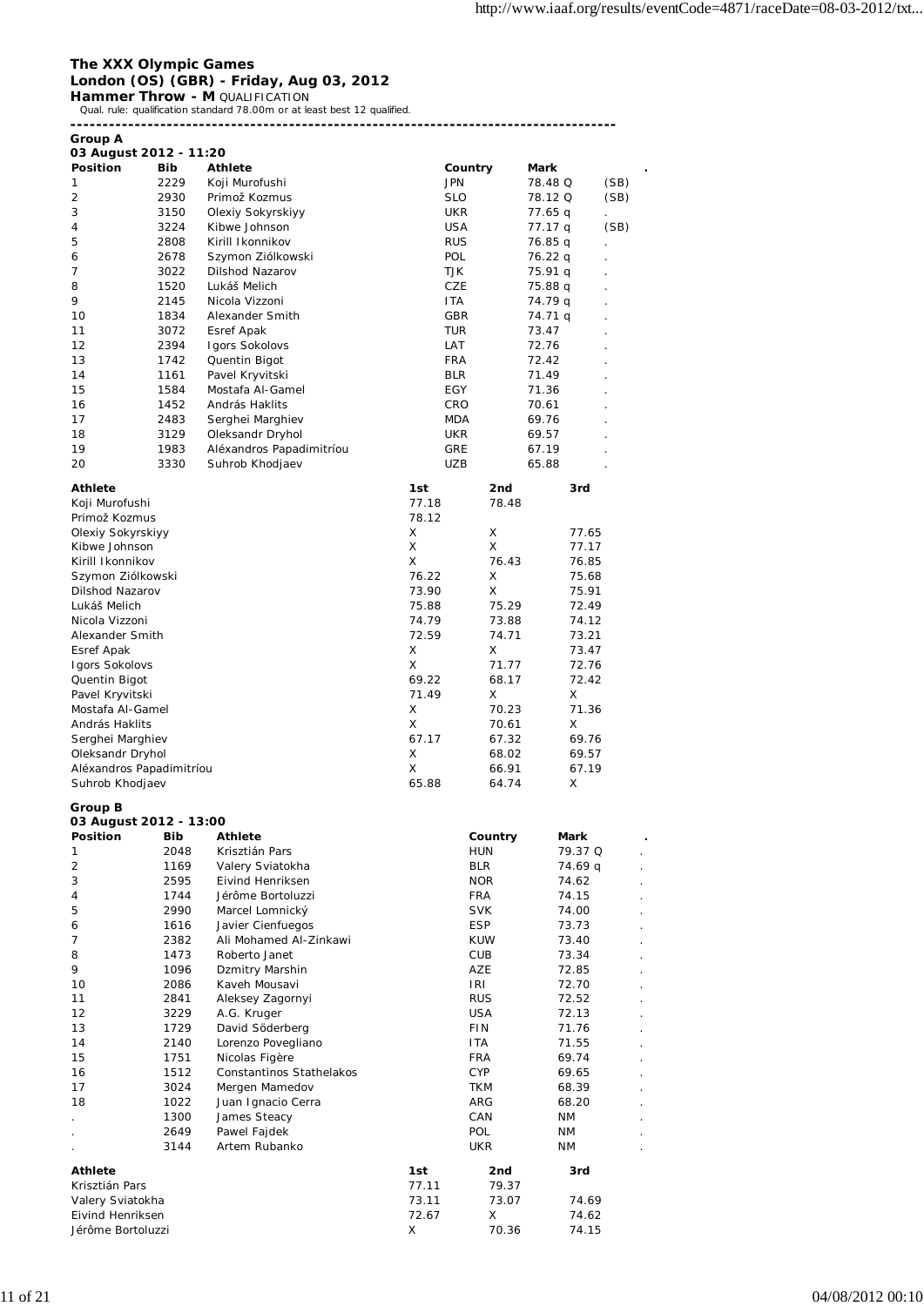### **The XXX Olympic Games London (OS) (GBR) - Friday, Aug 03, 2012**

**Hammer Throw - M** QUALIFICATION<br>Qual. rule: qualification standard 78.00m or at least best 12 qualified.

| <b>Group A</b>                  |              |                                            |                          |                          |                    |      |
|---------------------------------|--------------|--------------------------------------------|--------------------------|--------------------------|--------------------|------|
| 03 August 2012 - 11:20          |              |                                            |                          |                          |                    |      |
| Position                        | Bib          | Athlete                                    |                          | Country                  | Mark               |      |
| 1                               | 2229         | Koji Murofushi                             | <b>JPN</b>               |                          | 78.48 Q            | (SB) |
| $\overline{2}$                  | 2930         | Primož Kozmus                              | <b>SLO</b>               |                          | 78.12 Q            | (SB) |
| 3                               | 3150         | Olexiy Sokyrskiyy                          | UKR                      |                          | 77.65 q            |      |
| 4<br>5                          | 3224<br>2808 | Kibwe Johnson<br>Kirill Ikonnikov          | <b>USA</b><br><b>RUS</b> |                          | 77.17 q            | (SB) |
| 6                               | 2678         | Szymon Ziólkowski                          | POL                      |                          | 76.85 q<br>76.22 q |      |
| 7                               | 3022         | Dilshod Nazarov                            | TJK                      |                          | 75.91 q            |      |
| 8                               | 1520         | Lukáš Melich                               | CZE                      |                          | 75.88 q            |      |
| 9                               | 2145         | Nicola Vizzoni                             | <b>ITA</b>               |                          | 74.79 q            |      |
| 10                              | 1834         | Alexander Smith                            | GBR                      |                          | 74.71 q            |      |
| 11                              | 3072         | Esref Apak                                 | <b>TUR</b>               |                          | 73.47              |      |
| 12                              | 2394         | <b>Igors Sokolovs</b>                      | LAT                      |                          | 72.76              |      |
| 13                              | 1742         | Quentin Bigot                              | <b>FRA</b>               |                          | 72.42              |      |
| 14                              | 1161         | Pavel Kryvitski                            | <b>BLR</b>               |                          | 71.49              |      |
| 15                              | 1584         | Mostafa Al-Gamel                           | EGY                      |                          | 71.36              |      |
| 16                              | 1452         | András Haklits                             | CRO                      |                          | 70.61              |      |
| 17                              | 2483         | Serghei Marghiev                           | <b>MDA</b>               |                          | 69.76              |      |
| 18                              | 3129         | Oleksandr Dryhol                           | <b>UKR</b>               |                          | 69.57              |      |
| 19                              | 1983         | Aléxandros Papadimitríou                   | <b>GRE</b>               |                          | 67.19              |      |
| 20                              | 3330         | Suhrob Khodjaev                            | UZB                      |                          | 65.88              |      |
| <b>Athlete</b>                  |              |                                            | 1st                      | 2nd                      | 3rd                |      |
| Koji Murofushi                  |              |                                            | 77.18                    | 78.48                    |                    |      |
| Primož Kozmus                   |              |                                            | 78.12                    |                          |                    |      |
| Olexiy Sokyrskiyy               |              |                                            | X                        | X                        | 77.65              |      |
| Kibwe Johnson                   |              |                                            | X                        | X                        | 77.17              |      |
| Kirill Ikonnikov                |              |                                            | X                        | 76.43                    | 76.85              |      |
| Szymon Ziólkowski               |              |                                            | 76.22                    | X                        | 75.68              |      |
| Dilshod Nazarov                 |              |                                            | 73.90                    | Χ                        | 75.91              |      |
| Lukáš Melich                    |              |                                            | 75.88                    | 75.29                    | 72.49              |      |
| Nicola Vizzoni                  |              |                                            | 74.79                    | 73.88                    | 74.12              |      |
| Alexander Smith                 |              |                                            | 72.59<br>X               | 74.71<br>X               | 73.21              |      |
| Esref Apak                      |              |                                            | X                        | 71.77                    | 73.47<br>72.76     |      |
| Igors Sokolovs<br>Quentin Bigot |              |                                            | 69.22                    | 68.17                    | 72.42              |      |
| Pavel Kryvitski                 |              |                                            | 71.49                    | X                        | X                  |      |
| Mostafa Al-Gamel                |              |                                            | X                        | 70.23                    | 71.36              |      |
| András Haklits                  |              |                                            | X                        | 70.61                    | х                  |      |
| Serghei Marghiev                |              |                                            | 67.17                    | 67.32                    | 69.76              |      |
| Oleksandr Dryhol                |              |                                            | X                        | 68.02                    | 69.57              |      |
| Aléxandros Papadimitríou        |              |                                            | X                        | 66.91                    | 67.19              |      |
| Suhrob Khodjaev                 |              |                                            | 65.88                    | 64.74                    | х                  |      |
| Group B                         |              |                                            |                          |                          |                    |      |
| 03 August 2012 - 13:00          |              |                                            |                          |                          |                    |      |
| Position                        | <b>Bib</b>   | Athlete                                    |                          | Country                  | Mark               |      |
| 1                               | 2048         | Krisztián Pars                             |                          | <b>HUN</b>               | 79.37 Q            |      |
| 2                               | 1169         | Valery Sviatokha                           |                          | <b>BLR</b>               | 74.69 q            |      |
| 3                               | 2595         | Eivind Henriksen                           |                          | <b>NOR</b>               | 74.62              |      |
| 4                               | 1744         | Jérôme Bortoluzzi                          |                          | <b>FRA</b>               | 74.15              |      |
| 5                               | 2990         | Marcel Lomnický                            |                          | <b>SVK</b>               | 74.00              |      |
| 6                               | 1616         | Javier Cienfuegos                          |                          | <b>ESP</b>               | 73.73              |      |
| 7                               | 2382         | Ali Mohamed Al-Zinkawi                     |                          | <b>KUW</b>               | 73.40              |      |
| 8                               | 1473         | Roberto Janet                              |                          | <b>CUB</b>               | 73.34              |      |
| 9                               | 1096         | Dzmitry Marshin                            |                          | AZE                      | 72.85              |      |
| 10                              | 2086         | Kaveh Mousavi                              |                          | IRI                      | 72.70              |      |
| 11                              | 2841         | Aleksey Zagornyi                           |                          | <b>RUS</b>               | 72.52              |      |
| 12                              | 3229         | A.G. Kruger                                |                          | <b>USA</b>               | 72.13              |      |
| 13<br>14                        | 1729         | David Söderberg<br>Lorenzo Povegliano      |                          | <b>FIN</b><br><b>ITA</b> | 71.76              |      |
| 15                              | 2140         |                                            |                          | <b>FRA</b>               | 71.55              |      |
| 16                              | 1751<br>1512 | Nicolas Figère<br>Constantinos Stathelakos |                          | <b>CYP</b>               | 69.74              |      |
| 17                              | 3024         | Mergen Mamedov                             |                          | TKM                      | 69.65<br>68.39     |      |
| 18                              | 1022         | Juan Ignacio Cerra                         |                          | ARG                      | 68.20              |      |
|                                 | 1300         | James Steacy                               |                          | CAN                      | ΝM                 |      |
|                                 | 2649         | Pawel Fajdek                               |                          | POL                      | ΝM                 |      |
|                                 | 3144         | Artem Rubanko                              |                          | <b>UKR</b>               | ΝM                 |      |
| <b>Athlete</b>                  |              |                                            | 1st                      | 2nd                      | 3rd                |      |
| Krisztián Pars                  |              |                                            | 77.11                    | 79.37                    |                    |      |
| Valery Sviatokha                |              |                                            | 73.11                    | 73.07                    | 74.69              |      |
| Eivind Henriksen                |              |                                            | 72.67                    | X                        | 74.62              |      |
| Jérôme Bortoluzzi               |              |                                            | Χ                        | 70.36                    | 74.15              |      |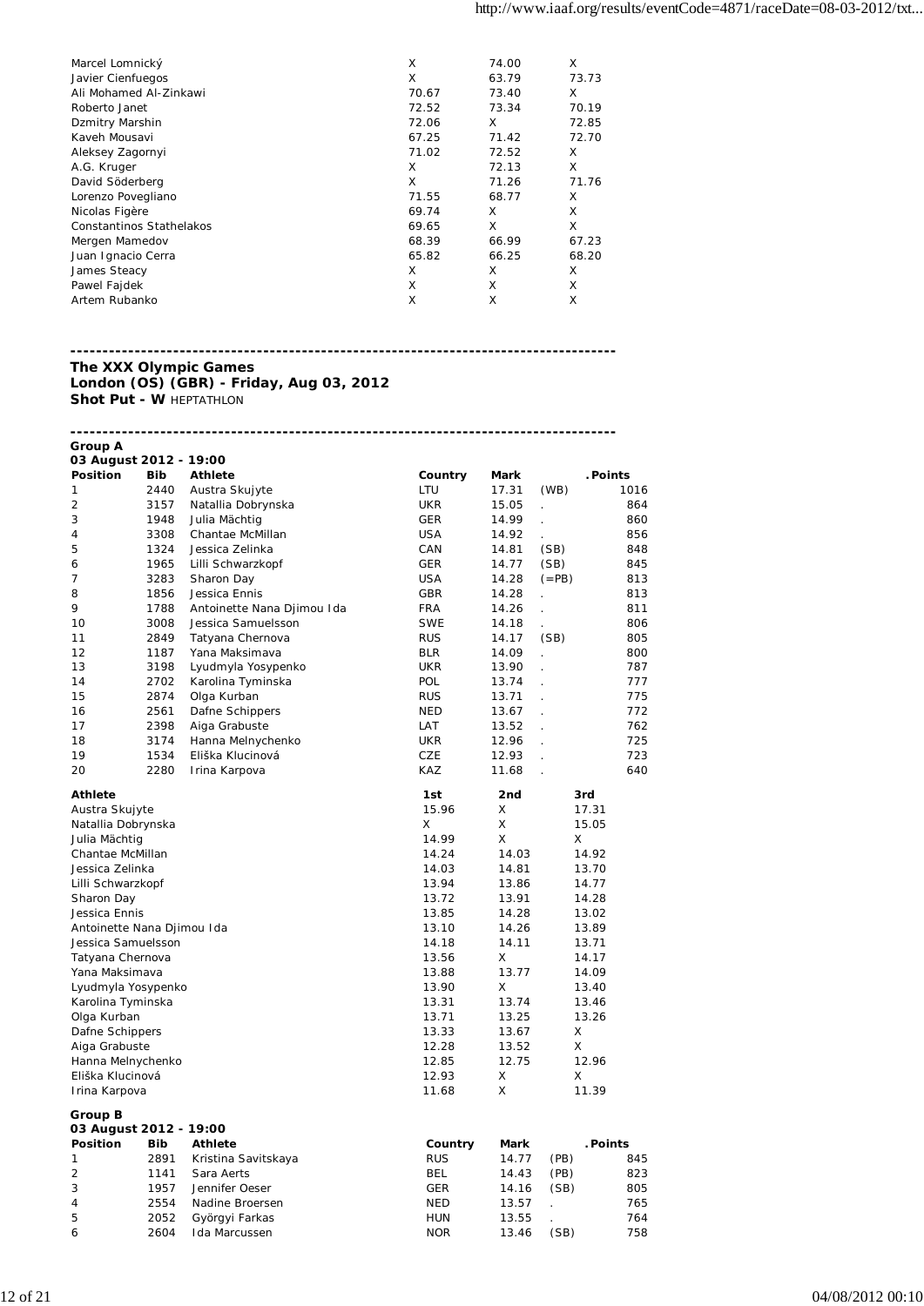| Marcel Lomnický          | X     | 74.00 | X     |
|--------------------------|-------|-------|-------|
| Javier Cienfuegos        | X     | 63.79 | 73.73 |
| Ali Mohamed Al-Zinkawi   | 70.67 | 73.40 | X     |
| Roberto Janet            | 72.52 | 73.34 | 70.19 |
| Dzmitry Marshin          | 72.06 | X     | 72.85 |
| Kaveh Mousavi            | 67.25 | 71.42 | 72.70 |
| Aleksey Zagornyi         | 71.02 | 72.52 | X     |
| A.G. Kruger              | x     | 72.13 | X     |
| David Söderberg          | X     | 71.26 | 71.76 |
| Lorenzo Povegliano       | 71.55 | 68.77 | X     |
| Nicolas Figère           | 69.74 | X     | X     |
| Constantinos Stathelakos | 69.65 | X     | X     |
| Mergen Mamedov           | 68.39 | 66.99 | 67.23 |
| Juan Ignacio Cerra       | 65.82 | 66.25 | 68.20 |
| James Steacy             | X     | X     | X     |
| Pawel Fajdek             | X     | X     | X     |
| Artem Rubanko            | X     | Χ     | X     |

### **------------------------------------------------------------------------------------- The XXX Olympic Games London (OS) (GBR) - Friday, Aug 03, 2012 Shot Put - W HEPTATHLON**

| Group A<br>03 August 2012 - 19:00 |            |                                 |            |             |                      |          |
|-----------------------------------|------------|---------------------------------|------------|-------------|----------------------|----------|
| Position                          | <b>Bib</b> | <b>Athlete</b>                  | Country    | <b>Mark</b> |                      | . Points |
| 1                                 | 2440       | Austra Skujyte                  | LTU        | 17.31       | (WB)                 | 1016     |
| 2                                 | 3157       | Natallia Dobrynska              | <b>UKR</b> | 15.05       | $\ddot{\phantom{a}}$ | 864      |
| 3                                 | 1948       | Julia Mächtig                   | <b>GER</b> | 14.99       | ä,                   | 860      |
| 4                                 | 3308       | Chantae McMillan                | <b>USA</b> | 14.92       |                      | 856      |
| 5                                 | 1324       | Jessica Zelinka                 | CAN        | 14.81       | (SB)                 | 848      |
| 6                                 | 1965       | Lilli Schwarzkopf               | <b>GER</b> | 14.77       | (SB)                 | 845      |
| 7                                 | 3283       | Sharon Day                      | <b>USA</b> | 14.28       | $(=PB)$              | 813      |
| 8                                 | 1856       | Jessica Ennis                   | <b>GBR</b> | 14.28       | ÷.                   | 813      |
| 9                                 | 1788       | Antoinette Nana Djimou Ida      | <b>FRA</b> | 14.26       | $\mathbf{r}$         | 811      |
| 10                                | 3008       | Jessica Samuelsson              | <b>SWE</b> | 14.18       |                      | 806      |
| 11                                | 2849       | Tatyana Chernova                | <b>RUS</b> | 14.17       | (SB)                 | 805      |
| 12                                | 1187       | Yana Maksimava                  | <b>BLR</b> | 14.09       |                      | 800      |
| 13                                | 3198       | Lyudmyla Yosypenko              | <b>UKR</b> | 13.90       |                      | 787      |
| 14                                | 2702       | Karolina Tyminska               | <b>POL</b> | 13.74       | $\overline{a}$       | 777      |
| 15                                | 2874       | Olga Kurban                     | <b>RUS</b> | 13.71       | ÷                    | 775      |
| 16                                | 2561       | Dafne Schippers                 | <b>NED</b> | 13.67       | $\overline{a}$       | 772      |
| 17                                | 2398       | Aiga Grabuste                   | LAT        | 13.52       | t.                   | 762      |
| 18                                | 3174       | Hanna Melnychenko               | <b>UKR</b> | 12.96       |                      | 725      |
| 19                                | 1534       | Eliška Klucinová                | CZE        | 12.93       |                      | 723      |
| 20                                | 2280       | Irina Karpova                   | KAZ        | 11.68       | ÷,                   | 640      |
| Athlete                           |            |                                 | 1st        | 2nd         | 3rd                  |          |
| Austra Skujyte                    |            |                                 | 15.96      | X           | 17.31                |          |
| Natallia Dobrynska                |            |                                 | X.         | Χ           | 15.05                |          |
| Julia Mächtig                     |            |                                 | 14.99      | X           | X                    |          |
| Chantae McMillan                  |            |                                 | 14.24      | 14.03       | 14.92                |          |
| Jessica Zelinka                   |            |                                 | 14.03      | 14.81       | 13.70                |          |
| Lilli Schwarzkopf                 |            |                                 | 13.94      | 13.86       | 14.77                |          |
| Sharon Day                        |            |                                 | 13.72      | 13.91       | 14.28                |          |
| Jessica Ennis                     |            |                                 | 13.85      | 14.28       | 13.02                |          |
| Antoinette Nana Djimou Ida        |            |                                 | 13.10      | 14.26       | 13.89                |          |
| Jessica Samuelsson                |            |                                 | 14.18      | 14.11       | 13.71                |          |
| Tatyana Chernova                  |            |                                 | 13.56      | X           | 14.17                |          |
| Yana Maksimava                    |            |                                 | 13.88      | 13.77       | 14.09                |          |
| Lyudmyla Yosypenko                |            |                                 | 13.90      | X           | 13.40                |          |
| Karolina Tyminska                 |            |                                 | 13.31      | 13.74       | 13.46                |          |
| Olga Kurban                       |            |                                 | 13.71      | 13.25       | 13.26                |          |
| Dafne Schippers                   |            |                                 | 13.33      | 13.67       | X                    |          |
| Aiga Grabuste                     |            |                                 | 12.28      | 13.52       | X                    |          |
| Hanna Melnychenko                 |            |                                 | 12.85      | 12.75       | 12.96                |          |
| Eliška Klucinová                  |            |                                 | 12.93      | X           | Χ                    |          |
| Irina Karpova                     |            |                                 | 11.68      | X           | 11.39                |          |
| Group B                           |            |                                 |            |             |                      |          |
| 03 August 2012 - 19:00            |            |                                 |            |             |                      |          |
| Position                          | <b>Bib</b> | <b>Athlete</b>                  | Country    | Mark        |                      | . Points |
| 1                                 | 2891       | Kristina Savitskaya             | <b>RUS</b> | 14.77       | (PB)                 | 845      |
| 2                                 | 1141       | Sara Aerts<br>Jennifer Oeser    | BEL        | 14.43       | (PB)                 | 823      |
| 3                                 | 1957       | Nadine Broersen                 | GER        | 14.16       | (SB)                 | 805      |
| 4                                 | 2554       |                                 | <b>NED</b> | 13.57       | $\ddot{\phantom{a}}$ | 765      |
| 5                                 | 2052       | Györgyi Farkas<br>Ida Marcussen | <b>HUN</b> | 13.55       |                      | 764      |
| 6                                 | 2604       |                                 | <b>NOR</b> | 13.46       | (SB)                 | 758      |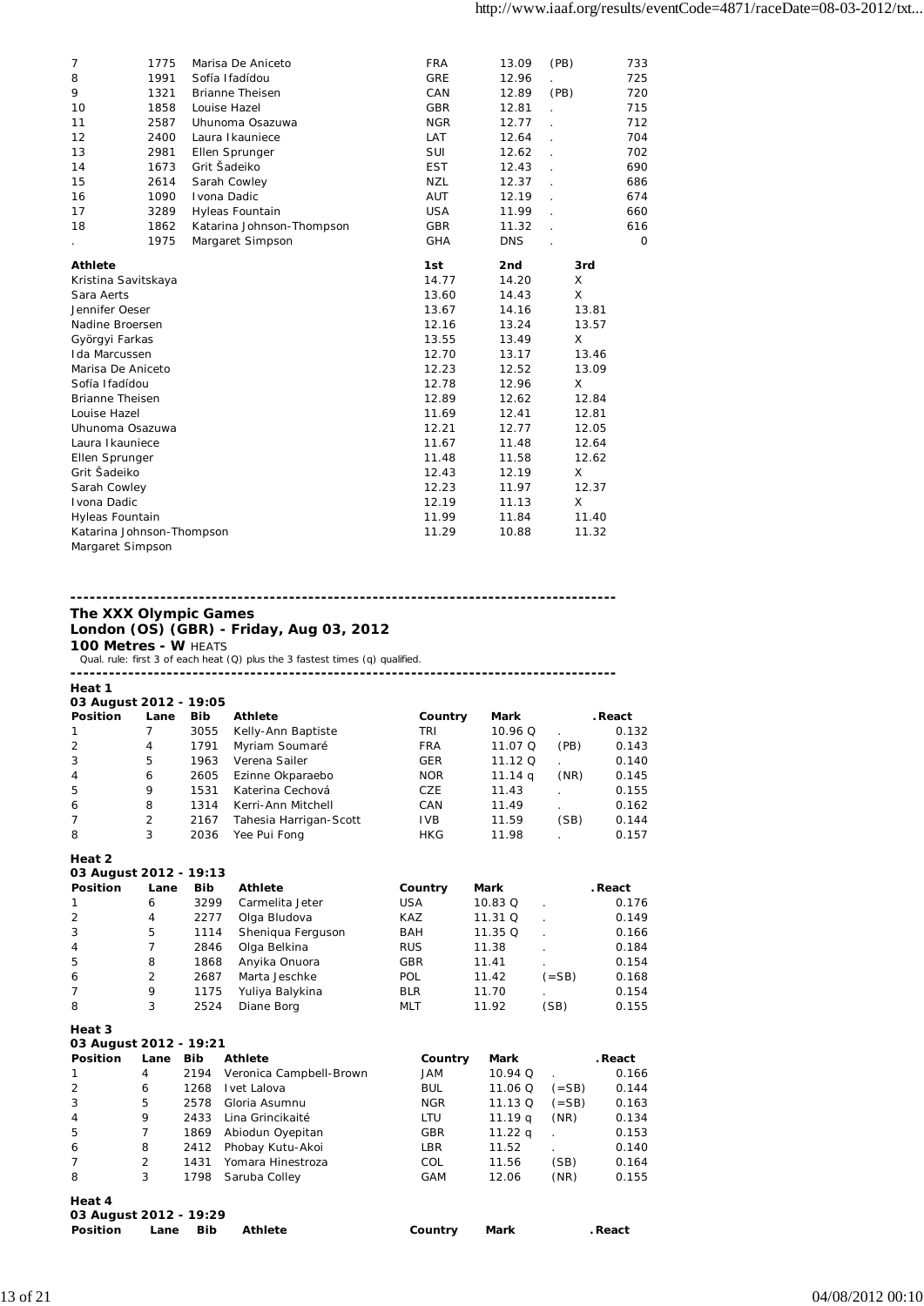| 7                         | 1775 | Marisa De Aniceto         | <b>FRA</b> | 13.09      | (PB)  | 733     |
|---------------------------|------|---------------------------|------------|------------|-------|---------|
| 8                         | 1991 | Sofía Ifadídou            | <b>GRE</b> | 12.96      |       | 725     |
| 9                         | 1321 | <b>Brianne Theisen</b>    | CAN        | 12.89      | (PB)  | 720     |
| 10                        | 1858 | Louise Hazel              | <b>GBR</b> | 12.81      |       | 715     |
| 11                        | 2587 | Uhunoma Osazuwa           | <b>NGR</b> | 12.77      |       | 712     |
| 12                        | 2400 | Laura Ikauniece           | LAT        | 12.64      |       | 704     |
| 13                        | 2981 | Ellen Sprunger            | SUI        | 12.62      | l.    | 702     |
| 14                        | 1673 | Grit Šadeiko              | <b>EST</b> | 12.43      |       | 690     |
| 15                        | 2614 | Sarah Cowley              | <b>NZL</b> | 12.37      |       | 686     |
| 16                        | 1090 | Ivona Dadic               | <b>AUT</b> | 12.19      |       | 674     |
| 17                        | 3289 | Hyleas Fountain           | <b>USA</b> | 11.99      |       | 660     |
| 18                        | 1862 | Katarina Johnson-Thompson | <b>GBR</b> | 11.32      |       | 616     |
|                           | 1975 | Margaret Simpson          | <b>GHA</b> | <b>DNS</b> |       | $\circ$ |
| <b>Athlete</b>            |      |                           | 1st        | 2nd        | 3rd   |         |
| Kristina Savitskaya       |      |                           | 14.77      | 14.20      | X     |         |
| Sara Aerts                |      |                           | 13.60      | 14.43      | X     |         |
| Jennifer Oeser            |      |                           | 13.67      | 14.16      | 13.81 |         |
| Nadine Broersen           |      |                           | 12.16      | 13.24      | 13.57 |         |
| Györgyi Farkas            |      |                           | 13.55      | 13.49      | X     |         |
| Ida Marcussen             |      |                           | 12.70      | 13.17      | 13.46 |         |
| Marisa De Aniceto         |      |                           | 12.23      | 12.52      | 13.09 |         |
| Sofía Ifadídou            |      |                           | 12.78      | 12.96      | Χ     |         |
| <b>Brianne Theisen</b>    |      |                           | 12.89      | 12.62      | 12.84 |         |
| Louise Hazel              |      |                           | 11.69      | 12.41      | 12.81 |         |
| Uhunoma Osazuwa           |      |                           | 12.21      | 12.77      | 12.05 |         |
| Laura I kauniece          |      |                           | 11.67      | 11.48      | 12.64 |         |
| Ellen Sprunger            |      |                           | 11.48      | 11.58      | 12.62 |         |
| Grit Šadeiko              |      |                           | 12.43      | 12.19      | X     |         |
| Sarah Cowley              |      |                           | 12.23      | 11.97      | 12.37 |         |
| Ivona Dadic               |      |                           | 12.19      | 11.13      | X     |         |
| Hyleas Fountain           |      |                           | 11.99      | 11.84      | 11.40 |         |
| Katarina Johnson-Thompson |      |                           | 11.29      | 10.88      | 11.32 |         |
| Margaret Simpson          |      |                           |            |            |       |         |

### **The XXX Olympic Games London (OS) (GBR) - Friday, Aug 03, 2012**

**100 Metres - W** HEATS<br>Qual. rule: first 3 of each heat (Q) plus the 3 fastest times (q) qualified.

**-------------------------------------------------------------------------------------**

| ۰.<br>×<br>× |
|--------------|
|--------------|

| 03 August 2012 - 19:05 |      |            |                        |            |         |      |         |  |  |
|------------------------|------|------------|------------------------|------------|---------|------|---------|--|--|
| <b>Position</b>        | Lane | <b>Bib</b> | <b>Athlete</b>         | Country    | Mark    |      | . React |  |  |
| $\mathbf 1$            |      | 3055       | Kelly-Ann Baptiste     | TRI        | 10.96 Q |      | 0.132   |  |  |
| 2                      | 4    | 1791       | Myriam Soumaré         | <b>FRA</b> | 11.07 Q | (PB) | 0.143   |  |  |
| 3                      | 5    | 1963       | Verena Sailer          | <b>GER</b> | 11.12 Q |      | 0.140   |  |  |
| $\overline{4}$         | 6    | 2605       | Ezinne Okparaebo       | <b>NOR</b> | 11.14q  | (NR) | 0.145   |  |  |
| -5                     | 9    | 1531       | Katerina Cechová       | CZE        | 11.43   |      | 0.155   |  |  |
| 6                      | 8    | 1314       | Kerri-Ann Mitchell     | CAN        | 11.49   |      | 0.162   |  |  |
| 7                      | 2    | 2167       | Tahesia Harrigan-Scott | <b>IVB</b> | 11.59   | (SB) | 0.144   |  |  |
| 8                      | 3    | 2036       | Yee Pui Fong           | <b>HKG</b> | 11.98   |      | 0.157   |  |  |

**Heat 2**

| 03 August 2012 - 19:13 |      |            |                   |            |         |           |         |
|------------------------|------|------------|-------------------|------------|---------|-----------|---------|
| <b>Position</b>        | Lane | <b>Bib</b> | <b>Athlete</b>    | Country    | Mark    |           | . React |
| $\mathbf{1}$           | 6    | 3299       | Carmelita Jeter   | <b>USA</b> | 10.83Q  |           | 0.176   |
| 2                      | 4    | 2277       | Olga Bludova      | <b>KAZ</b> | 11.31 Q |           | 0.149   |
| 3                      | 5    | 1114       | Sheniqua Ferguson | <b>BAH</b> | 11.35 Q |           | 0.166   |
| $\overline{4}$         | 7    | 2846       | Olga Belkina      | <b>RUS</b> | 11.38   |           | 0.184   |
| 5                      | 8    | 1868       | Anyika Onuora     | <b>GBR</b> | 11.41   |           | 0.154   |
| 6                      | 2    | 2687       | Marta Jeschke     | POL        | 11.42   | $( = SB)$ | 0.168   |
| 7                      | 9    | 1175       | Yuliya Balykina   | <b>BLR</b> | 11.70   |           | 0.154   |
| 8                      | 3    | 2524       | Diane Borg        | <b>MLT</b> | 11.92   | (SB)      | 0.155   |

**Heat 3**

| неаl э                 |                |      |                         |            |           |           |         |
|------------------------|----------------|------|-------------------------|------------|-----------|-----------|---------|
| 03 August 2012 - 19:21 |                |      |                         |            |           |           |         |
| <b>Position</b>        | Lane           | Bib  | <b>Athlete</b>          | Country    | Mark      |           | . React |
|                        | 4              | 2194 | Veronica Campbell-Brown | JAM        | 10.94 Q   |           | 0.166   |
| 2                      | 6              | 1268 | Ivet Lalova             | <b>BUL</b> | 11.06 Q   | $( = SB)$ | 0.144   |
| 3                      | 5              | 2578 | Gloria Asumnu           | <b>NGR</b> | $11.13$ Q | $( = SB)$ | 0.163   |
| 4                      | 9              | 2433 | Lina Grincikaité        | LTU        | 11.19q    | (NR)      | 0.134   |
| 5                      | 7              | 1869 | Abiodun Oyepitan        | <b>GBR</b> | 11.22 g   |           | 0.153   |
| 6                      | 8              | 2412 | Phobay Kutu-Akoi        | <b>LBR</b> | 11.52     |           | 0.140   |
|                        | $\overline{2}$ | 1431 | Yomara Hinestroza       | COL        | 11.56     | (SB)      | 0.164   |
| 8                      | 3              | 1798 | Saruba Colley           | GAM        | 12.06     | (NR)      | 0.155   |
| Heat 4                 |                |      |                         |            |           |           |         |

**Position Country Mark . React** 

**03 August 2012 - 19:29**

| Position | Lane Bib | <b>Athlete</b><br>. |
|----------|----------|---------------------|
|----------|----------|---------------------|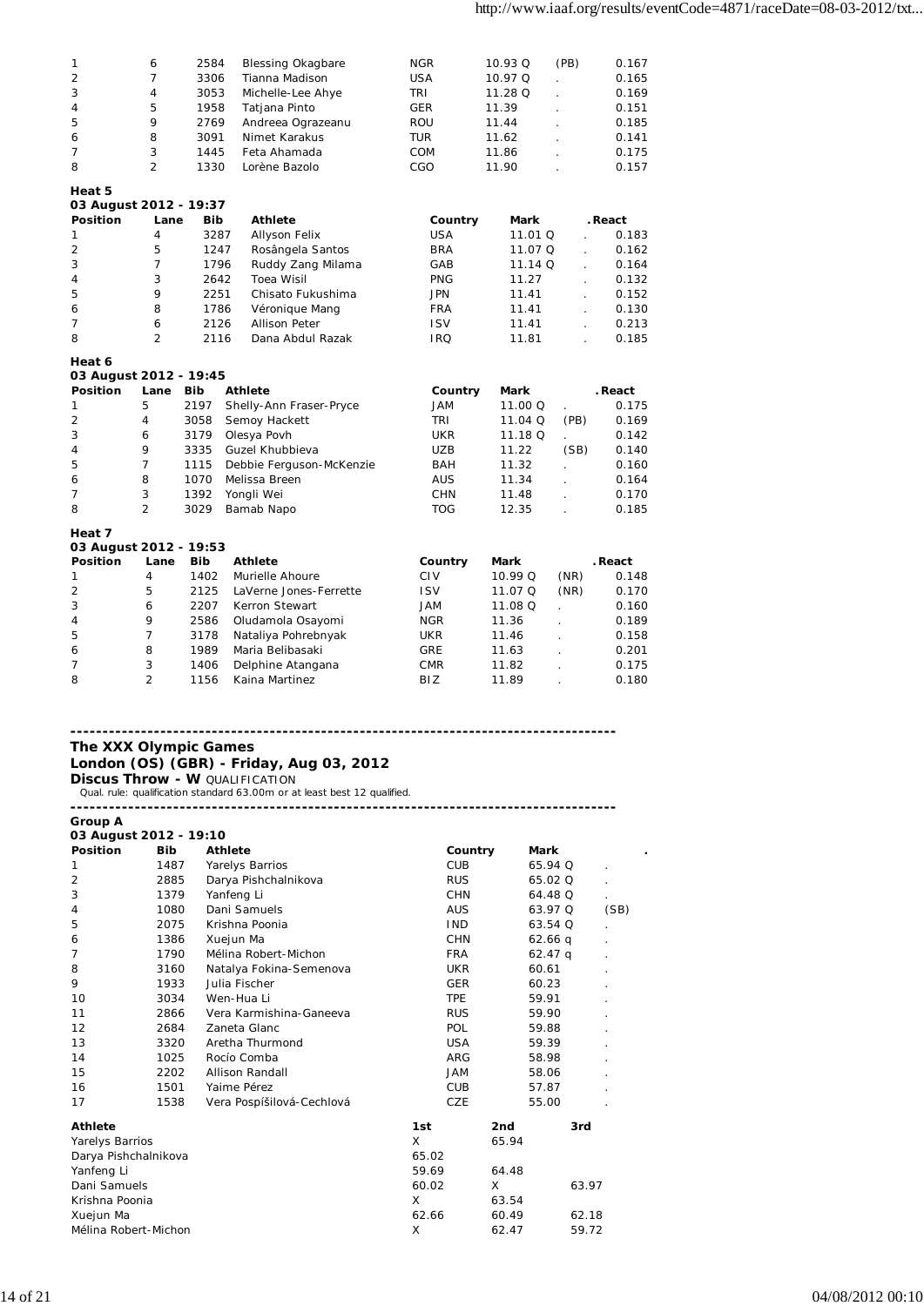| 1                          | 6              | 2584       | <b>Blessing Okagbare</b>                                                          | <b>NGR</b>     | 10.93 Q | (PB)                      | 0.167   |
|----------------------------|----------------|------------|-----------------------------------------------------------------------------------|----------------|---------|---------------------------|---------|
| $\overline{2}$             | 7              | 3306       | Tianna Madison                                                                    | <b>USA</b>     | 10.97 Q |                           | 0.165   |
| 3                          | 4              | 3053       | Michelle-Lee Ahye                                                                 | TRI            | 11.28 Q | $\mathbf{r}$              | 0.169   |
| 4                          | 5              | 1958       | Tatjana Pinto                                                                     | GER            | 11.39   |                           | 0.151   |
| 5                          | 9              | 2769       | Andreea Ograzeanu                                                                 | <b>ROU</b>     | 11.44   |                           | 0.185   |
| 6                          | 8              | 3091       | Nimet Karakus                                                                     | <b>TUR</b>     | 11.62   | $\mathbf{r}$              | 0.141   |
| 7                          | 3              | 1445       | Feta Ahamada                                                                      | COM            | 11.86   |                           | 0.175   |
| 8                          | $\overline{2}$ | 1330       | Lorène Bazolo                                                                     | CGO            | 11.90   |                           | 0.157   |
|                            |                |            |                                                                                   |                |         |                           |         |
| Heat 5                     |                |            |                                                                                   |                |         |                           |         |
| 03 August 2012 - 19:37     |                |            |                                                                                   |                |         |                           |         |
| Position                   | Lane           | Bib        | <b>Athlete</b>                                                                    | Country        | Mark    |                           | . React |
| 1                          | 4              | 3287       | <b>Allyson Felix</b>                                                              | <b>USA</b>     | 11.01 Q | $\mathbb{R}^{\mathbb{Z}}$ | 0.183   |
| $\overline{2}$             | 5              | 1247       | Rosângela Santos                                                                  | <b>BRA</b>     | 11.07 Q | $\mathbf{r}$              | 0.162   |
| 3                          | $\overline{7}$ | 1796       | Ruddy Zang Milama                                                                 | GAB            | 11.14 Q |                           | 0.164   |
| 4                          | 3              | 2642       | <b>Toea Wisil</b>                                                                 | <b>PNG</b>     | 11.27   | L.                        | 0.132   |
| 5                          | 9              | 2251       | Chisato Fukushima                                                                 | <b>JPN</b>     | 11.41   | $\mathbf{r}$              | 0.152   |
| 6                          | 8              | 1786       | Véronique Mang                                                                    | <b>FRA</b>     | 11.41   |                           | 0.130   |
| 7                          | 6              | 2126       | <b>Allison Peter</b>                                                              |                |         |                           |         |
|                            |                |            |                                                                                   | <b>ISV</b>     | 11.41   |                           | 0.213   |
| 8                          | $\overline{2}$ | 2116       | Dana Abdul Razak                                                                  | IRQ            | 11.81   |                           | 0.185   |
| Heat 6                     |                |            |                                                                                   |                |         |                           |         |
| 03 August 2012 - 19:45     |                |            |                                                                                   |                |         |                           |         |
| Position                   | Lane           | <b>Bib</b> | <b>Athlete</b>                                                                    | Country        | Mark    |                           | . React |
| 1                          | 5              | 2197       | Shelly-Ann Fraser-Pryce                                                           | <b>JAM</b>     | 11.00 Q |                           | 0.175   |
| 2                          | 4              | 3058       | Semoy Hackett                                                                     | TRI            | 11.04 Q | (PB)                      | 0.169   |
| 3                          |                |            |                                                                                   |                |         |                           |         |
|                            | 6              | 3179       | Olesya Povh                                                                       | <b>UKR</b>     | 11.18 Q | L.                        | 0.142   |
| 4                          | 9              | 3335       | Guzel Khubbieva                                                                   | <b>UZB</b>     | 11.22   | (SB)                      | 0.140   |
| 5                          | 7              | 1115       | Debbie Ferguson-McKenzie                                                          | BAH            | 11.32   |                           | 0.160   |
| 6                          | 8              | 1070       | Melissa Breen                                                                     | <b>AUS</b>     | 11.34   | $\overline{a}$            | 0.164   |
| $\overline{7}$             | 3              | 1392       | Yongli Wei                                                                        | CHN            | 11.48   |                           | 0.170   |
| 8                          | $\overline{2}$ | 3029       | Bamab Napo                                                                        | <b>TOG</b>     | 12.35   |                           | 0.185   |
| Heat 7                     |                |            |                                                                                   |                |         |                           |         |
| 03 August 2012 - 19:53     |                |            |                                                                                   |                |         |                           |         |
| <b>Position</b>            | Lane           | <b>Bib</b> | <b>Athlete</b>                                                                    | Country        | Mark    |                           | . React |
|                            | 4              |            |                                                                                   |                |         |                           |         |
| 1                          |                | 1402       | Murielle Ahoure                                                                   | <b>CIV</b>     | 10.99 Q | (NR)                      | 0.148   |
| $\overline{2}$             | 5              | 2125       | LaVerne Jones-Ferrette                                                            | <b>ISV</b>     | 11.07 Q | (NR)                      | 0.170   |
| 3                          | 6              | 2207       | Kerron Stewart                                                                    | JAM            | 11.08 Q |                           | 0.160   |
| 4                          | 9              | 2586       | Oludamola Osayomi                                                                 | <b>NGR</b>     | 11.36   |                           | 0.189   |
| 5                          | 7              | 3178       | Nataliya Pohrebnyak                                                               | UKR            | 11.46   | $\overline{a}$            | 0.158   |
| 6                          | 8              | 1989       | Maria Belibasaki                                                                  | <b>GRE</b>     | 11.63   |                           | 0.201   |
| 7                          | 3              | 1406       | Delphine Atangana                                                                 | <b>CMR</b>     | 11.82   |                           | 0.175   |
| 8                          | $\overline{2}$ | 1156       | Kaina Martinez                                                                    | BIZ            | 11.89   |                           | 0.180   |
| The XXX Olympic Games      |                |            | London (OS) (GBR) - Friday, Aug 03, 2012<br><b>Discus Throw - W QUALIFICATION</b> |                |         |                           |         |
|                            |                |            | Qual. rule: qualification standard 63.00m or at least best 12 qualified.          |                |         |                           |         |
|                            |                |            |                                                                                   |                |         |                           |         |
| Group A                    |                |            |                                                                                   |                |         |                           |         |
| 03 August 2012 - 19:10     |                |            |                                                                                   |                |         |                           |         |
| <b>Position</b>            | Bib            |            | <b>Athlete</b>                                                                    | Country        | Mark    |                           |         |
| 1                          | 1487           |            | Yarelys Barrios                                                                   | <b>CUB</b>     |         | 65.94 Q                   |         |
| $\overline{2}$             | 2885           |            | Darya Pishchalnikova                                                              | <b>RUS</b>     |         | 65.02 Q                   |         |
| 3                          | 1379           |            | Yanfeng Li                                                                        | <b>CHN</b>     |         | 64.48 Q                   |         |
| 4                          | 1080           |            | Dani Samuels                                                                      | <b>AUS</b>     |         | 63.97 Q                   | (SB)    |
| 5                          | 2075           |            | Krishna Poonia                                                                    | IND.           |         | 63.54 Q                   |         |
| 6                          | 1386           |            | Xuejun Ma                                                                         | <b>CHN</b>     |         | $62.66$ q                 |         |
| 7                          | 1790           |            | Mélina Robert-Michon                                                              | <b>FRA</b>     |         | 62.47 q                   |         |
| 8                          | 3160           |            | Natalya Fokina-Semenova                                                           | UKR            |         | 60.61                     |         |
| 9                          | 1933           |            | Julia Fischer                                                                     | GER            |         |                           |         |
| 10                         | 3034           |            | Wen-Hua Li                                                                        | <b>TPE</b>     |         | 60.23<br>59.91            |         |
|                            |                |            |                                                                                   |                |         |                           |         |
| 11                         | 2866           |            | Vera Karmishina-Ganeeva                                                           | <b>RUS</b>     |         | 59.90                     |         |
| 12                         | 2684           |            | Zaneta Glanc                                                                      | <b>POL</b>     |         | 59.88                     |         |
| 13                         | 3320           |            | Aretha Thurmond                                                                   | <b>USA</b>     |         | 59.39                     |         |
| 14                         | 1025           |            | Rocío Comba                                                                       | ARG            |         | 58.98                     |         |
| 15                         | 2202           |            | Allison Randall                                                                   | JAM            |         | 58.06                     |         |
| 16                         | 1501           |            | Yaime Pérez                                                                       | <b>CUB</b>     |         | 57.87                     |         |
| 17                         | 1538           |            | Vera Pospíšilová-Cechlová                                                         | CZE            |         | 55.00                     |         |
| <b>Athlete</b>             |                |            |                                                                                   | 1st            | 2nd     | 3rd                       |         |
|                            |                |            |                                                                                   | X              |         |                           |         |
| Yarelys Barrios            |                |            |                                                                                   |                | 65.94   |                           |         |
| Darya Pishchalnikova       |                |            |                                                                                   | 65.02<br>59.69 | 64.48   |                           |         |
| Yanfeng Li<br>Dani Samuels |                |            |                                                                                   | 60.02          | Χ       | 63.97                     |         |
| Krishna Poonia             |                |            |                                                                                   | X              | 63.54   |                           |         |
| Xuejun Ma                  |                |            |                                                                                   | 62.66          | 60.49   | 62.18                     |         |
|                            |                |            |                                                                                   | Χ              |         |                           |         |
| Mélina Robert-Michon       |                |            |                                                                                   |                | 62.47   | 59.72                     |         |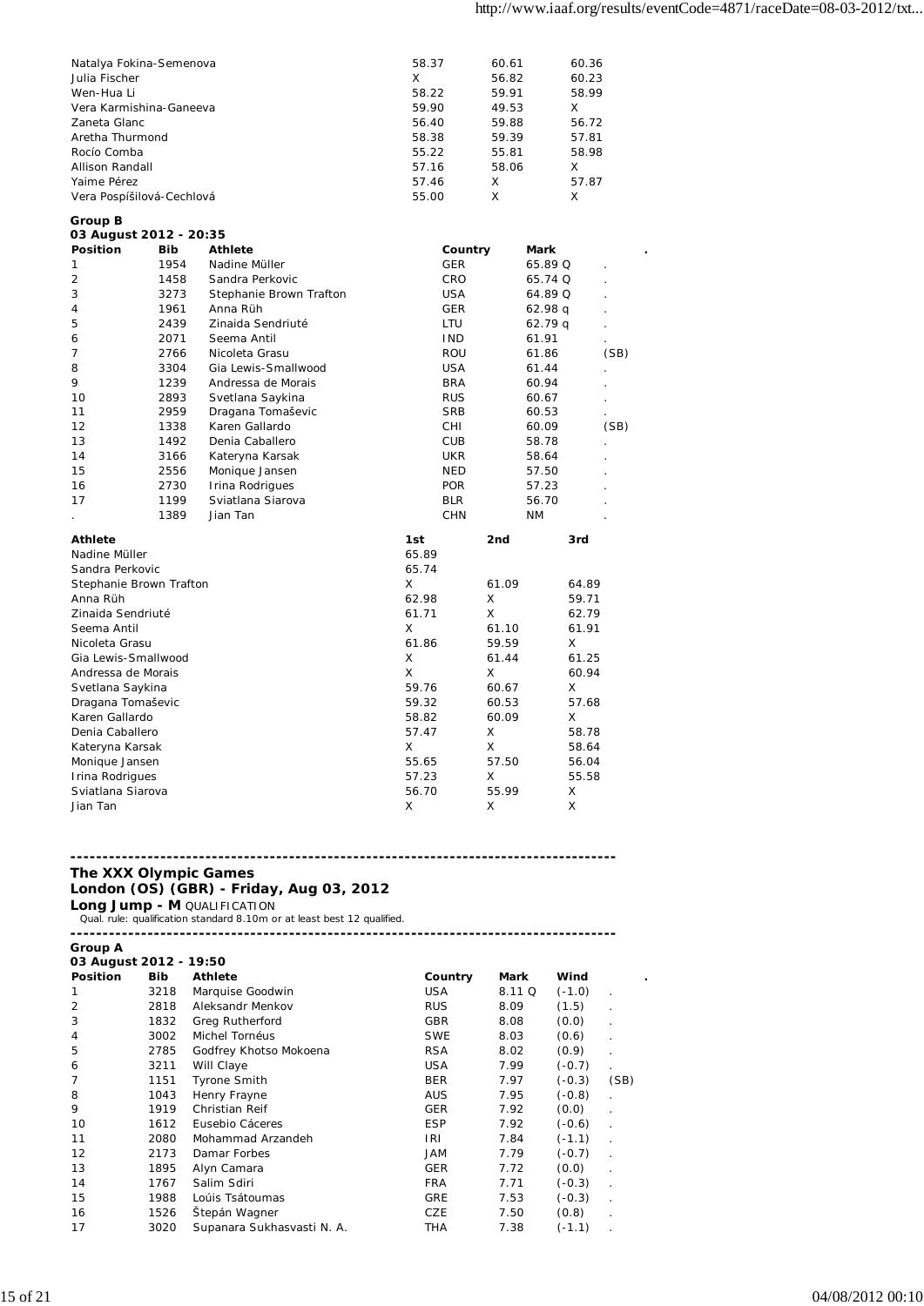| Natalya Fokina-Semenova   | 58.37 | 60.61 | 60.36 |
|---------------------------|-------|-------|-------|
| Julia Fischer             | X     | 56.82 | 60.23 |
| Wen-Hua Li                | 58.22 | 59.91 | 58.99 |
| Vera Karmishina-Ganeeya   | 59.90 | 49.53 | X     |
| Zaneta Glanc              | 56.40 | 59.88 | 56.72 |
| Aretha Thurmond           | 58.38 | 59.39 | 57.81 |
| Rocío Comba               | 55.22 | 55.81 | 58.98 |
| Allison Randall           | 57.16 | 58.06 | X     |
| Yaime Pérez               | 57.46 | X     | 57.87 |
| Vera Pospíšilová-Cechlová | 55.00 | X     | x     |
|                           |       |       |       |

### **Group B**

| 03 August 2012 - 20:35  |            |                         |            |       |           |      |
|-------------------------|------------|-------------------------|------------|-------|-----------|------|
| <b>Position</b>         | <b>Bib</b> | <b>Athlete</b>          | Country    |       | Mark      |      |
| 1                       | 1954       | Nadine Müller           | <b>GER</b> |       | 65.89 Q   |      |
| 2                       | 1458       | Sandra Perkovic         | CRO        |       | 65.74 Q   |      |
| 3                       | 3273       | Stephanie Brown Trafton | <b>USA</b> |       | 64.89 Q   |      |
| 4                       | 1961       | Anna Rüh                | <b>GER</b> |       | 62.98q    |      |
| 5                       | 2439       | Zinaida Sendriuté       | LTU        |       | 62.79q    |      |
| 6                       | 2071       | Seema Antil             | <b>IND</b> |       | 61.91     |      |
| 7                       | 2766       | Nicoleta Grasu          | ROU        |       | 61.86     | (SB) |
| 8                       | 3304       | Gia Lewis-Smallwood     | <b>USA</b> |       | 61.44     |      |
| 9                       | 1239       | Andressa de Morais      | <b>BRA</b> |       | 60.94     |      |
| 10                      | 2893       | Svetlana Saykina        | <b>RUS</b> |       | 60.67     |      |
| 11                      | 2959       | Dragana Tomaševic       | <b>SRB</b> |       | 60.53     |      |
| 12                      | 1338       | Karen Gallardo          | CHI        |       | 60.09     | (SB) |
| 13                      | 1492       | Denia Caballero         | <b>CUB</b> |       | 58.78     |      |
| 14                      | 3166       | Kateryna Karsak         | <b>UKR</b> |       | 58.64     |      |
| 15                      | 2556       | Monique Jansen          | <b>NED</b> |       | 57.50     |      |
| 16                      | 2730       | Irina Rodrigues         | <b>POR</b> |       | 57.23     |      |
| 17                      | 1199       | Sviatlana Siarova       | <b>BLR</b> |       | 56.70     |      |
|                         | 1389       | Jian Tan                | <b>CHN</b> |       | <b>NM</b> |      |
| <b>Athlete</b>          |            |                         | 1st        | 2nd   | 3rd       |      |
| Nadine Müller           |            |                         | 65.89      |       |           |      |
| Sandra Perkovic         |            |                         | 65.74      |       |           |      |
| Stephanie Brown Trafton |            |                         | X          | 61.09 | 64.89     |      |
| Anna Rüh                |            |                         | 62.98      | X     | 59.71     |      |
| Zinaida Sendriuté       |            |                         | 61.71      | X     | 62.79     |      |
| Seema Antil             |            |                         | X          | 61.10 | 61.91     |      |
| Nicoleta Grasu          |            |                         | 61.86      | 59.59 | X         |      |
| Gia Lewis-Smallwood     |            |                         | X          | 61.44 | 61.25     |      |
| Andressa de Morais      |            |                         | X          | X     | 60.94     |      |
| Svetlana Saykina        |            |                         | 59.76      | 60.67 | X         |      |
| Dragana Tomaševic       |            |                         | 59.32      | 60.53 | 57.68     |      |
| Karen Gallardo          |            |                         | 58.82      | 60.09 | X         |      |
| Denia Caballero         |            |                         | 57.47      | X     | 58.78     |      |
| Kateryna Karsak         |            |                         | X          | X     | 58.64     |      |
| Monique Jansen          |            |                         | 55.65      | 57.50 | 56.04     |      |
| Irina Rodrigues         |            |                         | 57.23      | X     | 55.58     |      |
| Sviatlana Siarova       |            |                         | 56.70      | 55.99 | X         |      |
| Jian Tan                |            |                         | Χ          | X     | X         |      |

### **------------------------------------------------------------------------------------- The XXX Olympic Games**

## **London (OS) (GBR) - Friday, Aug 03, 2012**

**Long Jump - M** QUALIFICATION<br>Qual. rule: qualification standard 8.10m or at least best 12 qualified.

|                 | 03 August 2012 - 19:50 |                            |            |             |          |                      |  |  |  |  |  |
|-----------------|------------------------|----------------------------|------------|-------------|----------|----------------------|--|--|--|--|--|
| <b>Position</b> | <b>Bib</b>             | <b>Athlete</b>             | Country    | <b>Mark</b> | Wind     |                      |  |  |  |  |  |
|                 | 3218                   | Marquise Goodwin           | <b>USA</b> | 8.11 Q      | $(-1.0)$ | ٠                    |  |  |  |  |  |
| 2               | 2818                   | Aleksandr Menkov           | <b>RUS</b> | 8.09        | (1.5)    |                      |  |  |  |  |  |
| 3               | 1832                   | Greg Rutherford            | <b>GBR</b> | 8.08        | (0.0)    |                      |  |  |  |  |  |
| 4               | 3002                   | Michel Tornéus             | <b>SWE</b> | 8.03        | (0.6)    |                      |  |  |  |  |  |
| 5               | 2785                   | Godfrey Khotso Mokoena     | <b>RSA</b> | 8.02        | (0.9)    |                      |  |  |  |  |  |
| 6               | 3211                   | Will Claye                 | <b>USA</b> | 7.99        | $(-0.7)$ | $\ddot{\phantom{a}}$ |  |  |  |  |  |
|                 | 1151                   | <b>Tyrone Smith</b>        | <b>BER</b> | 7.97        | $(-0.3)$ | (SB)                 |  |  |  |  |  |
| 8               | 1043                   | Henry Frayne               | <b>AUS</b> | 7.95        | $(-0.8)$ | $\ddot{\phantom{a}}$ |  |  |  |  |  |
| 9               | 1919                   | Christian Reif             | <b>GER</b> | 7.92        | (0.0)    | ٠                    |  |  |  |  |  |
| 10              | 1612                   | Eusebio Cáceres            | <b>ESP</b> | 7.92        | $(-0.6)$ |                      |  |  |  |  |  |
| 11              | 2080                   | Mohammad Arzandeh          | IRI        | 7.84        | $(-1.1)$ |                      |  |  |  |  |  |
| 12              | 2173                   | Damar Forbes               | <b>MAL</b> | 7.79        | $(-0.7)$ |                      |  |  |  |  |  |
| 13              | 1895                   | Alyn Camara                | <b>GER</b> | 7.72        | (0.0)    |                      |  |  |  |  |  |
| 14              | 1767                   | Salim Sdiri                | <b>FRA</b> | 7.71        | $(-0.3)$ |                      |  |  |  |  |  |
| 15              | 1988                   | Loúis Tsátoumas            | <b>GRE</b> | 7.53        | $(-0.3)$ |                      |  |  |  |  |  |
| 16              | 1526                   | Štepán Wagner              | CZE        | 7.50        | (0.8)    |                      |  |  |  |  |  |
| 17              | 3020                   | Supanara Sukhasvasti N. A. | THA        | 7.38        | $(-1.1)$ |                      |  |  |  |  |  |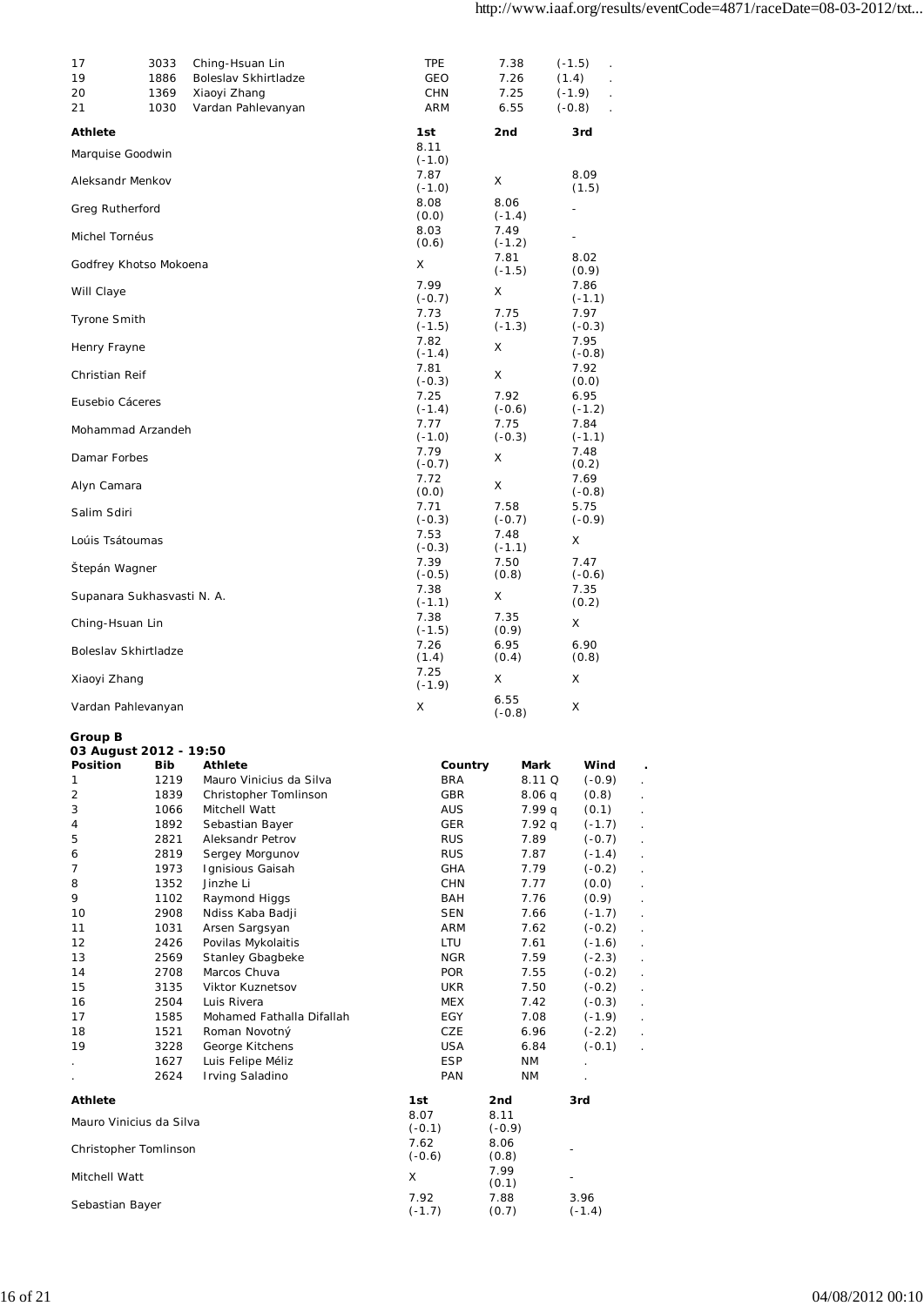| 17                                | 3033         | Ching-Hsuan Lin                      | <b>TPE</b>        | 7.38             | $(-1.5)$<br>$\cdot$                          |    |
|-----------------------------------|--------------|--------------------------------------|-------------------|------------------|----------------------------------------------|----|
| 19                                | 1886         | Boleslav Skhirtladze                 | GEO               | 7.26             | (1.4)                                        |    |
| 20<br>21                          | 1369<br>1030 | Xiaoyi Zhang<br>Vardan Pahlevanyan   | CHN<br>ARM        | 7.25<br>6.55     | $(-1.9)$<br>$(-0.8)$<br>$\ddot{\phantom{a}}$ |    |
| <b>Athlete</b>                    |              |                                      | 1st               | 2nd              | 3rd                                          |    |
| Marquise Goodwin                  |              |                                      | 8.11<br>$(-1.0)$  |                  |                                              |    |
| Aleksandr Menkov                  |              |                                      | 7.87<br>$(-1.0)$  | X                | 8.09<br>(1.5)                                |    |
| Greg Rutherford                   |              |                                      | 8.08<br>(0.0)     | 8.06<br>$(-1.4)$ | $\overline{\phantom{0}}$                     |    |
| Michel Tornéus                    |              |                                      | 8.03<br>(0.6)     | 7.49<br>$(-1.2)$ | $\blacksquare$                               |    |
| Godfrey Khotso Mokoena            |              |                                      | X                 | 7.81<br>$(-1.5)$ | 8.02<br>(0.9)                                |    |
| Will Claye                        |              |                                      | 7.99<br>$(-0.7)$  | X                | 7.86<br>$(-1.1)$                             |    |
| <b>Tyrone Smith</b>               |              |                                      | 7.73<br>$(-1.5)$  | 7.75<br>$(-1.3)$ | 7.97<br>$(-0.3)$                             |    |
| Henry Frayne                      |              |                                      | 7.82<br>$(-1.4)$  | X                | 7.95<br>$(-0.8)$                             |    |
| Christian Reif                    |              |                                      | 7.81<br>$(-0.3)$  | Χ                | 7.92<br>(0.0)                                |    |
| Eusebio Cáceres                   |              |                                      | 7.25<br>$(-1.4)$  | 7.92<br>$(-0.6)$ | 6.95<br>$(-1.2)$                             |    |
| Mohammad Arzandeh                 |              |                                      | 7.77<br>$(-1.0)$  | 7.75<br>$(-0.3)$ | 7.84<br>$(-1.1)$                             |    |
| Damar Forbes                      |              |                                      | 7.79<br>$(-0.7)$  | X                | 7.48<br>(0.2)                                |    |
| Alyn Camara                       |              |                                      | 7.72<br>(0.0)     | X                | 7.69<br>$(-0.8)$                             |    |
| Salim Sdiri                       |              |                                      | 7.71<br>$(-0.3)$  | 7.58<br>$(-0.7)$ | 5.75<br>$(-0.9)$                             |    |
| Loúis Tsátoumas                   |              |                                      | 7.53<br>$(-0.3)$  | 7.48<br>$(-1.1)$ | X                                            |    |
| Štepán Wagner                     |              |                                      | 7.39<br>$(-0.5)$  | 7.50<br>(0.8)    | 7.47<br>$(-0.6)$                             |    |
| Supanara Sukhasvasti N. A.        |              |                                      | 7.38<br>$(-1.1)$  | Χ                | 7.35<br>(0.2)                                |    |
| Ching-Hsuan Lin                   |              |                                      | 7.38<br>$(-1.5)$  | 7.35<br>(0.9)    | X                                            |    |
| Boleslav Skhirtladze              |              |                                      | 7.26<br>(1.4)     | 6.95<br>(0.4)    | 6.90<br>(0.8)                                |    |
| Xiaoyi Zhang                      |              |                                      | 7.25<br>$(-1.9)$  | X                | Χ                                            |    |
| Vardan Pahlevanyan                |              |                                      | X                 | 6.55<br>$(-0.8)$ | X                                            |    |
| Group B<br>03 August 2012 - 19:50 |              |                                      |                   |                  |                                              |    |
| Position                          | Bib          | <b>Athlete</b>                       | Country           | Mark             | Wind                                         |    |
| 1                                 | 1219         | Mauro Vinicius da Silva              | <b>BRA</b>        | 8.11 Q           | $(-0.9)$                                     |    |
| 2                                 | 1839         | Christopher Tomlinson                | GBR               | 8.06q            | (0.8)                                        |    |
| 3<br>4                            | 1066<br>1892 | Mitchell Watt<br>Sebastian Bayer     | AUS<br>GER        | 7.99 g<br>7.92q  | (0.1)                                        |    |
| 5                                 | 2821         | Aleksandr Petrov                     | <b>RUS</b>        | 7.89             | $(-1.7)$<br>$(-0.7)$                         | ¥. |
| 6                                 | 2819         | Sergey Morgunov                      | <b>RUS</b>        | 7.87             | $(-1.4)$                                     |    |
| 7                                 | 1973         | Ignisious Gaisah                     | GHA               | 7.79             | $(-0.2)$                                     |    |
| 8                                 | 1352         | Jinzhe Li                            | CHN               | 7.77             | (0.0)                                        |    |
| 9                                 | 1102         | Raymond Higgs                        | BAH               | 7.76             | (0.9)                                        | ÷. |
| 10                                | 2908         | Ndiss Kaba Badji                     | <b>SEN</b>        | 7.66             | $(-1.7)$                                     |    |
| 11                                | 1031         | Arsen Sargsyan                       | ARM               | 7.62             | $(-0.2)$                                     |    |
| 12                                | 2426         | Povilas Mykolaitis                   | LTU               | 7.61             | $(-1.6)$                                     | ä, |
| 13                                | 2569         | Stanley Gbagbeke                     | <b>NGR</b>        | 7.59             | $(-2.3)$                                     |    |
| 14                                | 2708         | Marcos Chuva                         | <b>POR</b>        | 7.55             | $(-0.2)$                                     | ÷. |
| 15                                | 3135         | Viktor Kuznetsov                     | UKR               | 7.50             | $(-0.2)$                                     |    |
| 16                                | 2504         | Luis Rivera                          | MEX               | 7.42             | $(-0.3)$                                     | ¥. |
| 17                                | 1585         | Mohamed Fathalla Difallah            | EGY               | 7.08             | $(-1.9)$                                     |    |
| 18                                | 1521         | Roman Novotný                        | CZE               | 6.96             | $(-2.2)$                                     |    |
| 19                                | 3228         | George Kitchens                      | <b>USA</b>        | 6.84             | $(-0.1)$                                     | ¥. |
|                                   | 1627<br>2624 | Luis Felipe Méliz<br>Irving Saladino | <b>ESP</b><br>PAN | ΝM<br>ΝM         |                                              |    |
| <b>Athlete</b>                    |              |                                      | 1st               | 2nd              | 3rd                                          |    |
| Mauro Vinicius da Silva           |              |                                      | 8.07<br>$(-0.1)$  | 8.11<br>$(-0.9)$ |                                              |    |
| Christopher Tomlinson             |              |                                      | 7.62<br>$(-0.6)$  | 8.06<br>(0.8)    |                                              |    |
| Mitchell Watt                     |              |                                      | X                 | 7.99<br>(0.1)    |                                              |    |
| Sebastian Bayer                   |              |                                      | 7.92<br>$(-1.7)$  | 7.88<br>(0.7)    | 3.96<br>$(-1.4)$                             |    |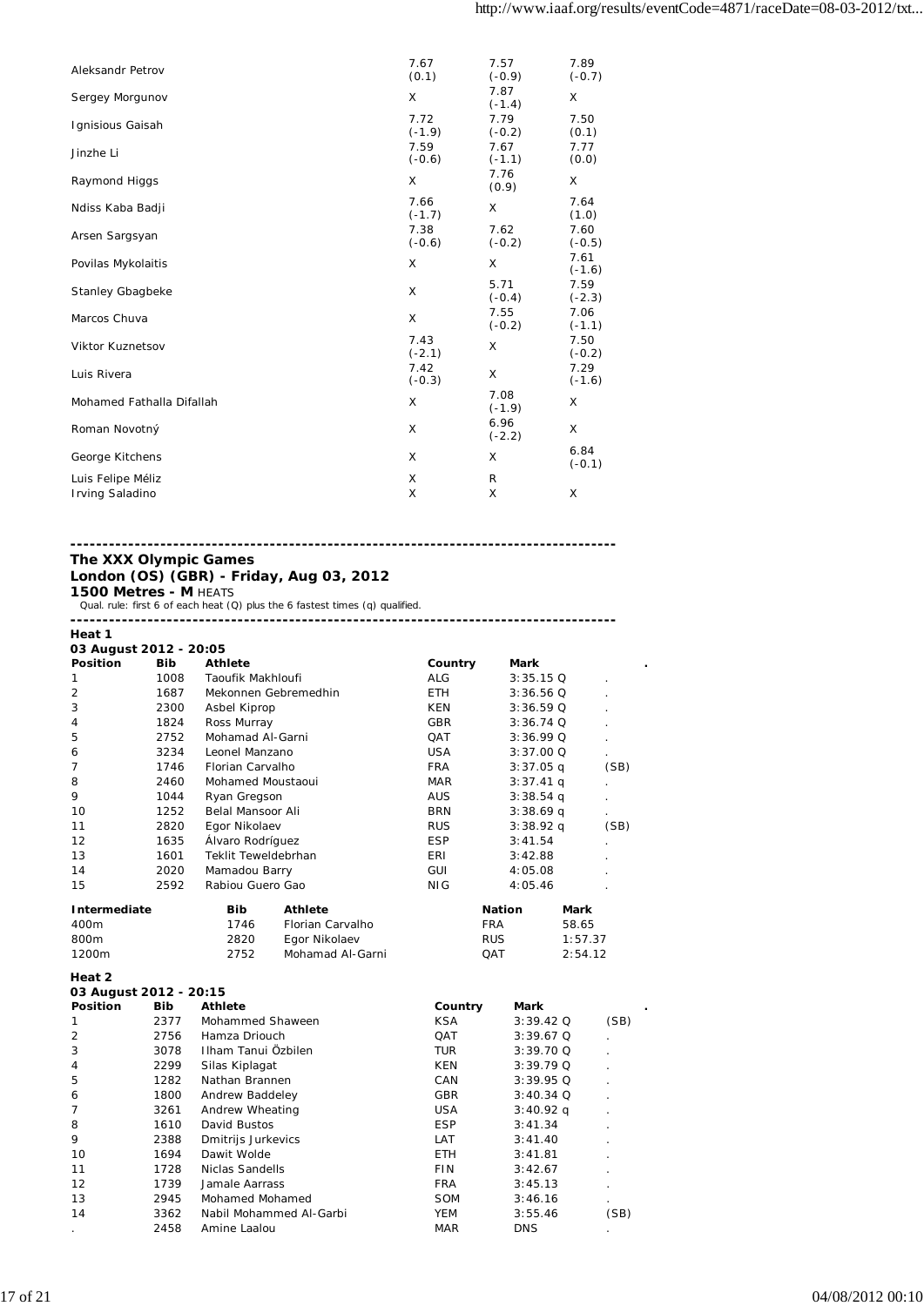| Aleksandr Petrov          | 7.67<br>(0.1)    | 7.57<br>$(-0.9)$ | 7.89<br>$(-0.7)$ |
|---------------------------|------------------|------------------|------------------|
| Sergey Morgunov           | X                | 7.87<br>$(-1.4)$ | X                |
| Ignisious Gaisah          | 7.72<br>$(-1.9)$ | 7.79<br>$(-0.2)$ | 7.50<br>(0.1)    |
| Jinzhe Li                 | 7.59<br>$(-0.6)$ | 7.67<br>$(-1.1)$ | 7.77<br>(0.0)    |
| Raymond Higgs             | X                | 7.76<br>(0.9)    | X                |
| Ndiss Kaba Badji          | 7.66<br>$(-1.7)$ | X                | 7.64<br>(1.0)    |
| Arsen Sargsyan            | 7.38<br>$(-0.6)$ | 7.62<br>$(-0.2)$ | 7.60<br>$(-0.5)$ |
| Povilas Mykolaitis        | X                | X                | 7.61<br>$(-1.6)$ |
| Stanley Gbagbeke          | X                | 5.71<br>$(-0.4)$ | 7.59<br>$(-2.3)$ |
| Marcos Chuva              | X                | 7.55<br>$(-0.2)$ | 7.06<br>$(-1.1)$ |
| Viktor Kuznetsov          | 7.43<br>$(-2.1)$ | X                | 7.50<br>$(-0.2)$ |
| Luis Rivera               | 7.42<br>$(-0.3)$ | X                | 7.29<br>$(-1.6)$ |
| Mohamed Fathalla Difallah | X                | 7.08<br>$(-1.9)$ | X                |
| Roman Novotný             | X                | 6.96<br>$(-2.2)$ | X                |
| George Kitchens           | X                | X                | 6.84<br>$(-0.1)$ |
| Luis Felipe Méliz         | X                | R                |                  |
| Irving Saladino           | X                | X                | X                |

### **------------------------------------------------------------------------------------- The XXX Olympic Games**

### **London (OS) (GBR) - Friday, Aug 03, 2012 1500 Metres - M** HEATS

Qual. rule: first 6 of each heat (Q) plus the 6 fastest times (q) qualified.

| Heat 1                 |            |                     |                      |            |               |         |      |
|------------------------|------------|---------------------|----------------------|------------|---------------|---------|------|
| 03 August 2012 - 20:05 |            |                     |                      |            |               |         |      |
| <b>Position</b>        | <b>Bib</b> | <b>Athlete</b>      |                      | Country    | Mark          |         |      |
| 1                      | 1008       | Taoufik Makhloufi   |                      | <b>ALG</b> | $3:35.15$ Q   |         |      |
| $\overline{2}$         | 1687       |                     | Mekonnen Gebremedhin | ETH.       | 3:36.56Q      |         |      |
| 3                      | 2300       | Asbel Kiprop        |                      | KEN        | 3:36.59Q      |         |      |
| 4                      | 1824       | Ross Murray         |                      | GBR        | $3:36.74$ Q   |         |      |
| 5                      | 2752       | Mohamad Al-Garni    |                      | <b>QAT</b> | $3:36.99$ Q   |         |      |
| 6                      | 3234       | Leonel Manzano      |                      | <b>USA</b> | 3:37.00 Q     |         |      |
| 7                      | 1746       | Florian Carvalho    |                      | <b>FRA</b> | $3:37.05$ q   |         | (SB) |
| 8                      | 2460       | Mohamed Moustaoui   |                      | <b>MAR</b> | $3:37.41$ q   |         |      |
| 9                      | 1044       | Ryan Gregson        |                      | <b>AUS</b> | $3:38.54$ q   |         |      |
| 10                     | 1252       | Belal Mansoor Ali   |                      | <b>BRN</b> | $3:38.69$ q   |         |      |
| 11                     | 2820       | Egor Nikolaev       |                      | <b>RUS</b> | $3:38.92$ q   |         | (SB) |
| 12                     | 1635       | Álvaro Rodríguez    |                      | <b>ESP</b> | 3:41.54       |         |      |
| 13                     | 1601       | Teklit Teweldebrhan |                      | ERI        | 3:42.88       |         |      |
| 14                     | 2020       | Mamadou Barry       |                      | GUI        | 4:05.08       |         |      |
| 15                     | 2592       | Rabiou Guero Gao    |                      | NIG        | 4:05.46       |         |      |
| Intermediate           |            | <b>Bib</b>          | <b>Athlete</b>       |            | <b>Nation</b> | Mark    |      |
| 400m                   |            | 1746                | Florian Carvalho     |            | <b>FRA</b>    | 58.65   |      |
| 800m                   |            | 2820                | Egor Nikolaev        |            | <b>RUS</b>    | 1:57.37 |      |
| 1200m                  |            | 2752                | Mohamad Al-Garni     |            | QAT           | 2:54.12 |      |
| Heat 2                 |            |                     |                      |            |               |         |      |

| 03 August 2012 - 20:15 |            |                         |            |             |      |
|------------------------|------------|-------------------------|------------|-------------|------|
| <b>Position</b>        | <b>Bib</b> | <b>Athlete</b>          | Country    | Mark        |      |
|                        | 2377       | Mohammed Shaween        | <b>KSA</b> | $3:39.42$ Q | (SB) |
| $\overline{2}$         | 2756       | Hamza Driouch           | QAT        | $3:39.67$ Q |      |
| 3                      | 3078       | Ilham Tanui Özbilen     | TUR.       | $3:39.70$ Q |      |
| 4                      | 2299       | Silas Kiplagat          | KEN        | $3:39.79$ Q |      |
| 5                      | 1282       | Nathan Brannen          | CAN        | $3:39.95$ Q |      |
| 6                      | 1800       | Andrew Baddeley         | <b>GBR</b> | $3:40.34$ Q |      |
|                        | 3261       | Andrew Wheating         | <b>USA</b> | $3:40.92$ q |      |
| 8                      | 1610       | David Bustos            | <b>ESP</b> | 3:41.34     |      |
| 9                      | 2388       | Dmitrijs Jurkevics      | LAT        | 3:41.40     |      |
| 10                     | 1694       | Dawit Wolde             | <b>ETH</b> | 3:41.81     |      |
| 11                     | 1728       | Niclas Sandells         | <b>FIN</b> | 3:42.67     |      |
| 12                     | 1739       | Jamale Aarrass          | <b>FRA</b> | 3:45.13     |      |
| 13                     | 2945       | Mohamed Mohamed         | <b>SOM</b> | 3:46.16     |      |
| 14                     | 3362       | Nabil Mohammed Al-Garbi | YEM        | 3:55.46     | (SB) |
|                        | 2458       | Amine Laalou            | <b>MAR</b> | <b>DNS</b>  |      |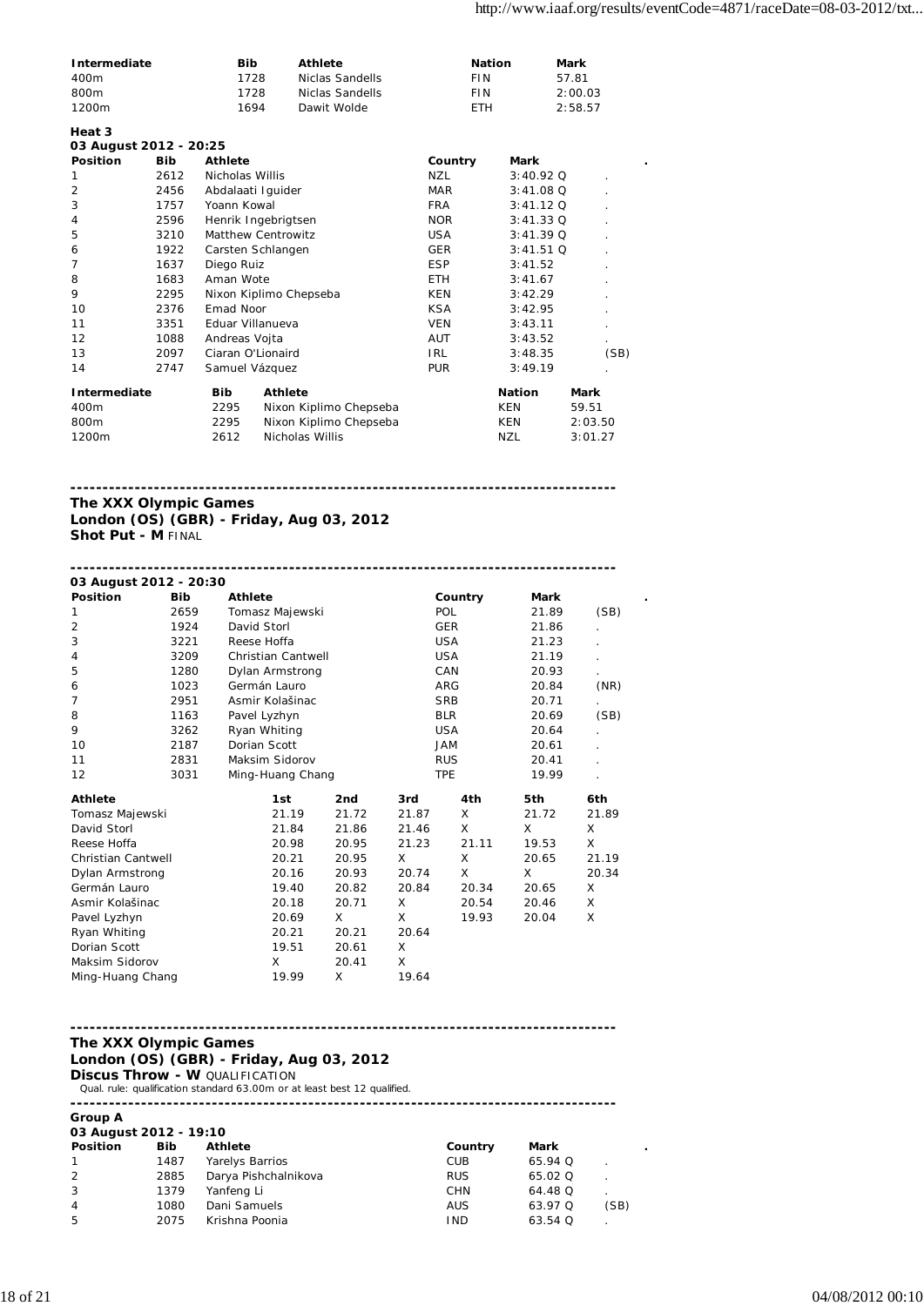| Intermediate     | <b>Bib</b> | Athlete         | <b>Nation</b> | Mark    |
|------------------|------------|-----------------|---------------|---------|
| 400m             | 1728       | Niclas Sandells | FIN           | 5781    |
| 800 <sub>m</sub> | 1728       | Niclas Sandells | FIN           | 2:00.03 |
| 1200m            | 1694       | Dawit Wolde     | FTH           | 2:58.57 |

| Heat 3                 |            |                 |                           |            |               |         |
|------------------------|------------|-----------------|---------------------------|------------|---------------|---------|
| 03 August 2012 - 20:25 |            |                 |                           |            |               |         |
| <b>Position</b>        | <b>Bib</b> | <b>Athlete</b>  |                           | Country    | Mark          |         |
| 1                      | 2612       | Nicholas Willis |                           | NZL        | $3:40.92$ Q   |         |
| $\overline{2}$         | 2456       |                 | Abdalaati Iguider         | <b>MAR</b> | $3:41.08$ Q   |         |
| 3                      | 1757       | Yoann Kowal     |                           | <b>FRA</b> | $3:41.12$ Q   |         |
| $\overline{4}$         | 2596       |                 | Henrik Ingebrigtsen       | <b>NOR</b> | $3:41.33$ Q   |         |
| 5                      | 3210       |                 | <b>Matthew Centrowitz</b> | <b>USA</b> | $3:41.39$ Q   |         |
| 6                      | 1922       |                 | Carsten Schlangen         | <b>GER</b> | $3:41.51$ Q   |         |
| 7                      | 1637       | Diego Ruiz      |                           | ESP        | 3:41.52       |         |
| 8                      | 1683       | Aman Wote       |                           | ETH.       | 3:41.67       |         |
| 9                      | 2295       |                 | Nixon Kiplimo Chepseba    | KEN        | 3:42.29       |         |
| 10                     | 2376       | Emad Noor       |                           | <b>KSA</b> | 3:42.95       |         |
| 11                     | 3351       |                 | Eduar Villanueva          | <b>VEN</b> | 3:43.11       |         |
| 12                     | 1088       | Andreas Vojta   |                           | <b>AUT</b> | 3:43.52       |         |
| 13                     | 2097       |                 | Ciaran O'Lionaird         | IRL        | 3:48.35       | (SB)    |
| 14                     | 2747       |                 | Samuel Vázquez            | <b>PUR</b> | 3:49.19       |         |
| Intermediate           |            | <b>Bib</b>      | <b>Athlete</b>            |            | <b>Nation</b> | Mark    |
| 400m                   |            | 2295            | Nixon Kiplimo Chepseba    |            | KEN           | 59.51   |
| 800m                   |            | 2295            | Nixon Kiplimo Chepseba    |            | KEN           | 2:03.50 |
| 1200m                  |            | 2612            | Nicholas Willis           |            | NZL           | 3:01.27 |

**The XXX Olympic Games London (OS) (GBR) - Friday, Aug 03, 2012 Shot Put - M FINAL** 

| 03 August 2012 - 20:30    |            |                  |                           |                 |            |            |         |             |       |
|---------------------------|------------|------------------|---------------------------|-----------------|------------|------------|---------|-------------|-------|
| <b>Position</b>           | <b>Bib</b> | Athlete          |                           |                 |            |            | Country | <b>Mark</b> |       |
| 1                         | 2659       | Tomasz Majewski  |                           |                 |            | <b>POL</b> |         | 21.89       | (SB)  |
| $\overline{2}$            | 1924       | David Storl      |                           |                 | <b>GER</b> |            |         | 21.86       |       |
| 3                         | 3221       |                  | Reese Hoffa               |                 |            | <b>USA</b> |         | 21.23       |       |
| $\overline{4}$            | 3209       |                  | <b>Christian Cantwell</b> |                 |            | <b>USA</b> |         | 21.19       |       |
| 5                         | 1280       |                  | Dylan Armstrong           |                 |            | CAN        |         | 20.93       |       |
| 6                         | 1023       | Germán Lauro     |                           |                 |            | <b>ARG</b> |         | 20.84       | (NR)  |
| $\overline{7}$            | 2951       |                  | Asmir Kolašinac           |                 |            | <b>SRB</b> |         | 20.71       |       |
| 8                         | 1163       | Pavel Lyzhyn     |                           |                 |            | <b>BLR</b> |         | 20.69       | (SB)  |
| 9                         | 3262       | Ryan Whiting     |                           |                 |            | <b>USA</b> |         | 20.64       |       |
| 10                        | 2187       | Dorian Scott     |                           |                 | <b>JAM</b> |            |         | 20.61       |       |
| 11                        | 2831       | Maksim Sidorov   |                           |                 | <b>RUS</b> |            |         | 20.41       |       |
| 12                        | 3031       | Ming-Huang Chang |                           |                 | <b>TPE</b> |            |         | 19.99       |       |
| <b>Athlete</b>            |            |                  | 1st                       | 2 <sub>nd</sub> | 3rd        |            | 4th     | 5th         | 6th   |
| Tomasz Majewski           |            |                  | 21.19                     | 21.72           | 21.87      |            | X       | 21.72       | 21.89 |
| David Storl               |            |                  | 21.84                     | 21.86           | 21.46      |            | X       | X           | X     |
| Reese Hoffa               |            |                  | 20.98                     | 20.95           | 21.23      |            | 21.11   | 19.53       | X     |
| <b>Christian Cantwell</b> |            |                  | 20.21                     | 20.95           | X          |            | X       | 20.65       | 21.19 |
| Dylan Armstrong           |            |                  | 20.16                     | 20.93           | 20.74      |            | X       | X           | 20.34 |
| Germán Lauro              |            |                  | 19.40                     | 20.82           | 20.84      |            | 20.34   | 20.65       | X     |
| Asmir Kolašinac           |            |                  | 20.18                     | 20.71           | X          |            | 20.54   | 20.46       | X     |
| Pavel Lyzhyn              |            |                  | 20.69                     | X               | X          |            | 19.93   | 20.04       | X     |
| Ryan Whiting              |            |                  | 20.21                     | 20.21           | 20.64      |            |         |             |       |
| Dorian Scott              |            |                  | 19.51                     | 20.61           | X          |            |         |             |       |
| Maksim Sidorov            |            |                  | X                         | 20.41           | X          |            |         |             |       |
| Ming-Huang Chang          |            |                  | 19.99                     | X               | 19.64      |            |         |             |       |

### **------------------------------------------------------------------------------------- The XXX Olympic Games London (OS) (GBR) - Friday, Aug 03, 2012 Discus Throw - W QUALIFICATION**

Qual. rule: qualification standard 63.00m or at least best 12 qualified.

**-------------------------------------------------------------------------------------**

**Group A 03 August 2012 - 19:10**

| <b>Position</b> | <b>Bib</b> | <b>Athlete</b>       | Country    | Mark      |      |
|-----------------|------------|----------------------|------------|-----------|------|
|                 | 1487       | Yarelys Barrios      | CUB        | 65.94 Q   |      |
| -2              | 2885       | Darya Pishchalnikova | <b>RUS</b> | 65.02 Q   |      |
| 3               | 1379       | Yanfeng Li           | <b>CHN</b> | 64.48 Q   |      |
| $\overline{4}$  | 1080       | Dani Samuels         | AUS        | 63.97 Q   | (SB) |
| 5               | 2075       | Krishna Poonia       | <b>IND</b> | $63.54$ Q |      |
|                 |            |                      |            |           |      |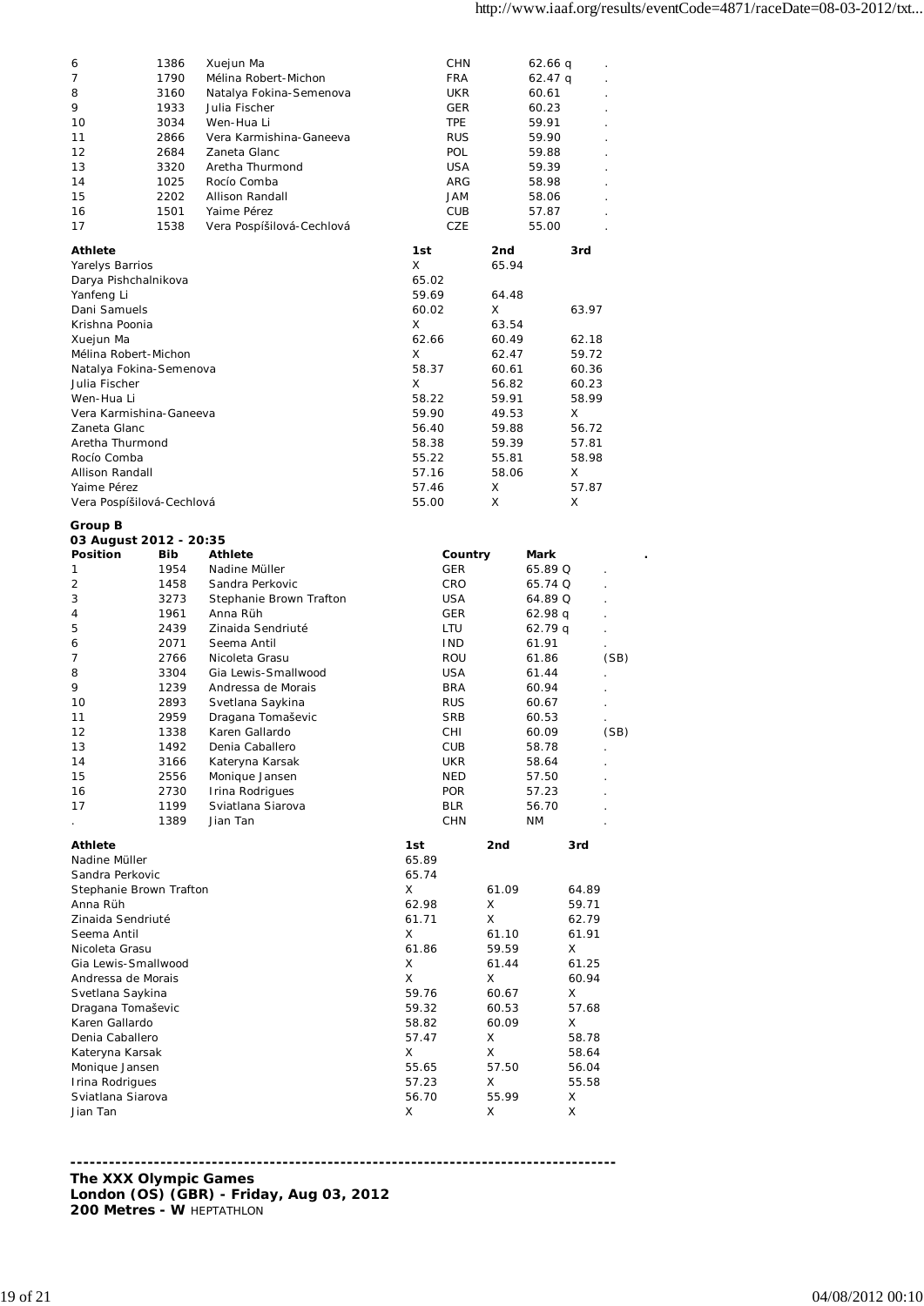| 6                                 | 1386         | Xuejun Ma                            | CHN                      |            | 62.66 q        |        |      |
|-----------------------------------|--------------|--------------------------------------|--------------------------|------------|----------------|--------|------|
| 7                                 | 1790         | Mélina Robert-Michon                 | <b>FRA</b>               |            | $62.47$ q      |        |      |
| 8                                 | 3160         | Natalya Fokina-Semenova              | UKR                      |            | 60.61          |        |      |
| 9                                 | 1933         | Julia Fischer                        | GER                      |            | 60.23          |        |      |
| 10                                | 3034         | Wen-Hua Li                           | <b>TPE</b>               |            | 59.91          |        |      |
| 11                                | 2866         | Vera Karmishina-Ganeeva              | <b>RUS</b>               |            | 59.90          |        |      |
| 12                                | 2684         | Zaneta Glanc                         | POL                      |            | 59.88          |        |      |
| 13                                | 3320         | Aretha Thurmond                      | <b>USA</b>               |            | 59.39          |        |      |
| 14                                | 1025         | Rocío Comba                          | ARG                      |            | 58.98          |        |      |
| 15                                | 2202         | Allison Randall                      | JAM                      |            | 58.06          |        |      |
| 16                                | 1501         | Yaime Pérez                          | CUB                      |            | 57.87          |        |      |
| 17                                | 1538         | Vera Pospíšilová-Cechlová            | CZE                      |            | 55.00          |        |      |
| <b>Athlete</b>                    |              |                                      | 1st                      | 2nd        |                | 3rd    |      |
| Yarelys Barrios                   |              |                                      | X                        | 65.94      |                |        |      |
| Darya Pishchalnikova              |              |                                      | 65.02                    |            |                |        |      |
| Yanfeng Li                        |              |                                      | 59.69                    | 64.48      |                |        |      |
| Dani Samuels                      |              |                                      | 60.02                    | X          |                | 63.97  |      |
| Krishna Poonia                    |              |                                      | Χ                        | 63.54      |                |        |      |
| Xuejun Ma                         |              |                                      | 62.66                    | 60.49      |                | 62.18  |      |
| Mélina Robert-Michon              |              |                                      | X                        | 62.47      |                | 59.72  |      |
| Natalya Fokina-Semenova           |              |                                      | 58.37                    | 60.61      |                | 60.36  |      |
| Julia Fischer                     |              |                                      | X                        | 56.82      |                | 60.23  |      |
| Wen-Hua Li                        |              |                                      | 58.22                    | 59.91      |                | 58.99  |      |
| Vera Karmishina-Ganeeva           |              |                                      | 59.90                    | 49.53      |                | X      |      |
| Zaneta Glanc                      |              |                                      | 56.40                    | 59.88      |                | 56.72  |      |
| Aretha Thurmond                   |              |                                      | 58.38                    | 59.39      |                | 57.81  |      |
| Rocío Comba                       |              |                                      | 55.22                    | 55.81      |                | 58.98  |      |
| Allison Randall                   |              |                                      | 57.16                    | 58.06      |                | X      |      |
| Yaime Pérez                       |              |                                      | 57.46                    | Χ          |                | 57.87  |      |
| Vera Pospíšilová-Cechlová         |              |                                      | 55.00                    | X          |                |        |      |
|                                   |              |                                      |                          |            |                |        |      |
| Group B<br>03 August 2012 - 20:35 |              |                                      |                          |            |                |        |      |
| <b>Position</b>                   | Bib          | Athlete                              | Country                  |            | Mark           |        |      |
| 1                                 | 1954         | Nadine Müller                        | <b>GER</b>               |            | 65.89 Q        |        |      |
| $\overline{2}$                    | 1458         | Sandra Perkovic                      | <b>CRO</b>               |            | 65.74 Q        |        |      |
|                                   |              |                                      |                          |            |                |        |      |
|                                   |              |                                      |                          |            |                |        |      |
| 3                                 | 3273         | Stephanie Brown Trafton              | <b>USA</b>               |            | 64.89 Q        |        |      |
| 4                                 | 1961         | Anna Rüh                             | GER                      |            | 62.98 q        |        |      |
| 5                                 | 2439         | Zinaida Sendriuté                    | LTU                      |            | 62.79 q        |        |      |
| 6                                 | 2071         | Seema Antil                          | <b>IND</b>               |            | 61.91          |        |      |
| 7                                 | 2766         | Nicoleta Grasu                       | ROU                      |            | 61.86          |        | (SB) |
| 8                                 | 3304         | Gia Lewis-Smallwood                  | <b>USA</b>               |            | 61.44          |        |      |
| 9                                 | 1239         | Andressa de Morais                   | <b>BRA</b>               |            | 60.94          |        |      |
| 10                                | 2893         | Svetlana Saykina                     | <b>RUS</b>               |            | 60.67          |        |      |
| 11                                | 2959         | Dragana Tomaševic                    | <b>SRB</b>               |            | 60.53          |        |      |
| 12                                | 1338         | Karen Gallardo                       | CHI                      |            | 60.09          |        | (SB) |
| 13                                | 1492         | Denia Caballero                      | CUB                      |            | 58.78          |        |      |
| 14                                | 3166         | Kateryna Karsak                      | UKR                      |            | 58.64          |        |      |
| 15<br>16                          | 2556         | Monique Jansen                       | <b>NED</b>               |            | 57.50          |        |      |
| 17                                | 2730<br>1199 | Irina Rodrigues<br>Sviatlana Siarova | <b>POR</b><br><b>BLR</b> |            | 57.23<br>56.70 |        |      |
|                                   | 1389         | Jian Tan                             | <b>CHN</b>               |            | ΝM             |        |      |
|                                   |              |                                      |                          |            |                |        |      |
| <b>Athlete</b>                    |              |                                      | 1st                      | 2nd        |                | 3rd    |      |
| Nadine Müller                     |              |                                      | 65.89                    |            |                |        |      |
| Sandra Perkovic                   |              |                                      | 65.74                    |            |                |        |      |
| Stephanie Brown Trafton           |              |                                      | Χ                        | 61.09      |                | 64.89  |      |
| Anna Rüh                          |              |                                      | 62.98                    | Χ          |                | 59.71  |      |
| Zinaida Sendriuté                 |              |                                      | 61.71                    | X          |                | 62.79  |      |
| Seema Antil                       |              |                                      | Χ                        | 61.10      |                | 61.91  |      |
| Nicoleta Grasu                    |              |                                      | 61.86                    | 59.59      |                | Χ      |      |
| Gia Lewis-Smallwood               |              |                                      | Χ                        | 61.44      |                | 61.25  |      |
| Andressa de Morais                |              |                                      | Χ                        | X          |                | 60.94  |      |
| Svetlana Saykina                  |              |                                      | 59.76                    | 60.67      |                | Χ      |      |
| Dragana Tomaševic                 |              |                                      | 59.32                    | 60.53      |                | 57.68  |      |
| Karen Gallardo                    |              |                                      | 58.82                    | 60.09      |                | Χ      |      |
| Denia Caballero                   |              |                                      | 57.47                    | X          |                | 58.78  |      |
| Kateryna Karsak                   |              |                                      | Χ                        | X          |                | 58.64  |      |
| Monique Jansen                    |              |                                      | 55.65                    | 57.50      |                | 56.04  |      |
| Irina Rodrigues                   |              |                                      | 57.23                    | Х          |                | 55.58  |      |
| Sviatlana Siarova<br>Jian Tan     |              |                                      | 56.70<br>Χ               | 55.99<br>Χ |                | X<br>X |      |

**------------------------------------------------------------------------------------- The XXX Olympic Games London (OS) (GBR) - Friday, Aug 03, 2012 200 Metres - W** HEPTATHLON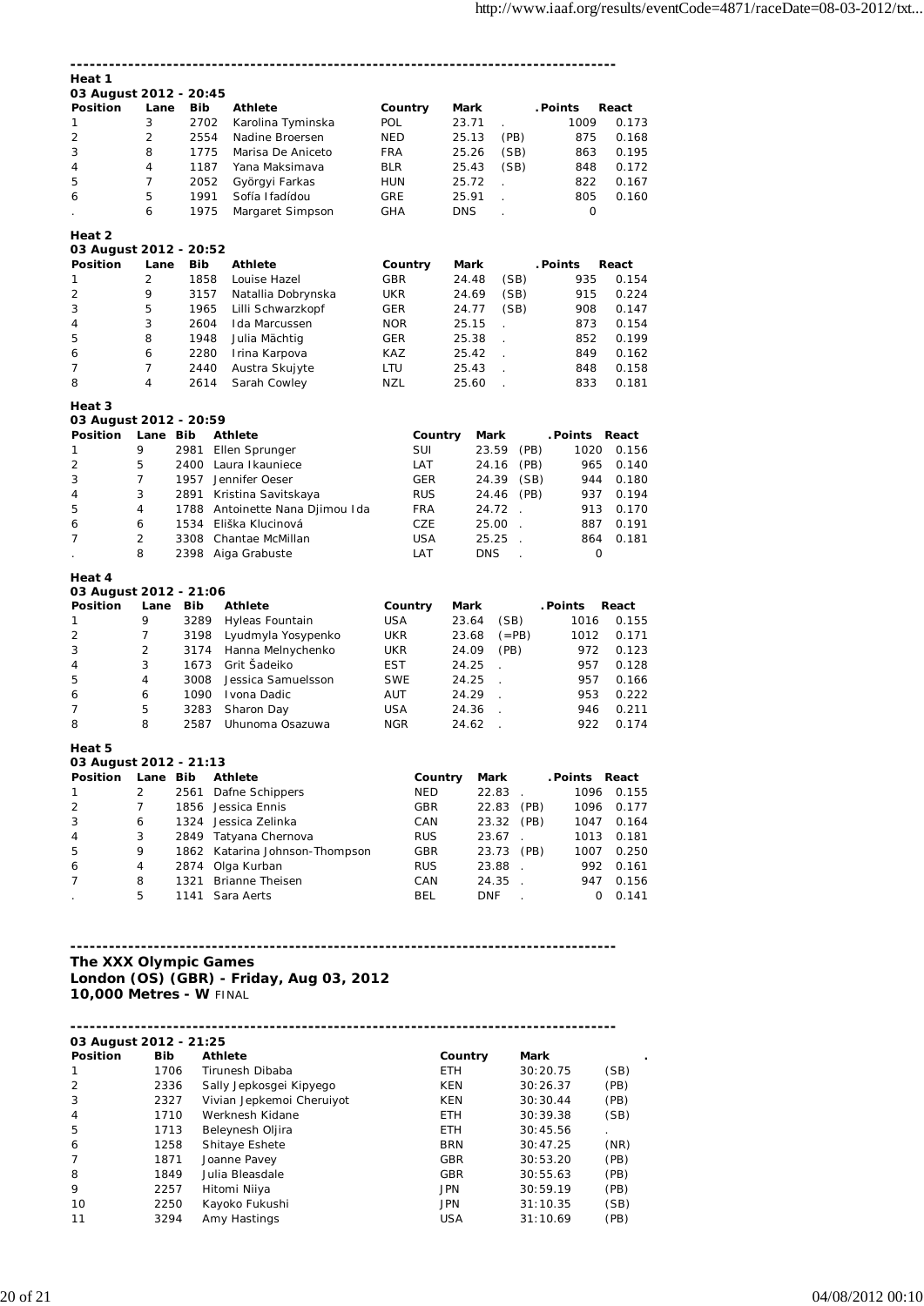| Heat 1                                    |                     |              |                                          |                   |            |                |                      |                             |          |              |                |
|-------------------------------------------|---------------------|--------------|------------------------------------------|-------------------|------------|----------------|----------------------|-----------------------------|----------|--------------|----------------|
| 03 August 2012 - 20:45                    |                     |              |                                          |                   |            |                |                      |                             |          |              |                |
| <b>Position</b>                           | Lane                | Bib          | <b>Athlete</b>                           | Country           |            | <b>Mark</b>    |                      |                             | . Points |              | React          |
| 1                                         | 3                   | 2702         | Karolina Tyminska                        | <b>POL</b>        |            | 23.71          |                      |                             |          | 1009         | 0.173          |
| 2                                         | 2                   | 2554         | Nadine Broersen                          | <b>NED</b>        |            | 25.13          | (PB)                 |                             |          | 875          | 0.168          |
| 3                                         | 8                   | 1775         | Marisa De Aniceto                        | <b>FRA</b>        |            | 25.26          |                      | (SB)                        |          | 863          | 0.195          |
| 4                                         | 4                   | 1187         | Yana Maksimava                           | <b>BLR</b>        |            | 25.43          | (SB)                 |                             |          | 848          | 0.172          |
| 5                                         | 7                   | 2052         | Györgyi Farkas                           | <b>HUN</b>        |            | 25.72          | ä,                   |                             |          | 822          | 0.167          |
| 6                                         | 5                   | 1991         | Sofía Ifadídou                           | GRE               |            | 25.91          | $\mathbf{r}$         |                             |          | 805          | 0.160          |
|                                           | 6                   | 1975         | Margaret Simpson                         | <b>GHA</b>        |            | <b>DNS</b>     |                      |                             |          | $\mathbf{O}$ |                |
|                                           |                     |              |                                          |                   |            |                |                      |                             |          |              |                |
| Heat 2                                    |                     |              |                                          |                   |            |                |                      |                             |          |              |                |
| 03 August 2012 - 20:52<br><b>Position</b> | Lane                | <b>Bib</b>   | <b>Athlete</b>                           |                   |            | <b>Mark</b>    |                      |                             | . Points |              | React          |
|                                           | 2                   | 1858         |                                          | Country           |            |                |                      |                             |          | 935          |                |
| 1<br>2                                    | 9                   | 3157         | Louise Hazel                             | GBR<br>UKR        |            | 24.48<br>24.69 |                      | (SB)                        |          | 915          | 0.154<br>0.224 |
|                                           | 5                   |              | Natallia Dobrynska                       |                   |            |                |                      | (SB)                        |          |              |                |
| 3                                         | 3                   | 1965         | Lilli Schwarzkopf                        | GER               |            | 24.77          |                      | (SB)                        |          | 908          | 0.147          |
| 4<br>5                                    | 8                   | 2604<br>1948 | Ida Marcussen                            | <b>NOR</b><br>GER |            | 25.15<br>25.38 | L.                   |                             |          | 873<br>852   | 0.154<br>0.199 |
|                                           |                     |              | Julia Mächtig                            |                   |            |                | $\ddot{\phantom{a}}$ |                             |          |              |                |
| 6                                         | 6                   | 2280         | Irina Karpova                            | KAZ               |            | 25.42          | $\cdot$              |                             |          | 849          | 0.162          |
| 7                                         | 7                   | 2440         | Austra Skujyte                           | LTU               |            | 25.43          |                      |                             |          | 848          | 0.158          |
| 8                                         | 4                   | 2614         | Sarah Cowley                             | <b>NZL</b>        |            | 25.60          | $\ddot{\phantom{a}}$ |                             |          | 833          | 0.181          |
| Heat 3                                    |                     |              |                                          |                   |            |                |                      |                             |          |              |                |
| 03 August 2012 - 20:59                    |                     |              |                                          |                   |            |                |                      |                             |          |              |                |
| <b>Position</b>                           | Lane Bib            |              | <b>Athlete</b>                           |                   | Country    |                | Mark                 |                             | . Points |              | React          |
| 1                                         | 9                   | 2981         | Ellen Sprunger                           |                   | SUI        |                | 23.59                | (PB)                        |          | 1020         | 0.156          |
| 2                                         | 5                   | 2400         | Laura Ikauniece                          |                   | LAT        |                | 24.16                | (PB)                        |          | 965          | 0.140          |
| 3                                         | $\overline{7}$      | 1957         | Jennifer Oeser                           |                   | <b>GER</b> |                | 24.39                | (SB)                        |          | 944          | 0.180          |
| 4                                         | 3                   | 2891         | Kristina Savitskaya                      |                   | <b>RUS</b> |                | 24.46                | (PB)                        |          | 937          | 0.194          |
| 5                                         | 4                   |              | 1788 Antoinette Nana Djimou Ida          |                   | <b>FRA</b> |                | 24.72                | $\mathcal{L}_{\mathcal{A}}$ |          | 913          | 0.170          |
| 6                                         | 6                   |              | 1534 Eliška Klucinová                    |                   | CZE        |                | 25.00                | $\mathbf{r}$                |          | 887          | 0.191          |
| 7                                         | $\overline{2}$      |              | 3308 Chantae McMillan                    |                   | USA        |                | 25.25                | $\overline{a}$              |          | 864          | 0.181          |
|                                           | 8                   | 2398         | Aiga Grabuste                            |                   | LAT        |                | <b>DNS</b>           | $\ddot{\phantom{a}}$        |          | 0            |                |
|                                           |                     |              |                                          |                   |            |                |                      |                             |          |              |                |
| Heat 4                                    |                     |              |                                          |                   |            |                |                      |                             |          |              |                |
| 03 August 2012 - 21:06                    |                     |              |                                          |                   |            |                |                      |                             |          |              |                |
| <b>Position</b>                           | Lane                | Bib          | <b>Athlete</b>                           | Country           |            | Mark           |                      |                             | . Points |              | React          |
| 1                                         | 9                   | 3289         | Hyleas Fountain                          | <b>USA</b>        |            | 23.64          | (SB)                 |                             |          | 1016         | 0.155          |
| $\overline{2}$                            | 7                   | 3198         | Lyudmyla Yosypenko                       | UKR               |            | 23.68          |                      | $( = PB)$                   |          | 1012         | 0.171          |
| 3                                         | $\overline{2}$      | 3174         | Hanna Melnychenko                        | UKR               |            | 24.09          | (PB)                 |                             |          | 972          | 0.123          |
| 4                                         | 3                   | 1673         | Grit Šadeiko                             | <b>EST</b>        |            | 24.25          |                      |                             |          | 957          | 0.128          |
| 5                                         | $\overline{4}$<br>6 | 3008         | Jessica Samuelsson                       | <b>SWE</b>        |            | 24.25          | $\mathbf{r}$         |                             |          | 957          | 0.166          |
| 6                                         | 5                   | 1090         | Ivona Dadic                              | AUT               |            | 24.29          |                      |                             |          | 953          | 0.222          |
| 7<br>8                                    | 8                   | 3283<br>2587 | Sharon Day                               | <b>USA</b>        |            | 24.36<br>24.62 | ä,                   |                             |          | 946<br>922   | 0.211<br>0.174 |
|                                           |                     |              | Uhunoma Osazuwa                          | <b>NGR</b>        |            |                | $\overline{a}$       |                             |          |              |                |
| Heat 5                                    |                     |              |                                          |                   |            |                |                      |                             |          |              |                |
| 03 August 2012 - 21:13                    |                     |              |                                          |                   |            |                |                      |                             |          |              |                |
| Position                                  | Lane Bib            |              | Athlete                                  |                   | Country    |                | Mark                 |                             |          |              | .Points React  |
| 1                                         | 2                   | 2561         | Dafne Schippers                          |                   | <b>NED</b> |                | 22.83                |                             |          | 1096         | 0.155          |
| 2                                         | $\overline{7}$      |              | 1856 Jessica Ennis                       |                   | GBR        |                | 22.83                | (PB)                        |          | 1096         | 0.177          |
| 3                                         | 6                   | 1324         | Jessica Zelinka                          |                   | CAN        |                | 23.32                | (PB)                        |          | 1047         | 0.164          |
| 4                                         | 3                   |              | 2849 Tatyana Chernova                    |                   | <b>RUS</b> |                | 23.67                |                             |          | 1013         | 0.181          |
| 5                                         | 9                   |              | 1862 Katarina Johnson-Thompson           |                   | GBR        |                | 23.73                | (PB)                        |          | 1007         | 0.250          |
| 6                                         | 4                   |              | 2874 Olga Kurban                         |                   | <b>RUS</b> |                | 23.88                | $\sim$                      |          | 992          | 0.161          |
| 7                                         | 8                   | 1321         | Brianne Theisen                          |                   | CAN        |                | 24.35                | $\sim$                      |          | 947          | 0.156          |
|                                           | 5                   | 1141         | Sara Aerts                               |                   | BEL        |                | DNF                  | $\mathcal{L}$               |          | 0            | 0.141          |
|                                           |                     |              |                                          |                   |            |                |                      |                             |          |              |                |
|                                           |                     |              |                                          |                   |            |                |                      |                             |          |              |                |
|                                           |                     |              |                                          |                   |            |                |                      |                             |          |              |                |
| The XXX Olympic Games                     |                     |              |                                          |                   |            |                |                      |                             |          |              |                |
|                                           |                     |              | London (OS) (GBR) - Friday, Aug 03, 2012 |                   |            |                |                      |                             |          |              |                |
| 10,000 Metres - W FINAL                   |                     |              |                                          |                   |            |                |                      |                             |          |              |                |
|                                           |                     |              |                                          |                   |            |                |                      |                             |          |              |                |
|                                           |                     |              |                                          |                   |            |                |                      |                             |          |              |                |
|                                           |                     |              |                                          |                   |            |                |                      |                             |          |              |                |
| 03 August 2012 - 21:25                    |                     |              |                                          |                   |            |                |                      |                             |          |              |                |
| Position                                  | Bib                 |              | <b>Athlete</b>                           |                   |            | Country        |                      | Mark                        |          |              |                |
| 1                                         | 1706                |              | Tirunesh Dibaba                          |                   |            | <b>ETH</b>     |                      |                             | 30:20.75 |              | (SB)           |
| 2                                         | 2336                |              | Sally Jepkosgei Kipyego                  |                   |            | KEN            |                      |                             | 30:26.37 |              | (PB)           |
| 3                                         | 2327                |              | Vivian Jepkemoi Cheruiyot                |                   |            | KEN            |                      |                             | 30:30.44 |              | (PB)           |
| 4                                         | 1710                |              | Werknesh Kidane                          |                   |            | ETH            |                      |                             | 30:39.38 |              | (SB)           |
| 5                                         | 1713                |              | Beleynesh Oljira                         |                   |            | <b>ETH</b>     |                      |                             | 30:45.56 |              |                |
| 6                                         | 1258                |              | Shitaye Eshete                           |                   |            | <b>BRN</b>     |                      |                             | 30:47.25 |              | (NR)           |
| 7                                         | 1871                |              | Joanne Pavey                             |                   |            | GBR            |                      |                             | 30:53.20 |              | (PB)           |

8 1849 Julia Bleasdale GBR 30:55.63 (PB) 9 2257 Hitomi Niiya JPN 30:59.19 (PB)

10 2250 Kayoko Fukushi 19 JPN 31:10.35<br>11 3294 Amy Hastings 19 USA 31:10.69 11 3294 Amy Hastings USA 31:10.69 (PB)